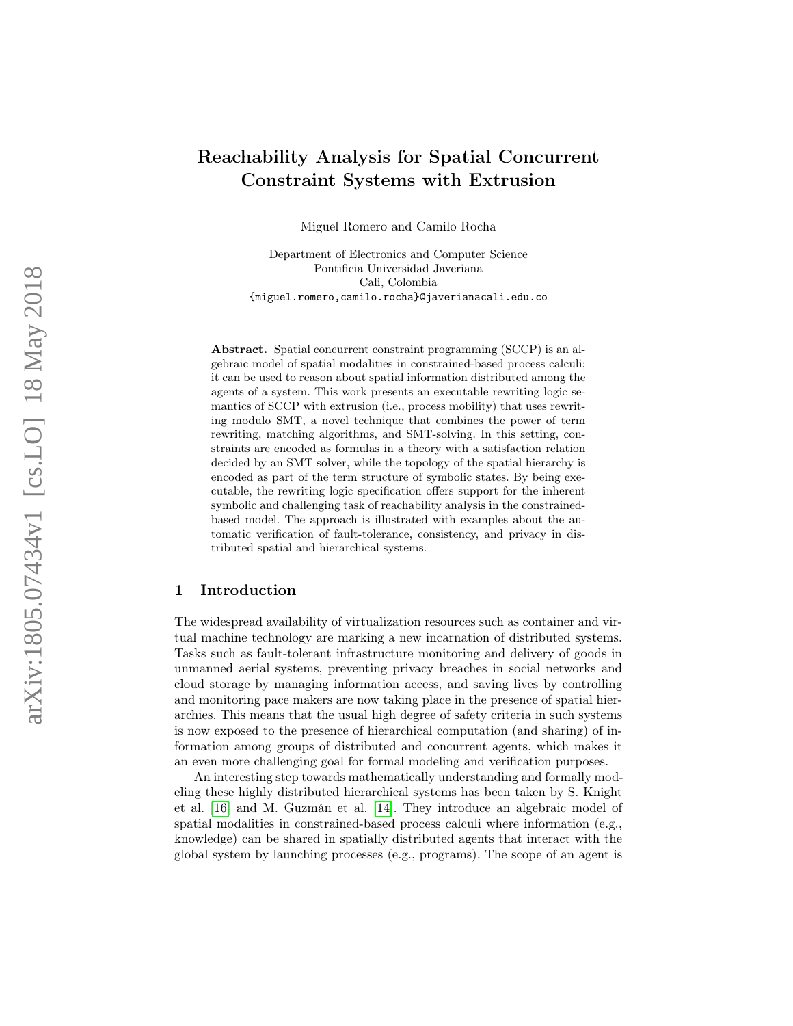# Reachability Analysis for Spatial Concurrent Constraint Systems with Extrusion

Miguel Romero and Camilo Rocha

Department of Electronics and Computer Science Pontificia Universidad Javeriana Cali, Colombia {miguel.romero,camilo.rocha}@javerianacali.edu.co

Abstract. Spatial concurrent constraint programming (SCCP) is an algebraic model of spatial modalities in constrained-based process calculi; it can be used to reason about spatial information distributed among the agents of a system. This work presents an executable rewriting logic semantics of SCCP with extrusion (i.e., process mobility) that uses rewriting modulo SMT, a novel technique that combines the power of term rewriting, matching algorithms, and SMT-solving. In this setting, constraints are encoded as formulas in a theory with a satisfaction relation decided by an SMT solver, while the topology of the spatial hierarchy is encoded as part of the term structure of symbolic states. By being executable, the rewriting logic specification offers support for the inherent symbolic and challenging task of reachability analysis in the constrainedbased model. The approach is illustrated with examples about the automatic verification of fault-tolerance, consistency, and privacy in distributed spatial and hierarchical systems.

## 1 Introduction

The widespread availability of virtualization resources such as container and virtual machine technology are marking a new incarnation of distributed systems. Tasks such as fault-tolerant infrastructure monitoring and delivery of goods in unmanned aerial systems, preventing privacy breaches in social networks and cloud storage by managing information access, and saving lives by controlling and monitoring pace makers are now taking place in the presence of spatial hierarchies. This means that the usual high degree of safety criteria in such systems is now exposed to the presence of hierarchical computation (and sharing) of information among groups of distributed and concurrent agents, which makes it an even more challenging goal for formal modeling and verification purposes.

An interesting step towards mathematically understanding and formally modeling these highly distributed hierarchical systems has been taken by S. Knight et al. [\[16\]](#page-32-0) and M. Guzmán et al. [\[14\]](#page-32-1). They introduce an algebraic model of spatial modalities in constrained-based process calculi where information (e.g., knowledge) can be shared in spatially distributed agents that interact with the global system by launching processes (e.g., programs). The scope of an agent is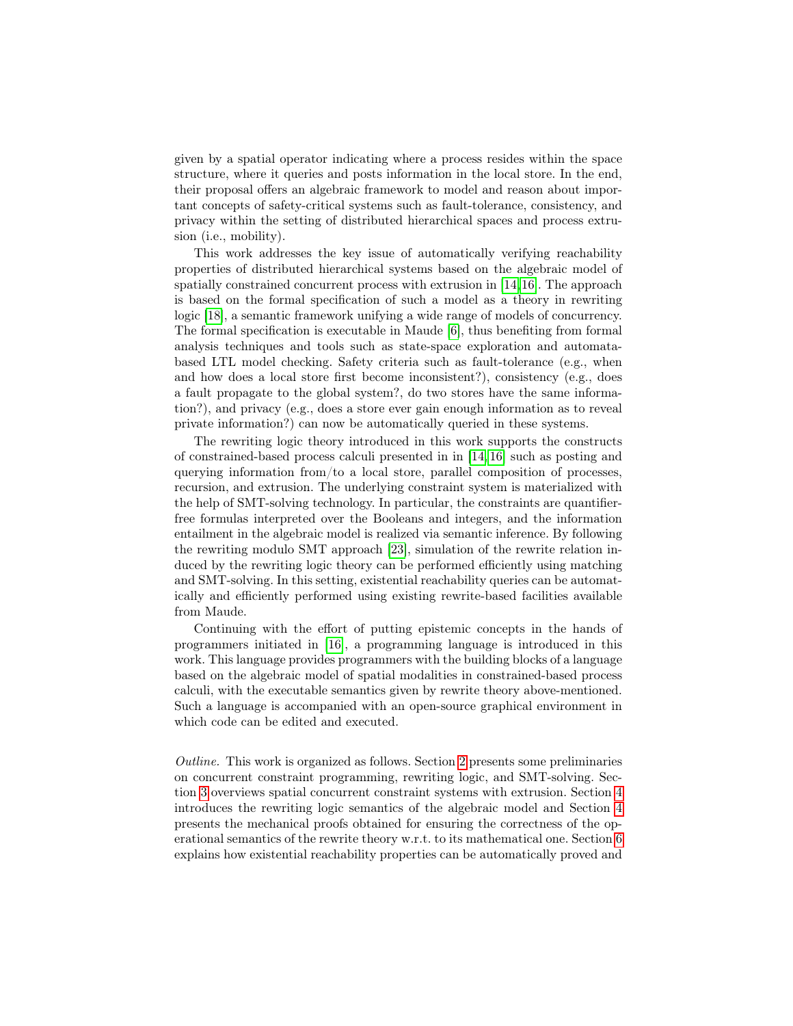given by a spatial operator indicating where a process resides within the space structure, where it queries and posts information in the local store. In the end, their proposal offers an algebraic framework to model and reason about important concepts of safety-critical systems such as fault-tolerance, consistency, and privacy within the setting of distributed hierarchical spaces and process extrusion (i.e., mobility).

This work addresses the key issue of automatically verifying reachability properties of distributed hierarchical systems based on the algebraic model of spatially constrained concurrent process with extrusion in [\[14,](#page-32-1)[16\]](#page-32-0). The approach is based on the formal specification of such a model as a theory in rewriting logic [\[18\]](#page-32-2), a semantic framework unifying a wide range of models of concurrency. The formal specification is executable in Maude [\[6\]](#page-32-3), thus benefiting from formal analysis techniques and tools such as state-space exploration and automatabased LTL model checking. Safety criteria such as fault-tolerance (e.g., when and how does a local store first become inconsistent?), consistency (e.g., does a fault propagate to the global system?, do two stores have the same information?), and privacy (e.g., does a store ever gain enough information as to reveal private information?) can now be automatically queried in these systems.

The rewriting logic theory introduced in this work supports the constructs of constrained-based process calculi presented in in [\[14,](#page-32-1) [16\]](#page-32-0) such as posting and querying information from/to a local store, parallel composition of processes, recursion, and extrusion. The underlying constraint system is materialized with the help of SMT-solving technology. In particular, the constraints are quantifierfree formulas interpreted over the Booleans and integers, and the information entailment in the algebraic model is realized via semantic inference. By following the rewriting modulo SMT approach [\[23\]](#page-33-0), simulation of the rewrite relation induced by the rewriting logic theory can be performed efficiently using matching and SMT-solving. In this setting, existential reachability queries can be automatically and efficiently performed using existing rewrite-based facilities available from Maude.

Continuing with the effort of putting epistemic concepts in the hands of programmers initiated in [\[16\]](#page-32-0), a programming language is introduced in this work. This language provides programmers with the building blocks of a language based on the algebraic model of spatial modalities in constrained-based process calculi, with the executable semantics given by rewrite theory above-mentioned. Such a language is accompanied with an open-source graphical environment in which code can be edited and executed.

Outline. This work is organized as follows. Section [2](#page-2-0) presents some preliminaries on concurrent constraint programming, rewriting logic, and SMT-solving. Section [3](#page-6-0) overviews spatial concurrent constraint systems with extrusion. Section [4](#page-10-0) introduces the rewriting logic semantics of the algebraic model and Section [4](#page-10-0) presents the mechanical proofs obtained for ensuring the correctness of the operational semantics of the rewrite theory w.r.t. to its mathematical one. Section [6](#page-22-0) explains how existential reachability properties can be automatically proved and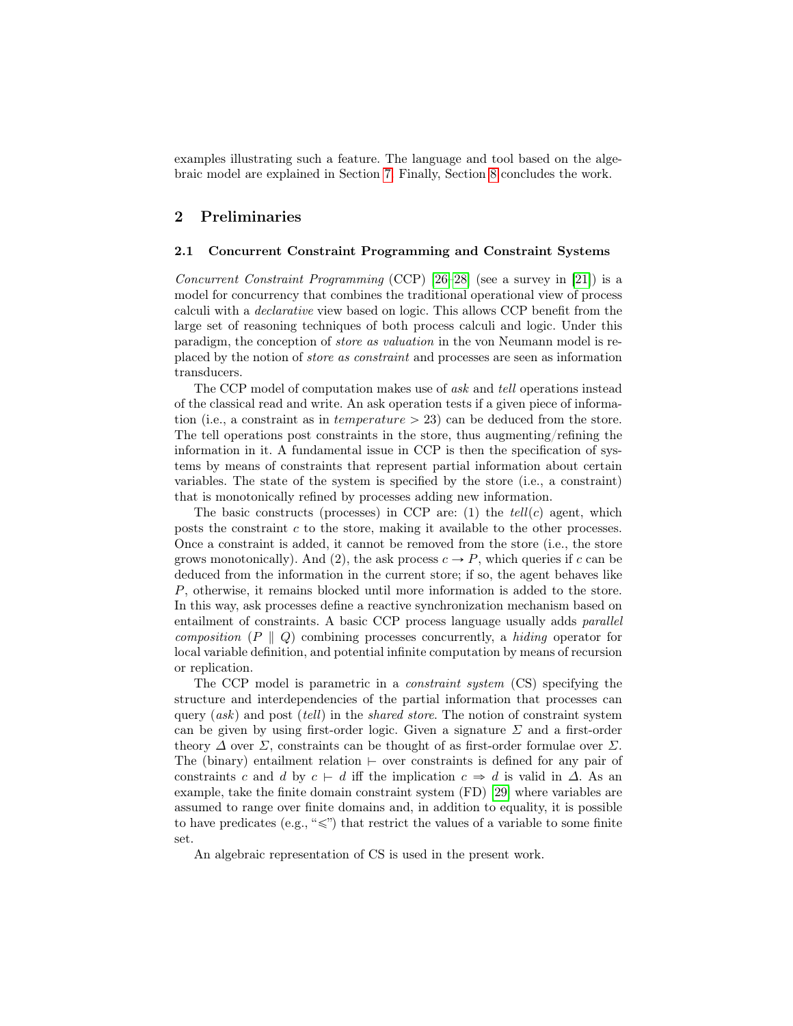examples illustrating such a feature. The language and tool based on the algebraic model are explained in Section [7.](#page-27-0) Finally, Section [8](#page-29-0) concludes the work.

## <span id="page-2-0"></span>2 Preliminaries

#### 2.1 Concurrent Constraint Programming and Constraint Systems

Concurrent Constraint Programming (CCP) [\[26–](#page-33-1)[28\]](#page-33-2) (see a survey in [\[21\]](#page-33-3)) is a model for concurrency that combines the traditional operational view of process calculi with a declarative view based on logic. This allows CCP benefit from the large set of reasoning techniques of both process calculi and logic. Under this paradigm, the conception of store as valuation in the von Neumann model is replaced by the notion of store as constraint and processes are seen as information transducers.

The CCP model of computation makes use of *ask* and *tell* operations instead of the classical read and write. An ask operation tests if a given piece of information (i.e., a constraint as in *temperature*  $> 23$ ) can be deduced from the store. The tell operations post constraints in the store, thus augmenting/refining the information in it. A fundamental issue in CCP is then the specification of systems by means of constraints that represent partial information about certain variables. The state of the system is specified by the store (i.e., a constraint) that is monotonically refined by processes adding new information.

The basic constructs (processes) in CCP are: (1) the  $tell(c)$  agent, which posts the constraint  $c$  to the store, making it available to the other processes. Once a constraint is added, it cannot be removed from the store (i.e., the store grows monotonically). And (2), the ask process  $c \to P$ , which queries if c can be deduced from the information in the current store; if so, the agent behaves like P, otherwise, it remains blocked until more information is added to the store. In this way, ask processes define a reactive synchronization mechanism based on entailment of constraints. A basic CCP process language usually adds *parallel* composition  $(P \parallel Q)$  combining processes concurrently, a hiding operator for local variable definition, and potential infinite computation by means of recursion or replication.

The CCP model is parametric in a constraint system (CS) specifying the structure and interdependencies of the partial information that processes can query  $(ask)$  and post  $(tell)$  in the *shared store*. The notion of constraint system can be given by using first-order logic. Given a signature  $\Sigma$  and a first-order theory  $\Delta$  over  $\Sigma$ , constraints can be thought of as first-order formulae over  $\Sigma$ . The (binary) entailment relation  $\vdash$  over constraints is defined for any pair of constraints c and d by  $c \vdash d$  iff the implication  $c \Rightarrow d$  is valid in  $\Delta$ . As an example, take the finite domain constraint system (FD) [\[29\]](#page-33-4) where variables are assumed to range over finite domains and, in addition to equality, it is possible to have predicates (e.g., " $\leq$ ") that restrict the values of a variable to some finite set.

<span id="page-2-1"></span>An algebraic representation of CS is used in the present work.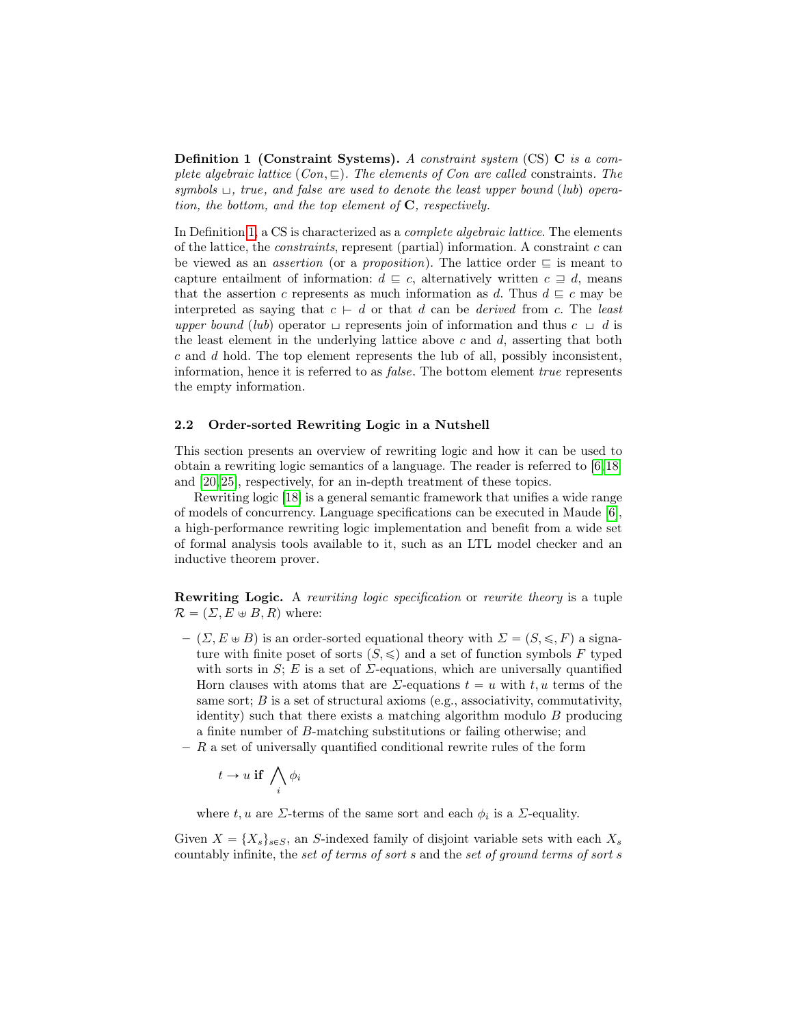**Definition 1 (Constraint Systems).** A constraint system (CS)  $\bf{C}$  is a complete algebraic lattice  $(Con, \subseteq)$ . The elements of Con are called constraints. The symbols  $\sqcup$ , true, and false are used to denote the least upper bound (lub) operation, the bottom, and the top element of  $C$ , respectively.

In Definition [1,](#page-2-1) a CS is characterized as a *complete algebraic lattice*. The elements of the lattice, the *constraints*, represent (partial) information. A constraint  $c$  can be viewed as an *assertion* (or a *proposition*). The lattice order  $\subseteq$  is meant to capture entailment of information:  $d \subseteq c$ , alternatively written  $c \supseteq d$ , means that the assertion c represents as much information as d. Thus  $d \sqsubseteq c$  may be interpreted as saying that  $c \vdash d$  or that d can be derived from c. The least upper bound (lub) operator  $\sqcup$  represents join of information and thus  $c \sqcup d$  is the least element in the underlying lattice above  $c$  and  $d$ , asserting that both c and d hold. The top element represents the lub of all, possibly inconsistent, information, hence it is referred to as *false*. The bottom element *true* represents the empty information.

#### 2.2 Order-sorted Rewriting Logic in a Nutshell

This section presents an overview of rewriting logic and how it can be used to obtain a rewriting logic semantics of a language. The reader is referred to [\[6,](#page-32-3)[18\]](#page-32-2) and [\[20,](#page-33-5) [25\]](#page-33-6), respectively, for an in-depth treatment of these topics.

Rewriting logic [\[18\]](#page-32-2) is a general semantic framework that unifies a wide range of models of concurrency. Language specifications can be executed in Maude [\[6\]](#page-32-3), a high-performance rewriting logic implementation and benefit from a wide set of formal analysis tools available to it, such as an LTL model checker and an inductive theorem prover.

Rewriting Logic. A rewriting logic specification or rewrite theory is a tuple  $\mathcal{R} = (\Sigma, E \oplus B, R)$  where:

- $(\Sigma, E \oplus B)$  is an order-sorted equational theory with  $\Sigma = (S, \leqslant, F)$  a signature with finite poset of sorts  $(S, \leq)$  and a set of function symbols F typed with sorts in  $S$ ; E is a set of  $\Sigma$ -equations, which are universally quantified Horn clauses with atoms that are  $\Sigma$ -equations  $t = u$  with t, u terms of the same sort;  $B$  is a set of structural axioms (e.g., associativity, commutativity, identity) such that there exists a matching algorithm modulo  $B$  producing a finite number of B-matching substitutions or failing otherwise; and
- $R$  a set of universally quantified conditional rewrite rules of the form

$$
t \to u \text{ if } \bigwedge_i \phi_i
$$

where  $t, u$  are  $\Sigma$ -terms of the same sort and each  $\phi_i$  is a  $\Sigma$ -equality.

Given  $X = \{X_s\}_{s \in S}$ , an S-indexed family of disjoint variable sets with each  $X_s$ countably infinite, the set of terms of sort s and the set of ground terms of sort s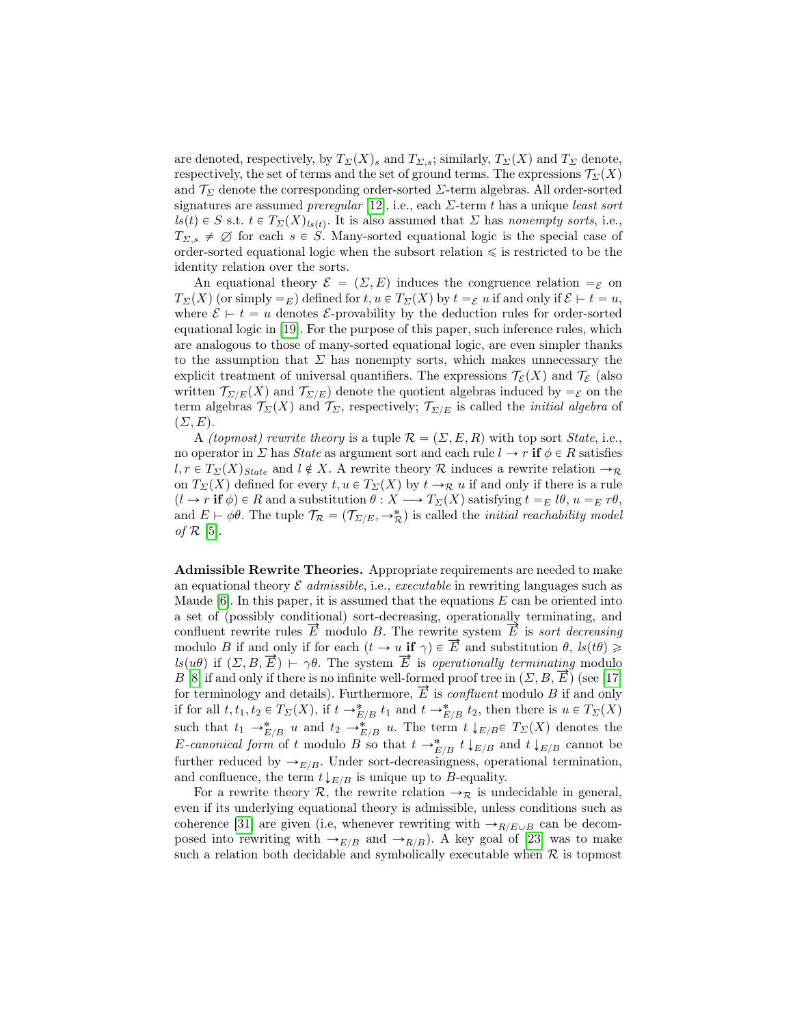are denoted, respectively, by  $T_{\Sigma}(X)$  and  $T_{\Sigma,s}$ ; similarly,  $T_{\Sigma}(X)$  and  $T_{\Sigma}$  denote, respectively, the set of terms and the set of ground terms. The expressions  $\mathcal{T}_{\Sigma}(X)$ and  $\mathcal{T}_{\Sigma}$  denote the corresponding order-sorted  $\Sigma$ -term algebras. All order-sorted signatures are assumed *preregular* [\[12\]](#page-32-4), i.e., each  $\Sigma$ -term t has a unique *least sort*  $ls(t) \in S$  s.t.  $t \in T_{\Sigma}(X)_{ls(t)}$ . It is also assumed that  $\Sigma$  has nonempty sorts, i.e.,  $T_{\Sigma,s} \neq \emptyset$  for each  $s \in \overline{S}$ . Many-sorted equational logic is the special case of order-sorted equational logic when the subsort relation  $\leqslant$  is restricted to be the identity relation over the sorts.

An equational theory  $\mathcal{E} = (\Sigma, E)$  induces the congruence relation  $\epsilon \in \mathcal{E}$  $T_{\Sigma}(X)$  (or simply  $=$  E) defined for  $t, u \in T_{\Sigma}(X)$  by  $t = \varepsilon u$  if and only if  $\mathcal{E} \vdash t = u$ , where  $\mathcal{E} \vdash t = u$  denotes *E*-provability by the deduction rules for order-sorted equational logic in [\[19\]](#page-32-5). For the purpose of this paper, such inference rules, which are analogous to those of many-sorted equational logic, are even simpler thanks to the assumption that  $\Sigma$  has nonempty sorts, which makes unnecessary the explicit treatment of universal quantifiers. The expressions  $\mathcal{T}_{\mathcal{E}}(X)$  and  $\mathcal{T}_{\mathcal{E}}$  (also written  $\mathcal{T}_{\Sigma/E}(X)$  and  $\mathcal{T}_{\Sigma/E}$  denote the quotient algebras induced by  $=\varepsilon$  on the term algebras  $\mathcal{T}_{\Sigma}(X)$  and  $\mathcal{T}_{\Sigma}$ , respectively;  $\mathcal{T}_{\Sigma/E}$  is called the *initial algebra* of  $(\Sigma, E).$ 

A *(topmost) rewrite theory* is a tuple  $\mathcal{R} = (\Sigma, E, R)$  with top sort *State*, i.e., no operator in  $\Sigma$  has *State* as argument sort and each rule  $l \to r$  if  $\phi \in R$  satisfies  $l, r \in T_{\Sigma}(X)_{State}$  and  $l \notin X$ . A rewrite theory R induces a rewrite relation  $\rightarrow_{\mathcal{R}}$ on  $T_{\Sigma}(X)$  defined for every  $t, u \in T_{\Sigma}(X)$  by  $t \to \mathcal{R}$  u if and only if there is a rule  $(l \to r \text{ if } \phi) \in R \text{ and a substitution } \theta : X \to T_{\Sigma}(X) \text{ satisfying } t =_E l\theta, u =_E r\theta,$ and  $E \vdash \phi \theta$ . The tuple  $\mathcal{T}_{\mathcal{R}} = (\mathcal{T}_{\Sigma/E}, \rightarrow_{\mathcal{R}}^*)$  is called the *initial reachability model* of  $\mathcal{R}$  [\[5\]](#page-31-0).

Admissible Rewrite Theories. Appropriate requirements are needed to make an equational theory  $\mathcal E$  admissible, i.e., executable in rewriting languages such as Maude  $[6]$ . In this paper, it is assumed that the equations E can be oriented into a set of (possibly conditional) sort-decreasing, operationally terminating, and confluent rewrite rules  $\vec{E}$  modulo B. The rewrite system  $\vec{E}$  is sort decreasing modulo B if and only if for each  $(t \to u \text{ if } \gamma) \in \overline{E}$  and substitution  $\theta$ ,  $ls(t\theta) \geq$  $ls(u\theta)$  if  $(\Sigma, B, \vec{E}) \vdash \gamma\theta$ . The system  $\vec{E}$  is operationally terminating modulo B [\[8\]](#page-32-6) if and only if there is no infinite well-formed proof tree in  $(\Sigma, B, \overline{E})$  (see [\[17\]](#page-32-7) for terminology and details). Furthermore,  $\overrightarrow{E}$  is *confluent* modulo B if and only if for all  $t, t_1, t_2 \in T_\Sigma(X)$ , if  $t \to_{E/B}^* t_1$  and  $t \to_{E/B}^* t_2$ , then there is  $u \in T_\Sigma(X)$ such that  $t_1 \to_{E/B}^* u$  and  $t_2 \to_{E/B}^* u$ . The term  $t \downarrow_{E/B} \in T_\Sigma(X)$  denotes the E-canonical form of t modulo B so that  $t \to_{E/B}^* t \downarrow_{E/B}$  and  $t \downarrow_{E/B}$  cannot be further reduced by  $\rightarrow_{E/B}$ . Under sort-decreasingness, operational termination, and confluence, the term  $t\downarrow_{E/B}$  is unique up to B-equality.

For a rewrite theory R, the rewrite relation  $\rightarrow_{\mathcal{R}}$  is undecidable in general, even if its underlying equational theory is admissible, unless conditions such as coherence [\[31\]](#page-33-7) are given (i.e, whenever rewriting with  $\rightarrow_{R/E \cup B}$  can be decomposed into rewriting with  $\rightarrow_{E/B}$  and  $\rightarrow_{R/B}$ ). A key goal of [\[23\]](#page-33-0) was to make such a relation both decidable and symbolically executable when  $R$  is topmost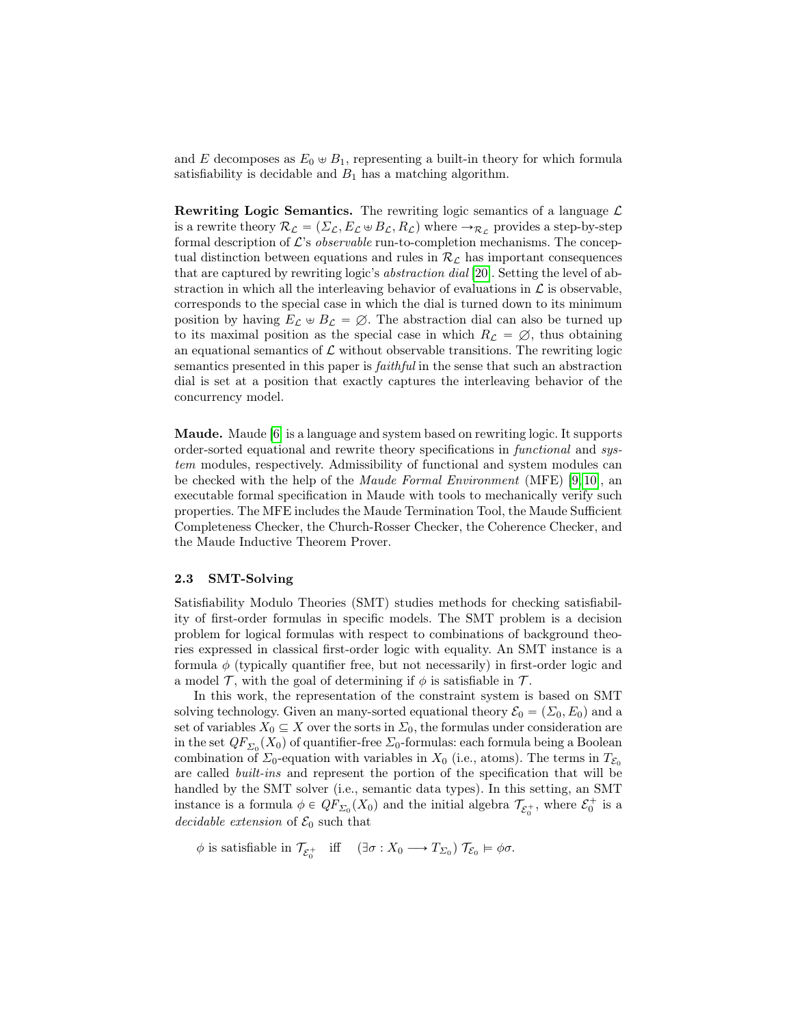and E decomposes as  $E_0 \oplus B_1$ , representing a built-in theory for which formula satisfiability is decidable and  $B_1$  has a matching algorithm.

**Rewriting Logic Semantics.** The rewriting logic semantics of a language  $\mathcal{L}$ is a rewrite theory  $\mathcal{R}_\mathcal{L} = (\Sigma_\mathcal{L}, E_\mathcal{L} \oplus B_\mathcal{L}, R_\mathcal{L})$  where  $\rightarrow_{\mathcal{R}_\mathcal{L}}$  provides a step-by-step formal description of  $\mathcal{L}$ 's *observable* run-to-completion mechanisms. The conceptual distinction between equations and rules in  $\mathcal{R}_\mathcal{L}$  has important consequences that are captured by rewriting logic's abstraction dial [\[20\]](#page-33-5). Setting the level of abstraction in which all the interleaving behavior of evaluations in  $\mathcal L$  is observable, corresponds to the special case in which the dial is turned down to its minimum position by having  $E_{\mathcal{L}} \oplus B_{\mathcal{L}} = \emptyset$ . The abstraction dial can also be turned up to its maximal position as the special case in which  $R_{\mathcal{L}} = \emptyset$ , thus obtaining an equational semantics of  $\mathcal L$  without observable transitions. The rewriting logic semantics presented in this paper is faithful in the sense that such an abstraction dial is set at a position that exactly captures the interleaving behavior of the concurrency model.

Maude. Maude [\[6\]](#page-32-3) is a language and system based on rewriting logic. It supports order-sorted equational and rewrite theory specifications in functional and system modules, respectively. Admissibility of functional and system modules can be checked with the help of the Maude Formal Environment (MFE) [\[9,](#page-32-8) [10\]](#page-32-9), an executable formal specification in Maude with tools to mechanically verify such properties. The MFE includes the Maude Termination Tool, the Maude Sufficient Completeness Checker, the Church-Rosser Checker, the Coherence Checker, and the Maude Inductive Theorem Prover.

## 2.3 SMT-Solving

Satisfiability Modulo Theories (SMT) studies methods for checking satisfiability of first-order formulas in specific models. The SMT problem is a decision problem for logical formulas with respect to combinations of background theories expressed in classical first-order logic with equality. An SMT instance is a formula  $\phi$  (typically quantifier free, but not necessarily) in first-order logic and a model  $\mathcal T$ , with the goal of determining if  $\phi$  is satisfiable in  $\mathcal T$ .

In this work, the representation of the constraint system is based on SMT solving technology. Given an many-sorted equational theory  $\mathcal{E}_0 = (\Sigma_0, E_0)$  and a set of variables  $X_0 \subseteq X$  over the sorts in  $\Sigma_0$ , the formulas under consideration are in the set  $QF_{\Sigma_0}(X_0)$  of quantifier-free  $\Sigma_0$ -formulas: each formula being a Boolean combination of  $\Sigma_0$ -equation with variables in  $X_0$  (i.e., atoms). The terms in  $T_{\mathcal{E}_0}$ are called built-ins and represent the portion of the specification that will be handled by the SMT solver (i.e., semantic data types). In this setting, an SMT instance is a formula  $\phi \in QF_{\Sigma_0}(X_0)$  and the initial algebra  $\mathcal{T}_{\mathcal{E}_0^+}$ , where  $\mathcal{E}_0^+$  is a decidable extension of  $\mathcal{E}_0$  such that

 $\phi$  is satisfiable in  $\mathcal{T}_{\mathcal{E}_0^+}$  iff  $(\exists \sigma : X_0 \longrightarrow T_{\Sigma_0}) \mathcal{T}_{\mathcal{E}_0} \models \phi \sigma$ .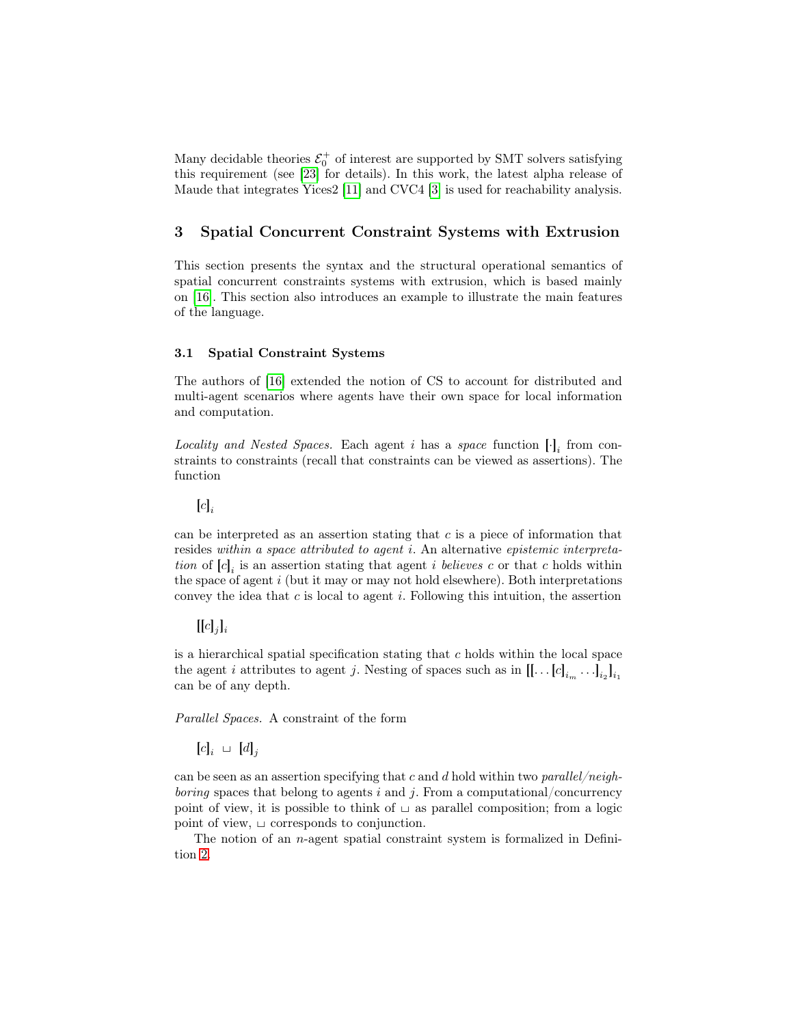Many decidable theories  $\mathcal{E}_0^+$  of interest are supported by SMT solvers satisfying this requirement (see [\[23\]](#page-33-0) for details). In this work, the latest alpha release of Maude that integrates Yices2 [\[11\]](#page-32-10) and CVC4 [\[3\]](#page-31-1) is used for reachability analysis.

## <span id="page-6-0"></span>3 Spatial Concurrent Constraint Systems with Extrusion

This section presents the syntax and the structural operational semantics of spatial concurrent constraints systems with extrusion, which is based mainly on [\[16\]](#page-32-0). This section also introduces an example to illustrate the main features of the language.

### 3.1 Spatial Constraint Systems

The authors of [\[16\]](#page-32-0) extended the notion of CS to account for distributed and multi-agent scenarios where agents have their own space for local information and computation.

Locality and Nested Spaces. Each agent i has a space function  $[\cdot]_i$  from constraints to constraints (recall that constraints can be viewed as assertions). The function

 $[c]_i$ 

can be interpreted as an assertion stating that  $c$  is a piece of information that resides within a space attributed to agent i. An alternative epistemic interpretation of  $[c]_i$  is an assertion stating that agent *i* believes c or that c holds within the space of agent i (but it may or may not hold elsewhere). Both interpretations convey the idea that  $c$  is local to agent  $i$ . Following this intuition, the assertion

## $[[c]_j]_i$

is a hierarchical spatial specification stating that  $c$  holds within the local space the agent *i* attributes to agent *j*. Nesting of spaces such as in  $[[... [c]_{i_m} ...]_{i_2}]_{i_1}$ can be of any depth.

Parallel Spaces. A constraint of the form

 $[c]_i \ \sqcup \ [d]_j$ 

can be seen as an assertion specifying that c and d hold within two parallel/neigh*boring* spaces that belong to agents i and j. From a computational/concurrency point of view, it is possible to think of  $\sqcup$  as parallel composition; from a logic point of view,  $\sqcup$  corresponds to conjunction.

<span id="page-6-1"></span>The notion of an n-agent spatial constraint system is formalized in Definition [2.](#page-6-1)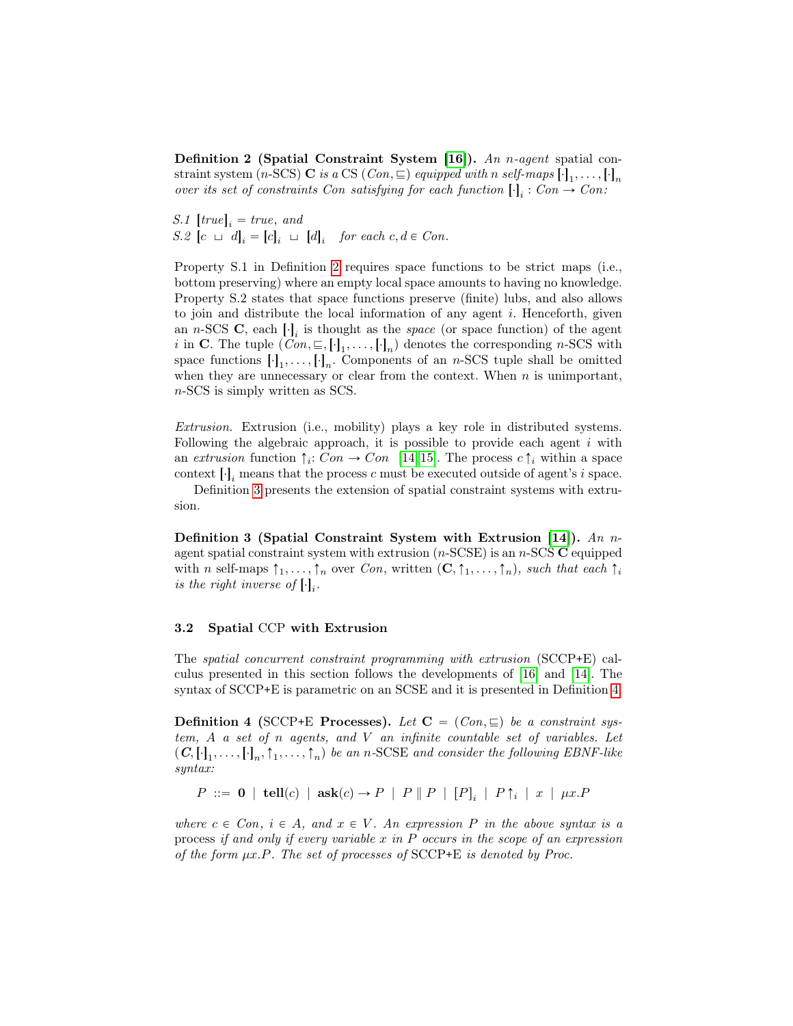Definition 2 (Spatial Constraint System [\[16\]](#page-32-0)). An n-agent spatial constraint system (n-SCS) **C** is a CS (*Con*,  $\subseteq$ ) equipped with n self-maps  $[\cdot]_1, \ldots, [\cdot]_n$ over its set of constraints Con satisfying for each function  $[\cdot]_i : Con \rightarrow Con$ :

 $S.1$   $[true]_i = true, and$  $S.2$   $[c \ \sqcup \ d]_i = [c]_i \ \sqcup \ [d]_i$  for each  $c, d \in Con$ .

Property S.1 in Definition [2](#page-6-1) requires space functions to be strict maps (i.e., bottom preserving) where an empty local space amounts to having no knowledge. Property S.2 states that space functions preserve (finite) lubs, and also allows to join and distribute the local information of any agent  $i$ . Henceforth, given an *n*-SCS **C**, each  $\left[\cdot\right]_i$  is thought as the *space* (or space function) of the agent *i* in **C**. The tuple  $(Con, \subseteq, [\cdot]_1, \ldots, [\cdot]_n)$  denotes the corresponding *n*-SCS with space functions  $[\cdot]_1, \ldots, [\cdot]_n$ . Components of an *n*-SCS tuple shall be omitted when they are unnecessary or clear from the context. When  $n$  is unimportant, n-SCS is simply written as SCS.

Extrusion. Extrusion (i.e., mobility) plays a key role in distributed systems. Following the algebraic approach, it is possible to provide each agent  $i$  with an extrusion function  $\uparrow_i$ : Con  $\rightarrow$  Con [\[14,](#page-32-1) [15\]](#page-32-11). The process  $c \uparrow_i$  within a space context  $[\cdot]_i$  means that the process c must be executed outside of agent's i space.

Definition [3](#page-7-0) presents the extension of spatial constraint systems with extrusion.

<span id="page-7-0"></span>Definition 3 (Spatial Constraint System with Extrusion [\[14\]](#page-32-1)). An nagent spatial constraint system with extrusion  $(n\text{-SCSE})$  is an  $n\text{-SCS } \mathbf{C}$  equipped with n self-maps  $\uparrow_1, \ldots, \uparrow_n$  over Con, written  $(C, \uparrow_1, \ldots, \uparrow_n)$ , such that each  $\uparrow_i$ is the right inverse of  $[\cdot]_i$ .

#### 3.2 Spatial CCP with Extrusion

The spatial concurrent constraint programming with extrusion (SCCP+E) calculus presented in this section follows the developments of [\[16\]](#page-32-0) and [\[14\]](#page-32-1). The syntax of SCCP+E is parametric on an SCSE and it is presented in Definition [4.](#page-7-1)

<span id="page-7-1"></span>**Definition 4** (SCCP+E Processes). Let  $C = (Con, \sqsubseteq)$  be a constraint system,  $A$  a set of  $n$  agents, and  $V$  an infinite countable set of variables. Let  $(C, [\cdot]_1, \ldots, [\cdot]_n, \uparrow_1, \ldots, \uparrow_n)$  be an n-SCSE and consider the following EBNF-like syntax:

 $P ::= \mathbf{0} | \mathbf{tell}(c) | \mathbf{ask}(c) \rightarrow P | P | P | [P]_i | P \uparrow_i | x | \mu x. P$ 

where  $c \in Con, i \in A$ , and  $x \in V$ . An expression P in the above syntax is a process if and only if every variable  $x$  in  $P$  occurs in the scope of an expression of the form  $\mu x.P.$  The set of processes of SCCP+E is denoted by Proc.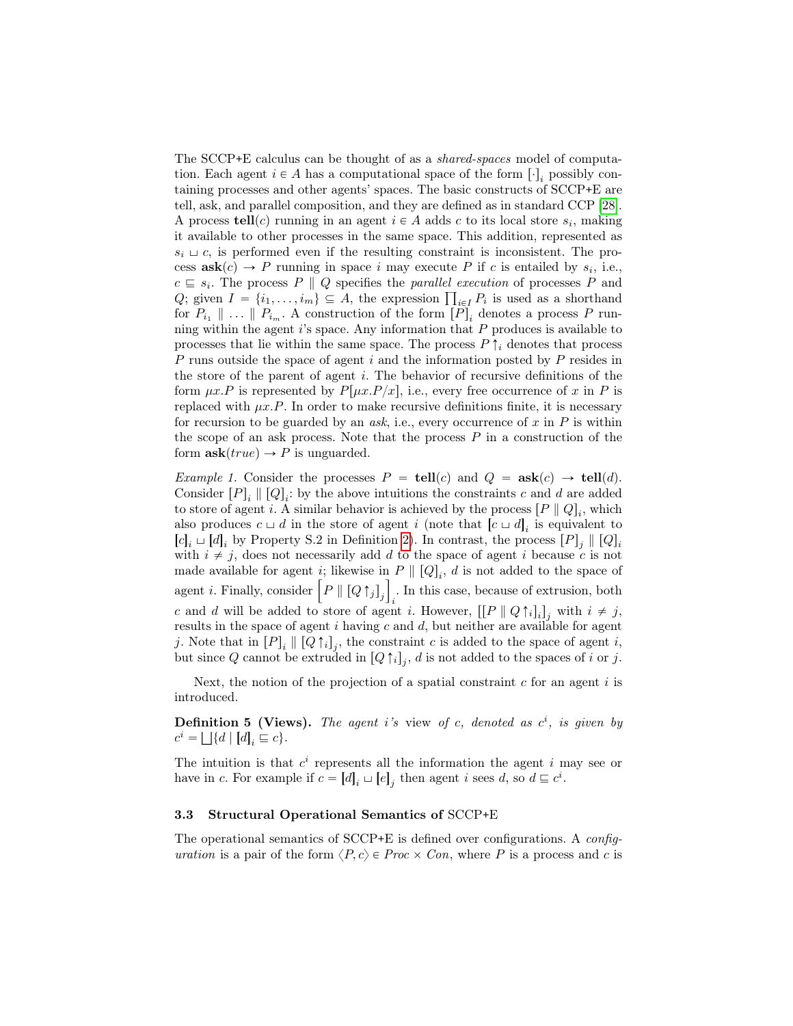The SCCP+E calculus can be thought of as a shared-spaces model of computation. Each agent  $i \in A$  has a computational space of the form  $[\cdot]_i$  possibly containing processes and other agents' spaces. The basic constructs of SCCP+E are tell, ask, and parallel composition, and they are defined as in standard CCP [\[28\]](#page-33-2). A process  $\text{tell}(c)$  running in an agent  $i \in A$  adds c to its local store  $s_i$ , making it available to other processes in the same space. This addition, represented as  $s_i \sqcup c$ , is performed even if the resulting constraint is inconsistent. The process  $\textbf{ask}(c) \rightarrow P$  running in space i may execute P if c is entailed by  $s_i$ , i.e.,  $c \subseteq s_i$ . The process P || Q specifies the parallel execution of processes P and  $c \subseteq s_i$ . The process  $P \parallel Q$  specifies the *parallel execution* of processes  $P$  and  $Q$ ; given  $I = \{i_1, \ldots, i_m\} \subseteq A$ , the expression  $\prod_{i \in I} P_i$  is used as a shorthand for  $P_{i_1} \parallel \ldots \parallel P_{i_m}$ . A construction of the form  $[P]_i$  denotes a process P running within the agent  $i$ 's space. Any information that  $P$  produces is available to processes that lie within the same space. The process  $P \uparrow_i$  denotes that process P runs outside the space of agent i and the information posted by P resides in the store of the parent of agent i. The behavior of recursive definitions of the form  $\mu x.P$  is represented by  $P[\mu x.P/x]$ , i.e., every free occurrence of x in P is replaced with  $\mu x.P$ . In order to make recursive definitions finite, it is necessary for recursion to be guarded by an *ask*, i.e., every occurrence of x in  $P$  is within the scope of an ask process. Note that the process  $P$  in a construction of the form  $\textbf{ask}(true) \rightarrow P$  is unguarded.

*Example 1.* Consider the processes  $P = \text{tell}(c)$  and  $Q = \text{ask}(c) \rightarrow \text{tell}(d)$ . Consider  $[P]_i \parallel [Q]_i$ : by the above intuitions the constraints c and d are added to store of agent *i*. A similar behavior is achieved by the process  $[P \parallel Q]_i$ , which also produces  $c \sqcup d$  in the store of agent i (note that  $[c \sqcup d]_i$  is equivalent to  $[c]_i \sqcup [d]_i$  by Property S.2 in Definition [2\)](#page-6-1). In contrast, the process  $[P]_j \parallel [Q]_i$ with  $i \neq j$ , does not necessarily add d to the space of agent i because c is not made available for agent *i*; likewise in  $P \parallel [Q]_i$ , *d* is not added to the space of made available for agent *i*; likewise in  $P \parallel [Q]_i$ , *d* is not added to the space of agent *i*. Finally, consider  $\left[ P \parallel [Q \uparrow_j]_j \right]_i$ . In this case, because of extrusion, both c and d will be added to store of agent i. However,  $\left[ \left[ P \parallel Q \uparrow_i \right]_i \right]_j$  with  $i \neq j$ , results in the space of agent  $i$  having  $c$  and  $d$ , but neither are available for agent j. Note that in  $[P]_i \parallel [Q \uparrow_i]_j$ , the constraint c is added to the space of agent i, but since Q cannot be extruded in  $[Q \uparrow_i]_j$ , d is not added to the spaces of i or j.

Next, the notion of the projection of a spatial constraint  $c$  for an agent  $i$  is introduced.

**Definition 5 (Views).** The agent i's view of c, denoted as  $c^i$ , is given by  $c^i = \bigsqcup \{d \mid [d]_i \sqsubseteq c\}.$ 

The intuition is that  $c^i$  represents all the information the agent i may see or have in c. For example if  $c = [d]_i \sqcup [e]_j$  then agent i sees d, so  $d \sqsubseteq c^i$ .

#### 3.3 Structural Operational Semantics of SCCP+E

The operational semantics of SCCP+E is defined over configurations. A configuration is a pair of the form  $\langle P, c \rangle \in Proc \times Con$ , where P is a process and c is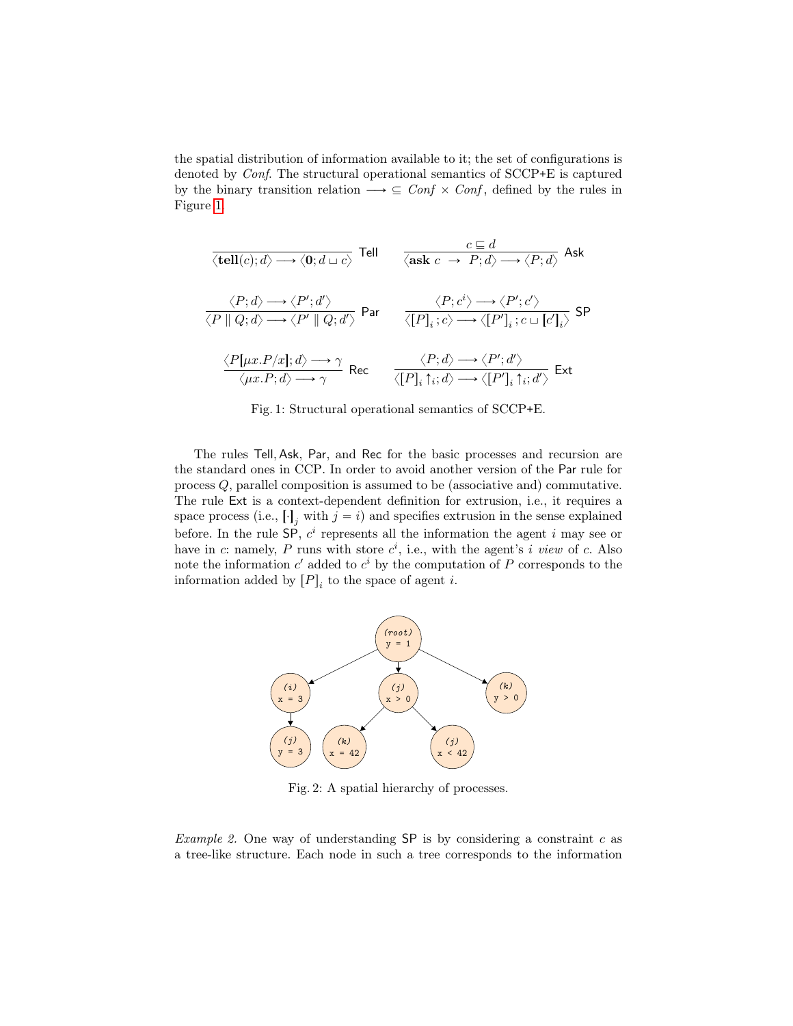the spatial distribution of information available to it; the set of configurations is denoted by Conf. The structural operational semantics of SCCP+E is captured by the binary transition relation  $\longrightarrow \subseteq \text{Conf} \times \text{Conf}$ , defined by the rules in Figure [1.](#page-9-0)

<span id="page-9-0"></span>
$$
\frac{c \equiv d}{\langle \text{tell}(c); d \rangle \longrightarrow \langle 0; d \sqcup c \rangle} \text{ Tell} \qquad \frac{c \equiv d}{\langle \text{ask } c \rightarrow P; d \rangle \longrightarrow \langle P; d \rangle} \text{ Ask}
$$
\n
$$
\frac{\langle P; d \rangle \longrightarrow \langle P'; d' \rangle}{\langle P \parallel Q; d \rangle \longrightarrow \langle P' \parallel Q; d' \rangle} \text{Par} \qquad \frac{\langle P; c^i \rangle \longrightarrow \langle P'; c' \rangle}{\langle [P]_i; c \rangle \longrightarrow \langle [P']_i; c \sqcup [c']_i \rangle} \text{SP}
$$
\n
$$
\frac{\langle P[\mu x. P/x]; d \rangle \longrightarrow \gamma}{\langle \mu x. P; d \rangle \longrightarrow \gamma} \text{Rec} \qquad \frac{\langle P; d \rangle \longrightarrow \langle P'; d' \rangle}{\langle [P]_i \uparrow_i; d \rangle \longrightarrow \langle [P']_i \uparrow_i; d' \rangle} \text{Ext}
$$

Fig. 1: Structural operational semantics of SCCP+E.

The rules Tell, Ask, Par, and Rec for the basic processes and recursion are the standard ones in CCP. In order to avoid another version of the Par rule for process Q, parallel composition is assumed to be (associative and) commutative. The rule Ext is a context-dependent definition for extrusion, i.e., it requires a space process (i.e.,  $[\cdot]_j$  with  $j = i$ ) and specifies extrusion in the sense explained before. In the rule  $\textsf{SP}, c^i$  represents all the information the agent i may see or have in c: namely, P runs with store  $c^i$ , i.e., with the agent's i view of c. Also note the information  $c'$  added to  $c^i$  by the computation of P corresponds to the information added by  $[P]_i$  to the space of agent *i*.

<span id="page-9-1"></span>

Fig. 2: A spatial hierarchy of processes.

Example 2. One way of understanding  $SP$  is by considering a constraint c as a tree-like structure. Each node in such a tree corresponds to the information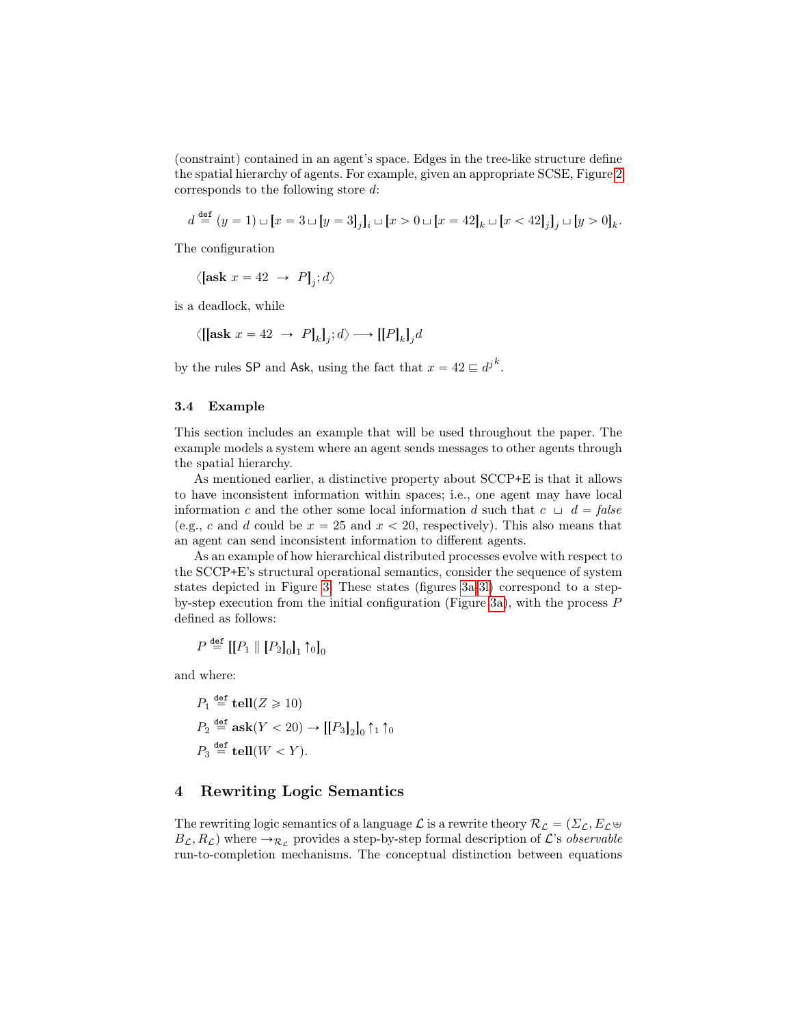(constraint) contained in an agent's space. Edges in the tree-like structure define the spatial hierarchy of agents. For example, given an appropriate SCSE, Figure [2](#page-9-1) corresponds to the following store d:

$$
d \stackrel{\text{def}}{=} (y = 1) \sqcup [x = 3 \sqcup [y = 3]_j]_i \sqcup [x > 0 \sqcup [x = 42]_k \sqcup [x < 42]_j]_j \sqcup [y > 0]_k.
$$

The configuration

$$
\langle \left[ \text{ask } x = 42 \rightarrow P \right]_j; d \rangle
$$

is a deadlock, while

$$
\langle [[\mathbf{ask}\;x=42\;\rightarrow\;P]_k]_j;d\rangle \longrightarrow [[P]_k]_j d
$$

by the rules SP and Ask, using the fact that  $x = 42 \sqsubseteq d^{j^k}$ .

#### <span id="page-10-1"></span>3.4 Example

This section includes an example that will be used throughout the paper. The example models a system where an agent sends messages to other agents through the spatial hierarchy.

As mentioned earlier, a distinctive property about SCCP+E is that it allows to have inconsistent information within spaces; i.e., one agent may have local information c and the other some local information d such that  $c \perp d = false$ (e.g., c and d could be  $x = 25$  and  $x < 20$ , respectively). This also means that an agent can send inconsistent information to different agents.

As an example of how hierarchical distributed processes evolve with respect to the SCCP+E's structural operational semantics, consider the sequence of system states depicted in Figure [3.](#page-11-0) These states (figures [3a-3l\)](#page-11-0) correspond to a step-by-step execution from the initial configuration (Figure [3a\)](#page-11-0), with the process  $P$ defined as follows:

$$
P \stackrel{\text{def}}{=} [[P_1 \ || [P_2]_0]_1 \uparrow_0]_0
$$

and where:

$$
P_1 \stackrel{\text{def}}{=} \text{tell}(Z \ge 10)
$$
  
\n
$$
P_2 \stackrel{\text{def}}{=} \text{ask}(Y < 20) \rightarrow [[P_3]_2]_0 \uparrow_1 \uparrow_0
$$
  
\n
$$
P_3 \stackrel{\text{def}}{=} \text{tell}(W < Y).
$$

## <span id="page-10-0"></span>4 Rewriting Logic Semantics

The rewriting logic semantics of a language  $\mathcal L$  is a rewrite theory  $\mathcal R_{\mathcal L} = (\Sigma_{\mathcal L}, E_{\mathcal L} \oplus$  $B_{\mathcal{L}}, R_{\mathcal{L}}$  where  $\rightarrow_{\mathcal{R}_{\mathcal{L}}}$  provides a step-by-step formal description of  $\mathcal{L}$ 's observable run-to-completion mechanisms. The conceptual distinction between equations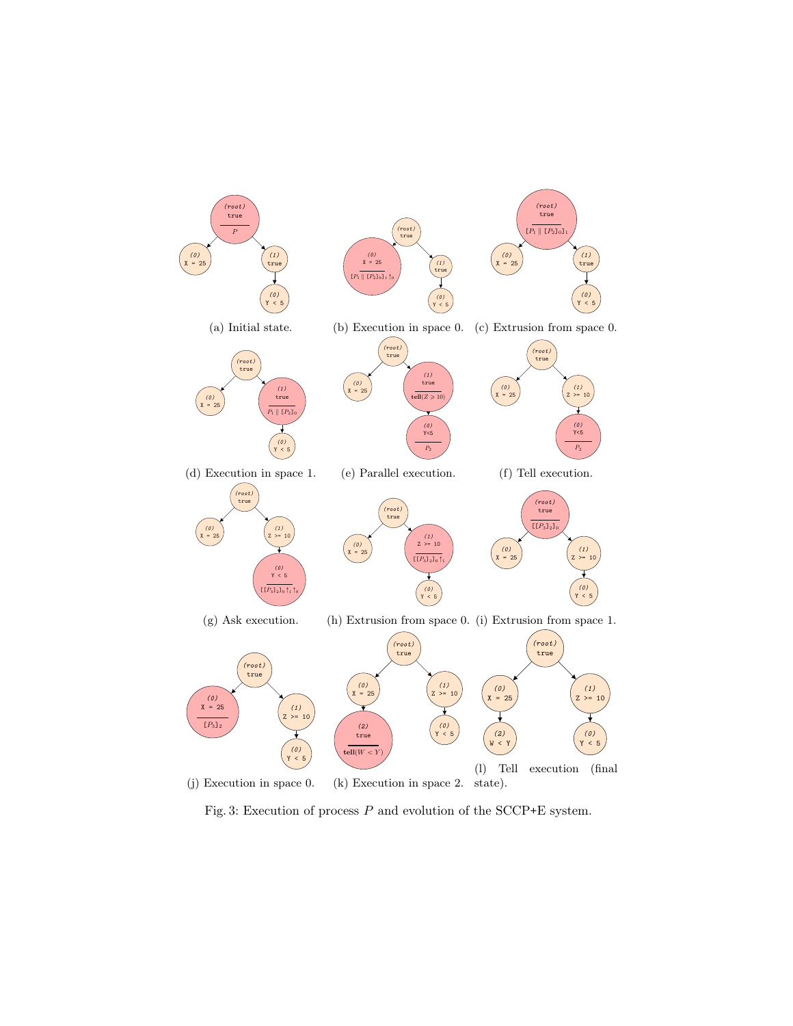<span id="page-11-0"></span>

Fig. 3: Execution of process  $P$  and evolution of the SCCP+E system.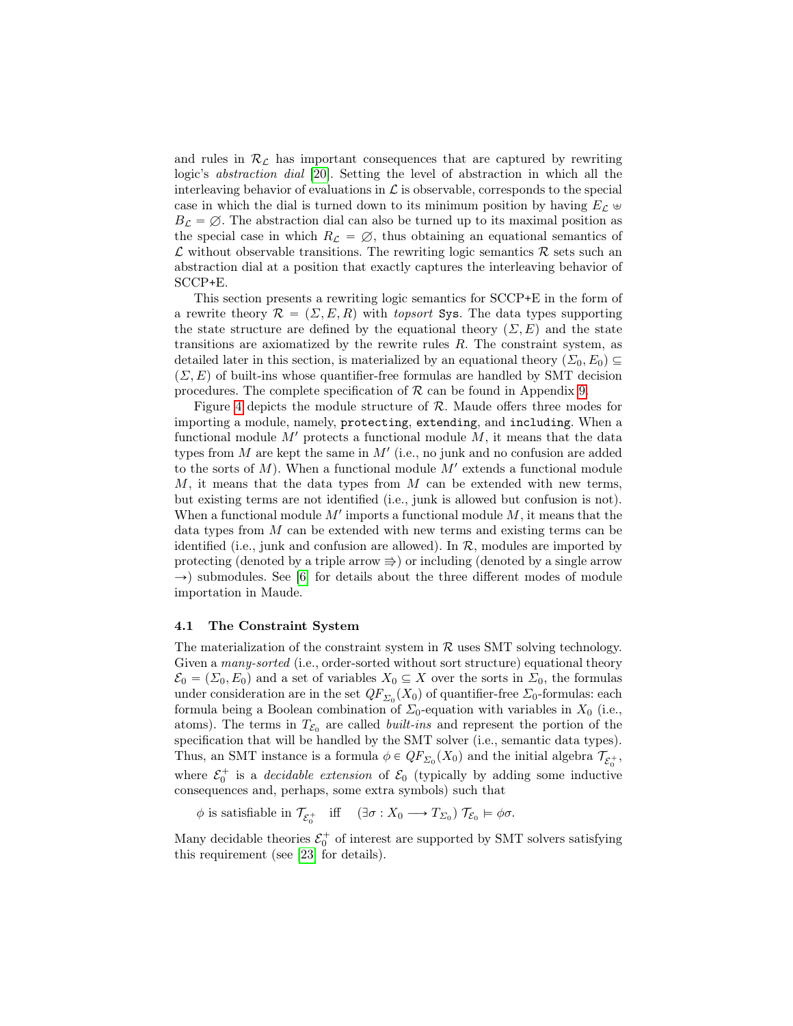and rules in  $\mathcal{R}_{\mathcal{L}}$  has important consequences that are captured by rewriting logic's abstraction dial [\[20\]](#page-33-5). Setting the level of abstraction in which all the interleaving behavior of evaluations in  $\mathcal L$  is observable, corresponds to the special case in which the dial is turned down to its minimum position by having  $E_C \oplus$  $B_{\mathcal{L}} = \emptyset$ . The abstraction dial can also be turned up to its maximal position as the special case in which  $R_{\mathcal{L}} = \emptyset$ , thus obtaining an equational semantics of  $\mathcal L$  without observable transitions. The rewriting logic semantics  $\mathcal R$  sets such an abstraction dial at a position that exactly captures the interleaving behavior of SCCP+E.

This section presents a rewriting logic semantics for SCCP+E in the form of a rewrite theory  $\mathcal{R} = (\Sigma, E, R)$  with topsort Sys. The data types supporting the state structure are defined by the equational theory  $(\Sigma, E)$  and the state transitions are axiomatized by the rewrite rules R. The constraint system, as detailed later in this section, is materialized by an equational theory  $(\Sigma_0, E_0) \subseteq$  $(\Sigma, E)$  of built-ins whose quantifier-free formulas are handled by SMT decision procedures. The complete specification of  $R$  can be found in Appendix [9.](#page-34-0)

Figure [4](#page-13-0) depicts the module structure of  $R$ . Maude offers three modes for importing a module, namely, protecting, extending, and including. When a functional module  $M'$  protects a functional module  $M$ , it means that the data types from  $M$  are kept the same in  $M'$  (i.e., no junk and no confusion are added to the sorts of  $M$ ). When a functional module  $M'$  extends a functional module  $M$ , it means that the data types from  $M$  can be extended with new terms, but existing terms are not identified (i.e., junk is allowed but confusion is not). When a functional module  $M'$  imports a functional module  $M$ , it means that the data types from M can be extended with new terms and existing terms can be identified (i.e., junk and confusion are allowed). In  $\mathcal{R}$ , modules are imported by protecting (denoted by a triple arrow  $\Rightarrow$ ) or including (denoted by a single arrow  $\rightarrow$ ) submodules. See [\[6\]](#page-32-3) for details about the three different modes of module importation in Maude.

#### 4.1 The Constraint System

The materialization of the constraint system in  $R$  uses SMT solving technology. Given a *many-sorted* (i.e., order-sorted without sort structure) equational theory  $\mathcal{E}_0 = (\Sigma_0, E_0)$  and a set of variables  $X_0 \subseteq X$  over the sorts in  $\Sigma_0$ , the formulas under consideration are in the set  $QF_{\Sigma_0}(X_0)$  of quantifier-free  $\Sigma_0$ -formulas: each formula being a Boolean combination of  $\Sigma_0$ -equation with variables in  $X_0$  (i.e., atoms). The terms in  $T_{\mathcal{E}_0}$  are called *built-ins* and represent the portion of the specification that will be handled by the SMT solver (i.e., semantic data types). Thus, an SMT instance is a formula  $\phi \in QF_{\Sigma_0}(X_0)$  and the initial algebra  $\mathcal{T}_{\mathcal{E}_0^+}$ , where  $\mathcal{E}_0^+$  is a *decidable extension* of  $\mathcal{E}_0$  (typically by adding some inductive consequences and, perhaps, some extra symbols) such that

 $\phi$  is satisfiable in  $\mathcal{T}_{\mathcal{E}_0^+}$  iff  $(\exists \sigma : X_0 \longrightarrow T_{\Sigma_0}) \mathcal{T}_{\mathcal{E}_0} \models \phi \sigma$ .

Many decidable theories  $\mathcal{E}_0^+$  of interest are supported by SMT solvers satisfying this requirement (see [\[23\]](#page-33-0) for details).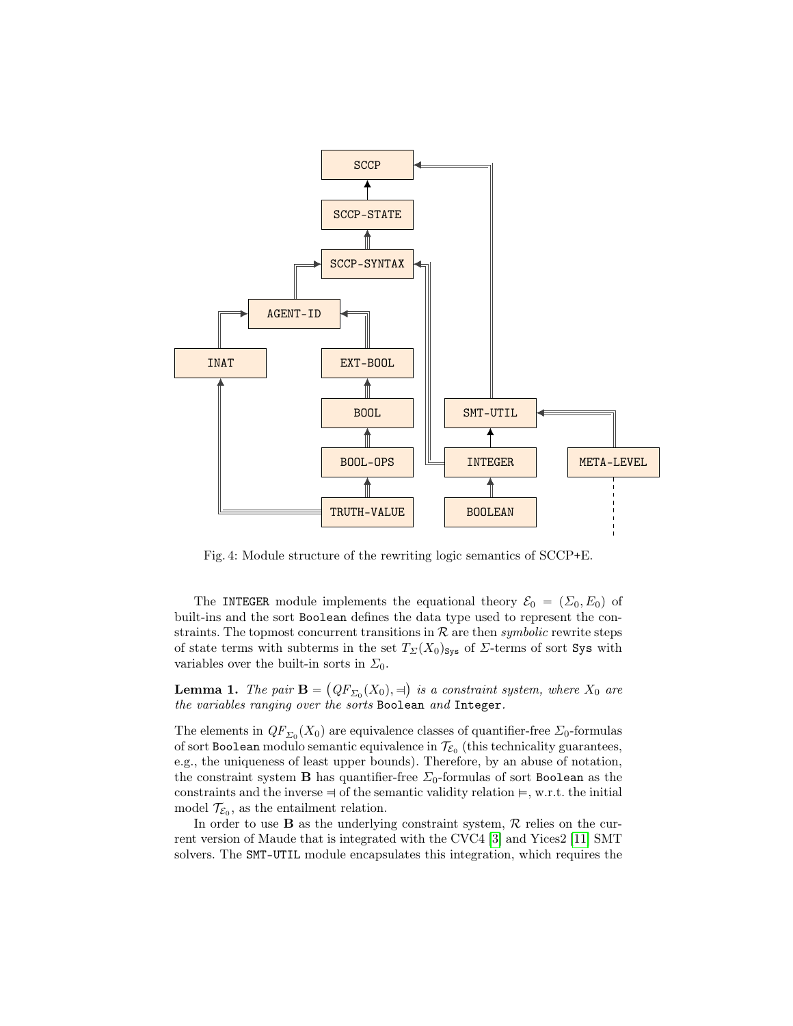<span id="page-13-0"></span>

Fig. 4: Module structure of the rewriting logic semantics of SCCP+E.

The INTEGER module implements the equational theory  $\mathcal{E}_0 = (\Sigma_0, E_0)$  of built-ins and the sort Boolean defines the data type used to represent the constraints. The topmost concurrent transitions in  $R$  are then *symbolic* rewrite steps of state terms with subterms in the set  $T_{\Sigma}(X_0)_{\text{Sys}}$  of  $\Sigma$ -terms of sort Sys with variables over the built-in sorts in  $\Sigma_0$ .

**Lemma 1.** The pair  $\mathbf{B} = (QF_{\Sigma_0}(X_0), \exists)$  is a constraint system, where  $X_0$  are the variables ranging over the sorts Boolean and Integer.

The elements in  $QF_{\Sigma_0}(X_0)$  are equivalence classes of quantifier-free  $\Sigma_0$ -formulas of sort Boolean modulo semantic equivalence in  $\mathcal{T}_{\mathcal{E}_0}$  (this technicality guarantees, e.g., the uniqueness of least upper bounds). Therefore, by an abuse of notation, the constraint system **B** has quantifier-free  $\Sigma_0$ -formulas of sort Boolean as the constraints and the inverse  $\Rightarrow$  of the semantic validity relation  $\models$ , w.r.t. the initial model  $\mathcal{T}_{\mathcal{E}_0}$ , as the entailment relation.

In order to use **B** as the underlying constraint system,  $\mathcal{R}$  relies on the current version of Maude that is integrated with the CVC4 [\[3\]](#page-31-1) and Yices2 [\[11\]](#page-32-10) SMT solvers. The SMT-UTIL module encapsulates this integration, which requires the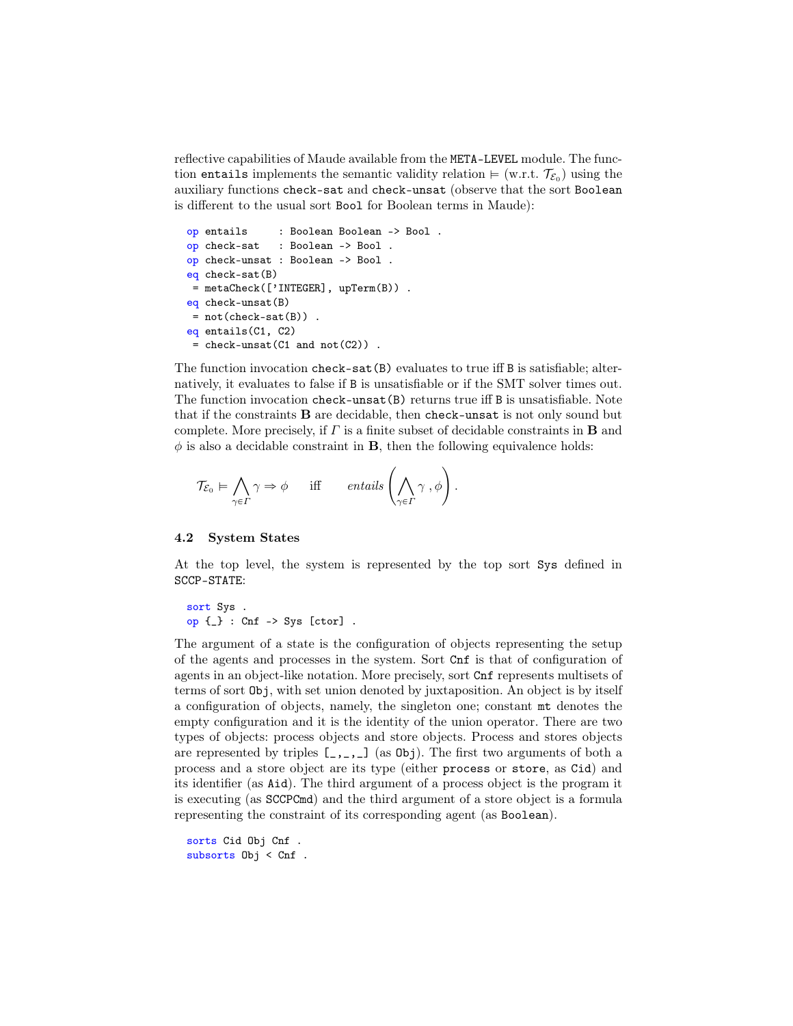reflective capabilities of Maude available from the META-LEVEL module. The function entails implements the semantic validity relation  $\models$  (w.r.t.  $\mathcal{T}_{\mathcal{E}_0}$ ) using the auxiliary functions check-sat and check-unsat (observe that the sort Boolean is different to the usual sort Bool for Boolean terms in Maude):

```
op entails : Boolean Boolean -> Bool .
op check-sat : Boolean -> Bool .
op check-unsat : Boolean -> Bool .
eq check-sat(B)
 = metaCheck(['INTEGER], upTerm(B)) .
eq check-unsat(B)
 = not(check-sat(B)).
eq entails(C1, C2)
 = check-unsat(C1 and not(C2)).
```
The function invocation check-sat(B) evaluates to true iff B is satisfiable; alternatively, it evaluates to false if B is unsatisfiable or if the SMT solver times out. The function invocation check-unsat(B) returns true iff B is unsatisfiable. Note that if the constraints B are decidable, then check-unsat is not only sound but complete. More precisely, if  $\Gamma$  is a finite subset of decidable constraints in **B** and  $\phi$  is also a decidable constraint in **B**, then the following equivalence holds:

$$
\mathcal{T}_{\mathcal{E}_0} \vDash \bigwedge_{\gamma \in \Gamma} \gamma \Rightarrow \phi \quad \text{ iff } \quad \text{ entails } \left( \bigwedge_{\gamma \in \Gamma} \gamma , \phi \right).
$$

#### 4.2 System States

At the top level, the system is represented by the top sort Sys defined in SCCP-STATE:

```
sort Sys .
op {_} : Cnf -> Sys [ctor] .
```
The argument of a state is the configuration of objects representing the setup of the agents and processes in the system. Sort Cnf is that of configuration of agents in an object-like notation. More precisely, sort Cnf represents multisets of terms of sort Obj, with set union denoted by juxtaposition. An object is by itself a configuration of objects, namely, the singleton one; constant mt denotes the empty configuration and it is the identity of the union operator. There are two types of objects: process objects and store objects. Process and stores objects are represented by triples  $[\,\_\,,\,\_\,,\,\_ \]$  (as Obj). The first two arguments of both a process and a store object are its type (either process or store, as Cid) and its identifier (as Aid). The third argument of a process object is the program it is executing (as SCCPCmd) and the third argument of a store object is a formula representing the constraint of its corresponding agent (as Boolean).

sorts Cid Obj Cnf . subsorts Obj < Cnf .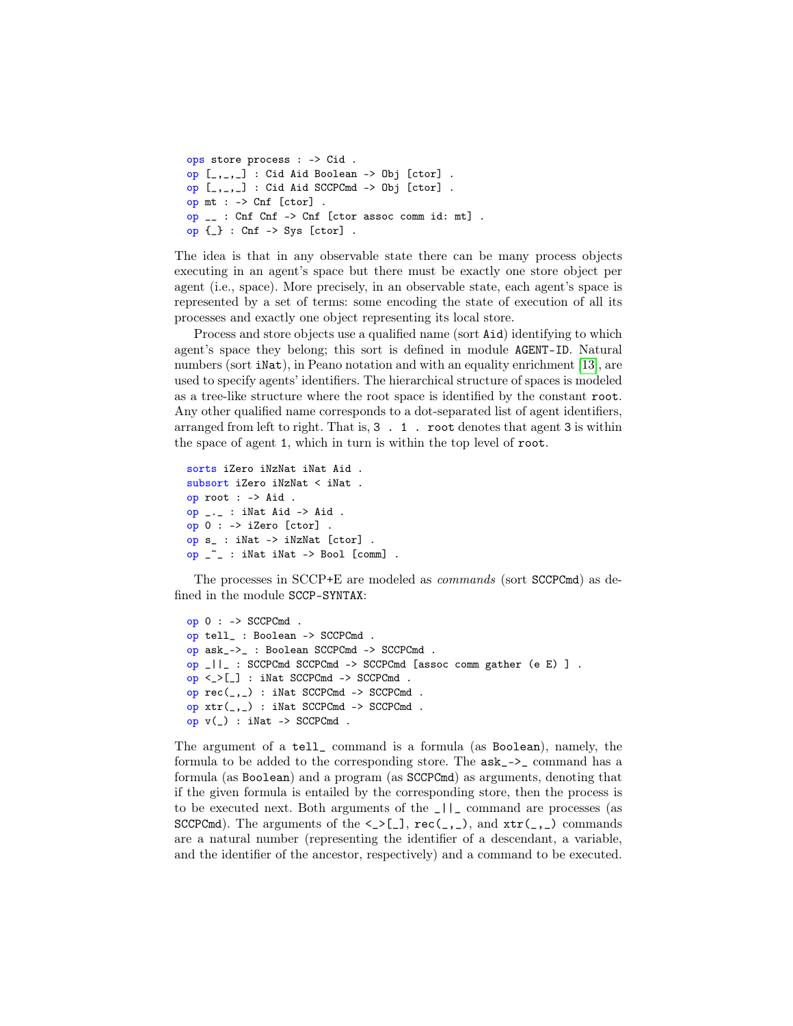```
ops store process : -> Cid .
op [, ] : Cid Aid Boolean -> Obj [ctor].
op [_,_,_] : Cid Aid SCCPCmd -> Obj [ctor] .
op mt : -> Cnf [ctor] .
op __ : Cnf Cnf -> Cnf [ctor assoc comm id: mt] .
op {_} : Cnf -> Sys [ctor] .
```
The idea is that in any observable state there can be many process objects executing in an agent's space but there must be exactly one store object per agent (i.e., space). More precisely, in an observable state, each agent's space is represented by a set of terms: some encoding the state of execution of all its processes and exactly one object representing its local store.

Process and store objects use a qualified name (sort Aid) identifying to which agent's space they belong; this sort is defined in module AGENT-ID. Natural numbers (sort iNat), in Peano notation and with an equality enrichment [\[13\]](#page-32-12), are used to specify agents' identifiers. The hierarchical structure of spaces is modeled as a tree-like structure where the root space is identified by the constant root. Any other qualified name corresponds to a dot-separated list of agent identifiers, arranged from left to right. That is, 3 . 1 . root denotes that agent 3 is within the space of agent 1, which in turn is within the top level of root.

```
sorts iZero iNzNat iNat Aid .
subsort iZero iNzNat < iNat .
op root : -> Aid .
op _._ : iNat Aid -> Aid .
op 0 : -> iZero [ctor] .
op s_ : iNat -> iNzNat [ctor] .
op _~_ : iNat iNat -> Bool [comm] .
```
The processes in SCCP+E are modeled as commands (sort SCCPCmd) as defined in the module SCCP-SYNTAX:

```
op 0 : -> SCCPCmd .
op tell_ : Boolean -> SCCPCmd .
op ask_->_ : Boolean SCCPCmd -> SCCPCmd .
op _||_ : SCCPCmd SCCPCmd -> SCCPCmd [assoc comm gather (e E) ] .
op <_>[_] : iNat SCCPCmd -> SCCPCmd .
op rec(_,_) : iNat SCCPCmd -> SCCPCmd .
op xtr(_,_) : iNat SCCPCmd -> SCCPCmd .
op v(\_) : iNat -> SCCPCmd.
```
The argument of a tell\_ command is a formula (as Boolean), namely, the formula to be added to the corresponding store. The  $ask_-\geq$  command has a formula (as Boolean) and a program (as SCCPCmd) as arguments, denoting that if the given formula is entailed by the corresponding store, then the process is to be executed next. Both arguments of the \_||\_ command are processes (as SCCPCmd). The arguments of the  $\leq$ >[\_], rec(\_,\_), and  $xtr($ \_,\_) commands are a natural number (representing the identifier of a descendant, a variable, and the identifier of the ancestor, respectively) and a command to be executed.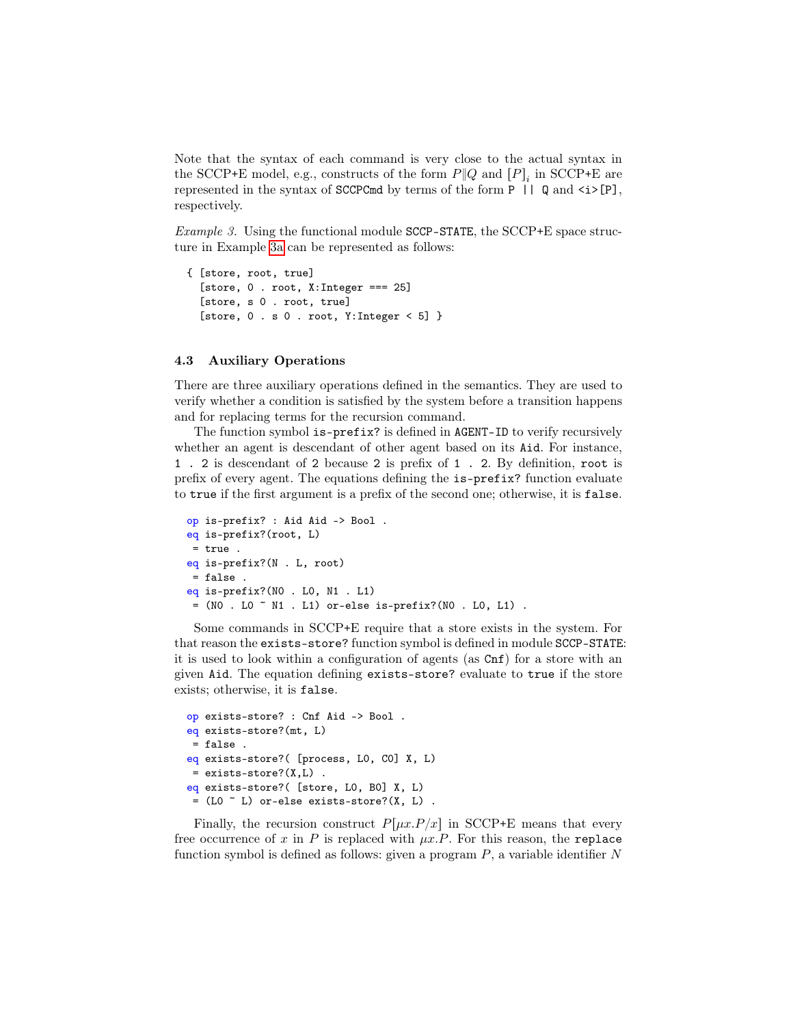Note that the syntax of each command is very close to the actual syntax in the SCCP+E model, e.g., constructs of the form  $P\|Q$  and  $[P]_i$  in SCCP+E are represented in the syntax of SCCPCmd by terms of the form  $P$  ||  $Q$  and  $\langle i \rangle [P]$ , respectively.

<span id="page-16-0"></span>*Example 3.* Using the functional module  $SCCP-STATE$ , the  $SCCP+E$  space structure in Example [3a](#page-11-0) can be represented as follows:

```
{ [store, root, true]
  [store, 0. root, X:Integer === 25]
  [store, s 0 . root, true]
  [store, 0 \cdot s 0. root, Y: Integer \leq 5] }
```
## 4.3 Auxiliary Operations

There are three auxiliary operations defined in the semantics. They are used to verify whether a condition is satisfied by the system before a transition happens and for replacing terms for the recursion command.

The function symbol is-prefix? is defined in AGENT-ID to verify recursively whether an agent is descendant of other agent based on its Aid. For instance, 1 . 2 is descendant of 2 because 2 is prefix of 1 . 2. By definition, root is prefix of every agent. The equations defining the is-prefix? function evaluate to true if the first argument is a prefix of the second one; otherwise, it is false.

```
op is-prefix? : Aid Aid -> Bool .
eq is-prefix?(root, L)
= true .
eq is-prefix?(N . L, root)
 = false .
eq is-prefix?(N0 . L0, N1 . L1)
= (NO . LO ~ N1 . L1) or-else is-prefix?(NO . L0, L1).
```
Some commands in SCCP+E require that a store exists in the system. For that reason the exists-store? function symbol is defined in module SCCP-STATE: it is used to look within a configuration of agents (as Cnf) for a store with an given Aid. The equation defining exists-store? evaluate to true if the store exists; otherwise, it is false.

```
op exists-store? : Cnf Aid -> Bool .
eq exists-store?(mt, L)
= false .
eq exists-store?( [process, L0, C0] X, L)
 = exists-store?(X, L).
eq exists-store?( [store, L0, B0] X, L)
 = (L0 ~ L) or-else exists-store?(X, L) .
```
Finally, the recursion construct  $P[\mu x.P/x]$  in SCCP+E means that every free occurrence of x in P is replaced with  $\mu x.P$ . For this reason, the replace function symbol is defined as follows: given a program  $P$ , a variable identifier  $N$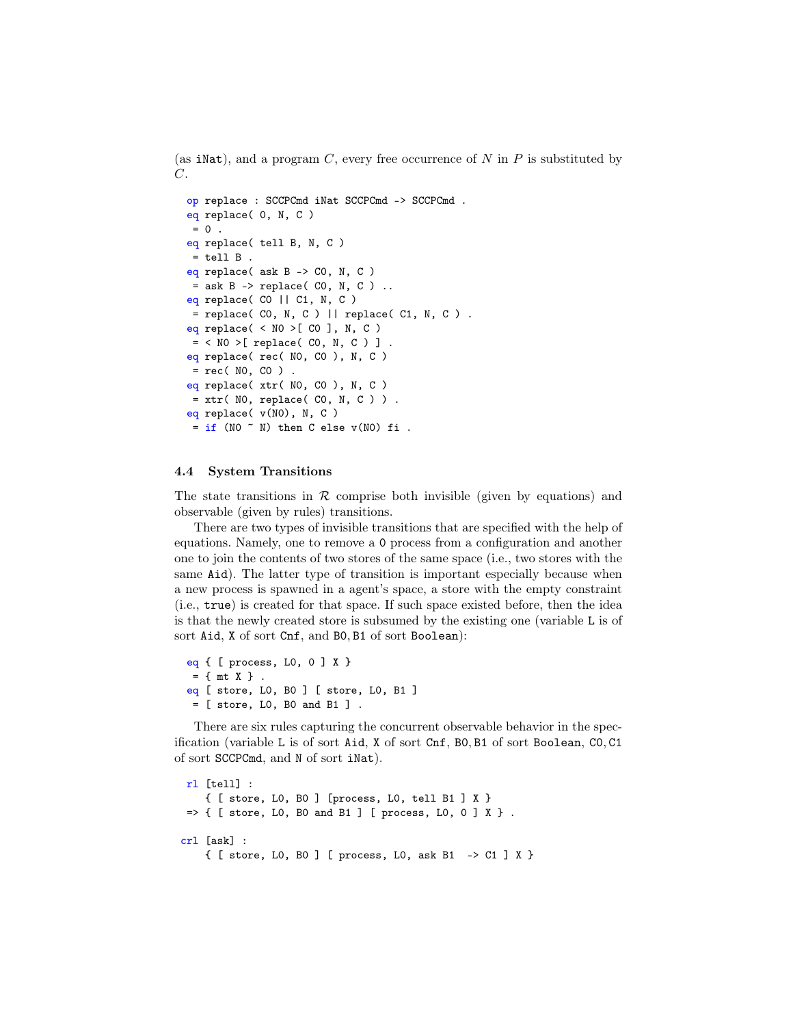(as iNat), and a program C, every free occurrence of N in P is substituted by  $C$ .

```
op replace : SCCPCmd iNat SCCPCmd -> SCCPCmd .
eq replace( 0, N, C )
= 0.
eq replace( tell B, N, C )
 = tell B.
eq replace( ask B -> C0, N, C )
 = ask B \rightarrow replace( CO, N, C ) ..
eq replace( C0 || C1, N, C )
 = replace( CO, N, C ) || replace( C1, N, C ) .
eq replace( \langle NO \rangle[ CO ], N, C )
 = < N0 >[ replace( C0, N, C ) ] .
eq replace( rec( N0, C0 ), N, C )
 = rec( NO, CO ).
eq replace( xtr( N0, C0 ), N, C )
 = xtr( NO, replace( CO, N, C ) ).
eq replace( v(N0), N, C )
 = if (NO \tilde{}} N) then C else v(NO) fi .
```
#### 4.4 System Transitions

The state transitions in  $\mathcal R$  comprise both invisible (given by equations) and observable (given by rules) transitions.

There are two types of invisible transitions that are specified with the help of equations. Namely, one to remove a 0 process from a configuration and another one to join the contents of two stores of the same space (i.e., two stores with the same Aid). The latter type of transition is important especially because when a new process is spawned in a agent's space, a store with the empty constraint (i.e., true) is created for that space. If such space existed before, then the idea is that the newly created store is subsumed by the existing one (variable L is of sort Aid, X of sort Cnf, and B0, B1 of sort Boolean):

```
eq { [ process, L0, 0 ] X }
= \{ mt X \}.
eq [ store, L0, B0 ] [ store, L0, B1 ]
= [ store, L0, B0 and B1 ] .
```
There are six rules capturing the concurrent observable behavior in the specification (variable L is of sort Aid, X of sort Cnf, B0, B1 of sort Boolean, C0, C1 of sort SCCPCmd, and N of sort iNat).

```
rl [tell] :
    { [ store, L0, B0 ] [process, L0, tell B1 ] X }
\Rightarrow { [ store, LO, BO and B1 ] [ process, LO, O ] X }.
crl [ask] :
    { [ store, L0, B0 ] [ process, L0, ask B1 -> C1 ] X }
```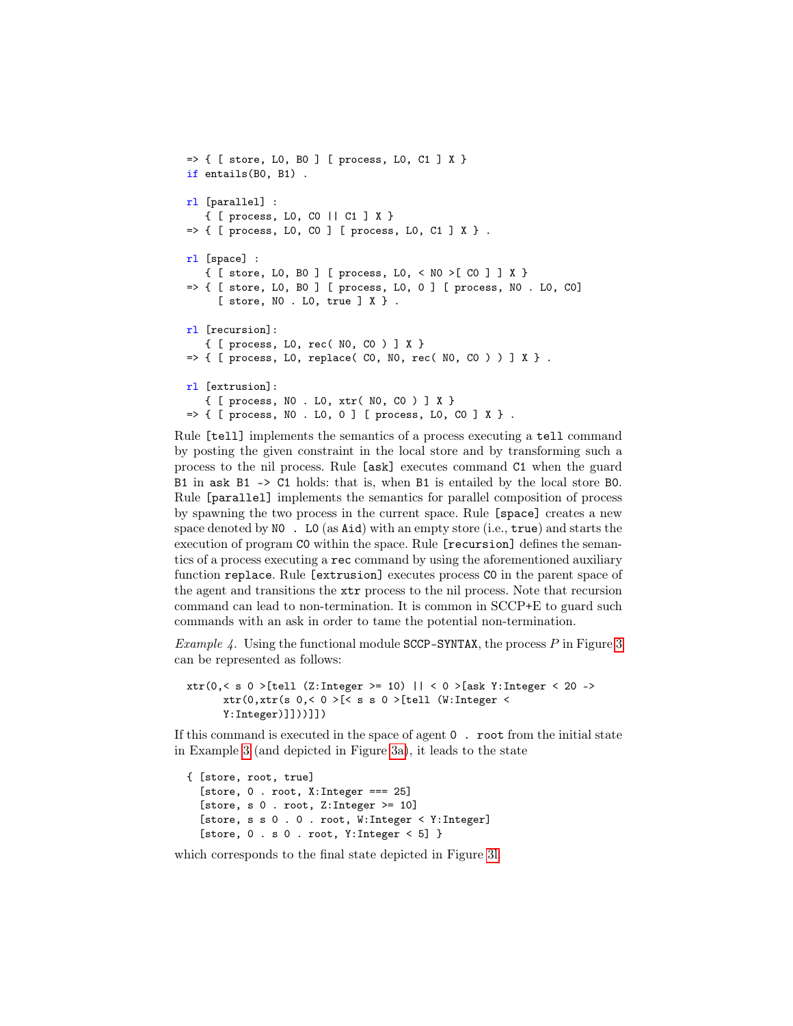```
=> { [ store, L0, B0 ] [ process, L0, C1 ] X }
if entails(B0, B1) .
rl [parallel] :
   { [ process, L0, C0 || C1 ] X }
\Rightarrow { [ process, LO, CO ] [ process, LO, C1 ] X }.
rl [space] :
   { [ store, L0, B0 ] [ process, L0, < N0 >[ C0 ] ] X }
=> { [ store, L0, B0 ] [ process, L0, 0 ] [ process, N0 . L0, C0]
     [ store, N0 . L0, true ] X } .
rl [recursion]:
   { [ process, L0, rec( N0, C0 ) ] X }
\Rightarrow { [ process, LO, replace( CO, NO, rec( NO, CO ) ) ] X }.
rl [extrusion]:
   { [ process, N0 . L0, xtr( N0, C0 ) ] X }
\Rightarrow { [ process, NO . LO, O ] [ process, LO, CO ] X } .
```
Rule [tell] implements the semantics of a process executing a tell command by posting the given constraint in the local store and by transforming such a process to the nil process. Rule [ask] executes command C1 when the guard B1 in ask B1 -> C1 holds: that is, when B1 is entailed by the local store B0. Rule [parallel] implements the semantics for parallel composition of process by spawning the two process in the current space. Rule [space] creates a new space denoted by  $NO$ . LO (as Aid) with an empty store (i.e., true) and starts the execution of program C0 within the space. Rule [recursion] defines the semantics of a process executing a rec command by using the aforementioned auxiliary function replace. Rule [extrusion] executes process C0 in the parent space of the agent and transitions the xtr process to the nil process. Note that recursion command can lead to non-termination. It is common in SCCP+E to guard such commands with an ask in order to tame the potential non-termination.

*Example 4.* Using the functional module SCCP-SYNTAX, the process  $P$  in Figure [3](#page-11-0) can be represented as follows:

```
xtr(0,< s 0 >[tell (Z:Integer >= 10) || < 0 >[ask Y:Integer < 20 ->
      xtr(0,xtr(s 0,< 0 >[< s s 0 >[tell (W:Integer <
      Y:Integer)]]))]])
```
If this command is executed in the space of agent 0 . root from the initial state in Example [3](#page-16-0) (and depicted in Figure [3a\)](#page-11-0), it leads to the state

```
{ [store, root, true]
  [store, 0 . root, X:Integer === 25]
  [store, s \ 0. root, Z:Integer >= 10]
  [store, s s 0 . 0 . root, W:Integer < Y:Integer]
  [store, 0 \t s 0 \t root, Y: Integer < 5]
```
which corresponds to the final state depicted in Figure [3l.](#page-11-0)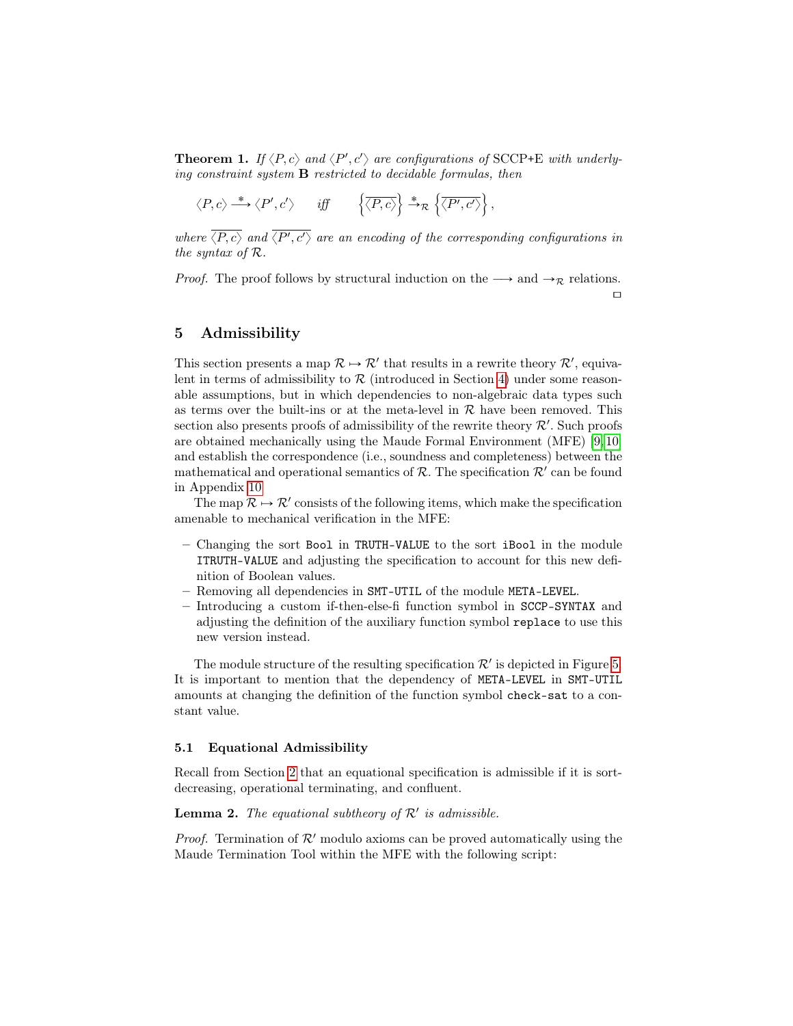**Theorem 1.** If  $\langle P, c \rangle$  and  $\langle P', c' \rangle$  are configurations of SCCP+E with underlying constraint system B restricted to decidable formulas, then !

$$
\langle P, c \rangle \stackrel{*}{\longrightarrow} \langle P', c' \rangle
$$
 iff  $\left\{ \overline{\langle P, c \rangle} \right\} \stackrel{*}{\rightarrow}_{\mathcal{R}} \left\{ \overline{\langle P', c' \rangle} \right\},$ 

where  $\langle P, c \rangle$  and  $\langle P', c' \rangle$  are an encoding of the corresponding configurations in the syntax of R.

*Proof.* The proof follows by structural induction on the  $\longrightarrow$  and  $\rightarrow_{\mathcal{R}}$  relations.  $\Box$ 

## <span id="page-19-1"></span>5 Admissibility

This section presents a map  $\mathcal{R} \mapsto \mathcal{R}'$  that results in a rewrite theory  $\mathcal{R}',$  equivalent in terms of admissibility to  $\mathcal R$  (introduced in Section [4\)](#page-10-0) under some reasonable assumptions, but in which dependencies to non-algebraic data types such as terms over the built-ins or at the meta-level in  $\mathcal R$  have been removed. This section also presents proofs of admissibility of the rewrite theory  $\mathcal{R}'$ . Such proofs are obtained mechanically using the Maude Formal Environment (MFE) [\[9,](#page-32-8) [10\]](#page-32-9) and establish the correspondence (i.e., soundness and completeness) between the mathematical and operational semantics of  $R$ . The specification  $R'$  can be found in Appendix [10](#page-38-0)

The map  $\mathcal{R} \mapsto \mathcal{R}'$  consists of the following items, which make the specification amenable to mechanical verification in the MFE:

- Changing the sort Bool in TRUTH-VALUE to the sort iBool in the module ITRUTH-VALUE and adjusting the specification to account for this new definition of Boolean values.
- Removing all dependencies in SMT-UTIL of the module META-LEVEL.
- Introducing a custom if-then-else-fi function symbol in SCCP-SYNTAX and adjusting the definition of the auxiliary function symbol replace to use this new version instead.

The module structure of the resulting specification  $\mathcal{R}'$  is depicted in Figure [5.](#page-20-0) It is important to mention that the dependency of META-LEVEL in SMT-UTIL amounts at changing the definition of the function symbol check-sat to a constant value.

#### 5.1 Equational Admissibility

Recall from Section [2](#page-2-0) that an equational specification is admissible if it is sortdecreasing, operational terminating, and confluent.

## <span id="page-19-0"></span>**Lemma 2.** The equational subtheory of  $\mathcal{R}'$  is admissible.

*Proof.* Termination of  $\mathcal{R}'$  modulo axioms can be proved automatically using the Maude Termination Tool within the MFE with the following script: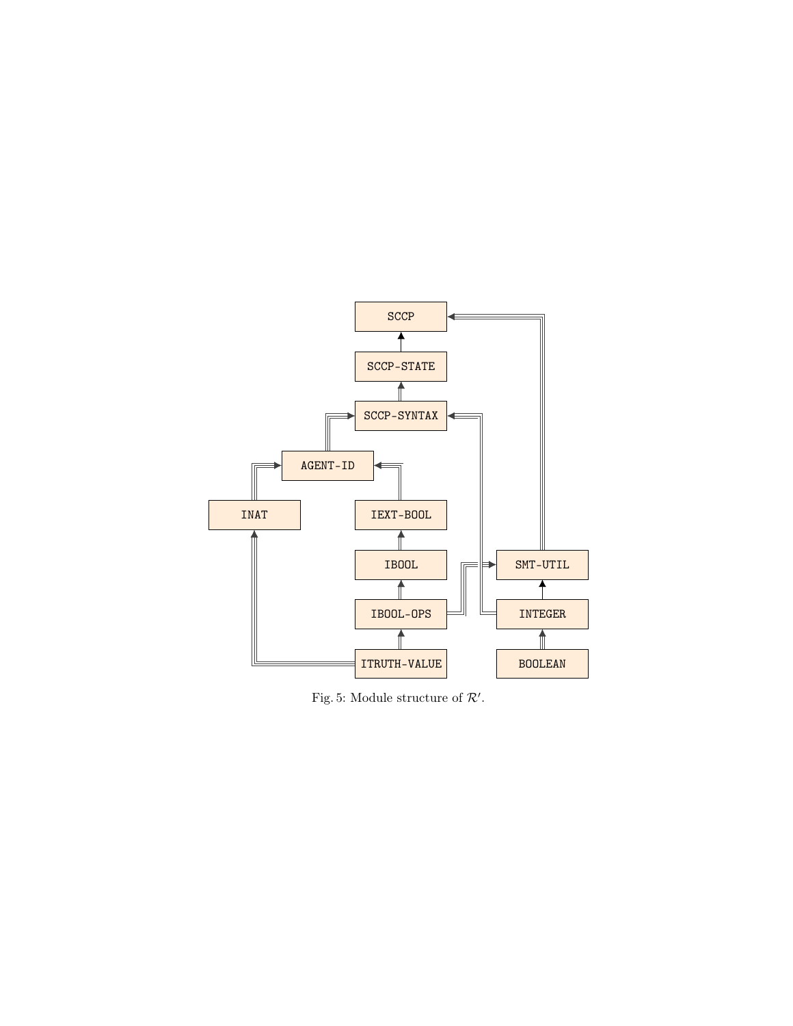<span id="page-20-0"></span>

Fig. 5: Module structure of  $\mathcal{R}'$ .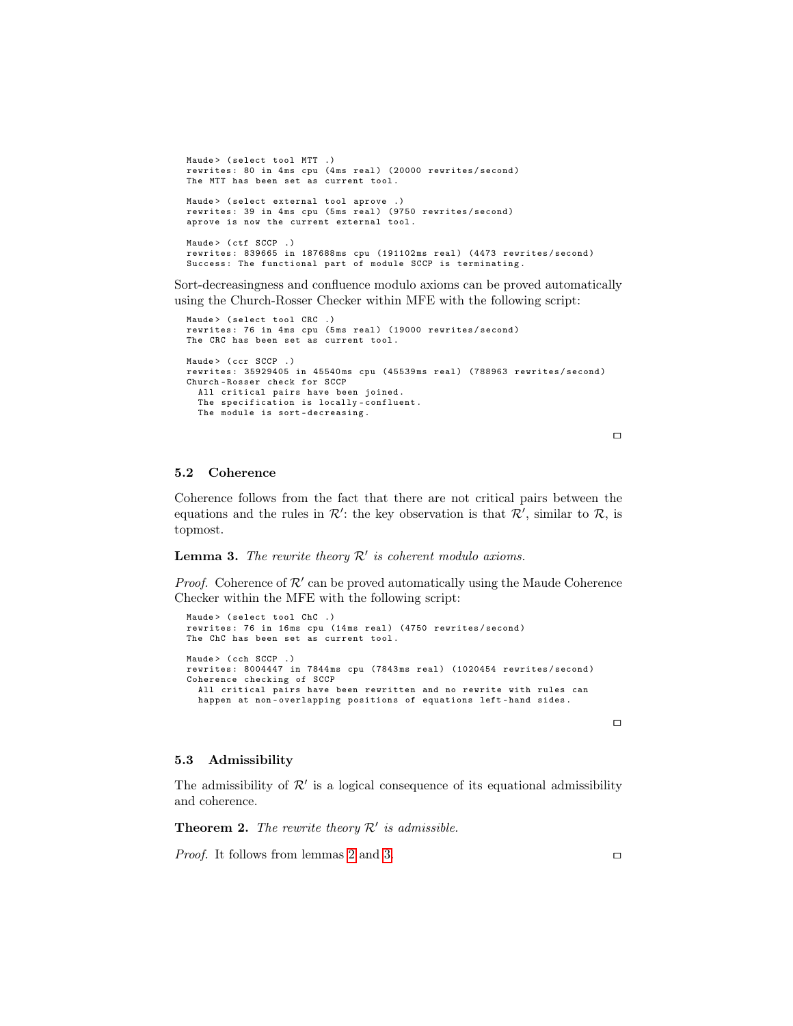```
Maude> (select tool MTT .)
rewrites: 80 in 4ms cpu (4ms real) (20000 rewrites/second)
The MTT has been set as current tool .
Maude> (select external tool aprove .)
rewrites: 39 in 4ms cpu (5ms real) (9750 rewrites/second)
aprove is now the current external tool .
Maude> (ctf SCCP .)
rewrites: 839665 in 187688ms cpu (191102ms real) (4473 rewrites/second)
Success: The functional part of module SCCP is terminating.
```
Sort-decreasingness and confluence modulo axioms can be proved automatically using the Church-Rosser Checker within MFE with the following script:

```
Maude> (select tool CRC .)
rewrites: 76 in 4ms cpu (5ms real) (19000 rewrites/second)
The CRC has been set as current tool .
Maude> (ccr SCCP .)
rewrites: 35929405 in 45540ms cpu (45539ms real) (788963 rewrites/second)
Church - Rosser check for SCCP
  All critical pairs have been joined .
  The specification is locally - confluent .
  The module is sort - decreasing .
```
 $\Box$ 

#### 5.2 Coherence

Coherence follows from the fact that there are not critical pairs between the equations and the rules in  $\mathcal{R}'$ : the key observation is that  $\mathcal{R}'$ , similar to  $\mathcal{R}$ , is topmost.

## <span id="page-21-0"></span>**Lemma 3.** The rewrite theory  $\mathcal{R}'$  is coherent modulo axioms.

*Proof.* Coherence of  $\mathcal{R}'$  can be proved automatically using the Maude Coherence Checker within the MFE with the following script:

```
Maude> (select tool ChC.)
rewrites: 76 in 16ms cpu (14ms real) (4750 rewrites/second)
The ChC has been set as current tool .
Maude> (cch SCCP .)
rewrites: 8004447 in 7844ms cpu (7843ms real) (1020454 rewrites/second)
Coherence checking of SCCP
  All critical pairs have been rewritten and no rewrite with rules can
  happen at non-overlapping positions of equations left-hand sides.
```
 $\Box$ 

#### 5.3 Admissibility

The admissibility of  $\mathcal{R}'$  is a logical consequence of its equational admissibility and coherence.

**Theorem 2.** The rewrite theory  $\mathcal{R}'$  is admissible.

*Proof.* It follows from lemmas [2](#page-19-0) and [3.](#page-21-0)  $\Box$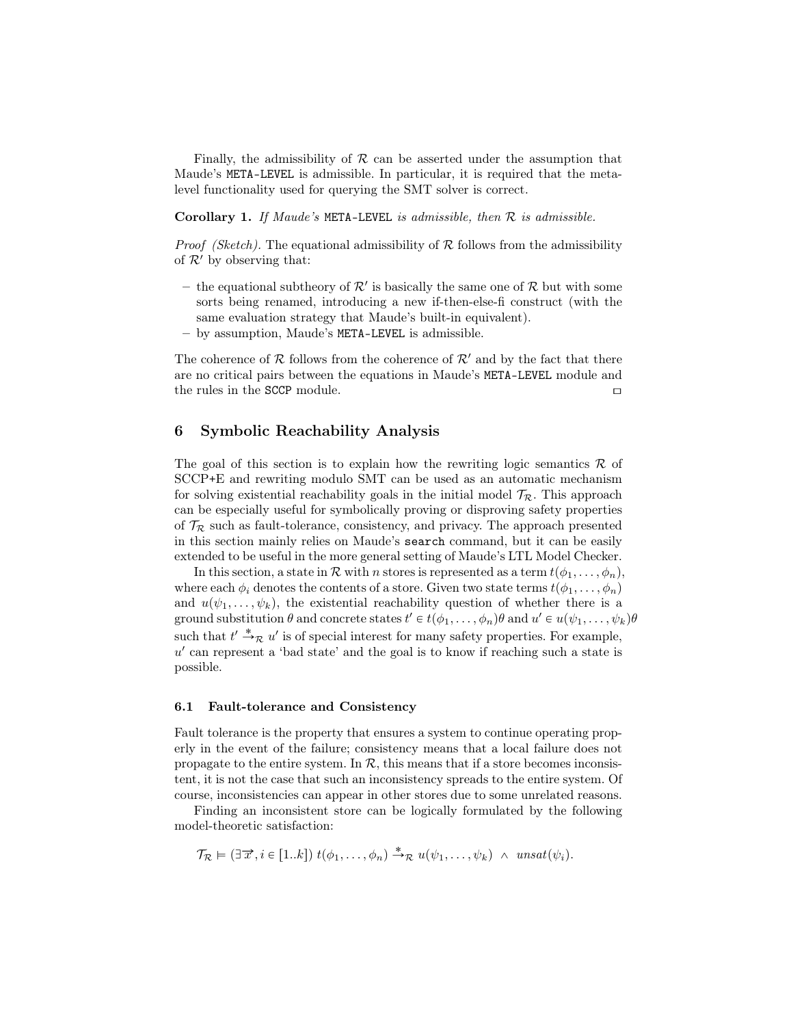Finally, the admissibility of  $R$  can be asserted under the assumption that Maude's META-LEVEL is admissible. In particular, it is required that the metalevel functionality used for querying the SMT solver is correct.

**Corollary 1.** If Maude's META-LEVEL is admissible, then  $\mathcal{R}$  is admissible.

*Proof (Sketch)*. The equational admissibility of  $\mathcal R$  follows from the admissibility of  $\mathcal{R}'$  by observing that:

- the equational subtheory of  $\mathcal{R}'$  is basically the same one of  $\mathcal{R}$  but with some sorts being renamed, introducing a new if-then-else-fi construct (with the same evaluation strategy that Maude's built-in equivalent).
- by assumption, Maude's META-LEVEL is admissible.

The coherence of  $\mathcal R$  follows from the coherence of  $\mathcal R'$  and by the fact that there are no critical pairs between the equations in Maude's META-LEVEL module and the rules in the SCCP module.  $\Box$ 

## <span id="page-22-0"></span>6 Symbolic Reachability Analysis

The goal of this section is to explain how the rewriting logic semantics  $\mathcal R$  of SCCP+E and rewriting modulo SMT can be used as an automatic mechanism for solving existential reachability goals in the initial model  $\mathcal{T}_{\mathcal{R}}$ . This approach can be especially useful for symbolically proving or disproving safety properties of  $\mathcal{T}_{\mathcal{R}}$  such as fault-tolerance, consistency, and privacy. The approach presented in this section mainly relies on Maude's search command, but it can be easily extended to be useful in the more general setting of Maude's LTL Model Checker.

In this section, a state in  $\mathcal R$  with n stores is represented as a term  $t(\phi_1, \ldots, \phi_n)$ , where each  $\phi_i$  denotes the contents of a store. Given two state terms  $t(\phi_1, \ldots, \phi_n)$ and  $u(\psi_1, \ldots, \psi_k)$ , the existential reachability question of whether there is a ground substitution  $\theta$  and concrete states  $t' \in t(\phi_1,\ldots,\phi_n)\theta$  and  $u' \in u(\psi_1,\ldots,\psi_k)\theta$ such that  $t' \stackrel{*}{\rightarrow} \mathcal{R} u'$  is of special interest for many safety properties. For example,  $u'$  can represent a 'bad state' and the goal is to know if reaching such a state is possible.

#### 6.1 Fault-tolerance and Consistency

Fault tolerance is the property that ensures a system to continue operating properly in the event of the failure; consistency means that a local failure does not propagate to the entire system. In  $\mathcal{R}$ , this means that if a store becomes inconsistent, it is not the case that such an inconsistency spreads to the entire system. Of course, inconsistencies can appear in other stores due to some unrelated reasons.

Finding an inconsistent store can be logically formulated by the following model-theoretic satisfaction:

$$
\mathcal{T}_{\mathcal{R}} \models (\exists \overrightarrow{x}, i \in [1..k]) t(\phi_1, \ldots, \phi_n) \stackrel{*}{\rightarrow}_{\mathcal{R}} u(\psi_1, \ldots, \psi_k) \land \text{unsat}(\psi_i).
$$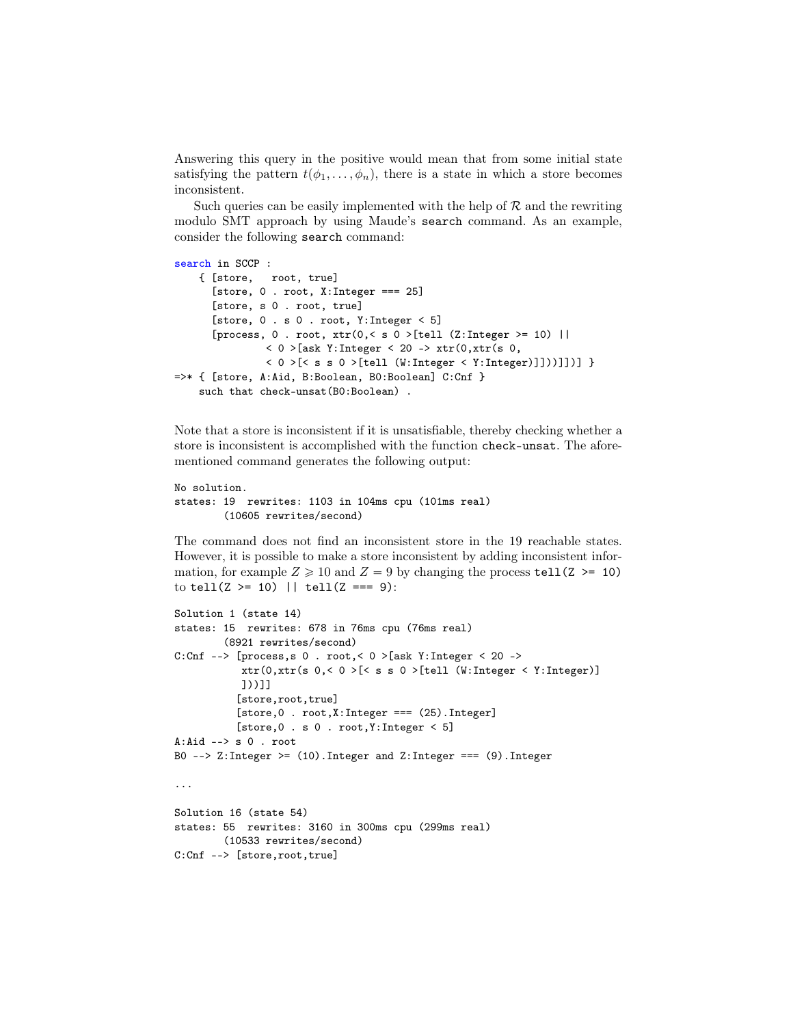Answering this query in the positive would mean that from some initial state satisfying the pattern  $t(\phi_1, \ldots, \phi_n)$ , there is a state in which a store becomes inconsistent.

Such queries can be easily implemented with the help of  $R$  and the rewriting modulo SMT approach by using Maude's search command. As an example, consider the following search command:

```
search in SCCP :
    { [store, root, true]
      [store, 0 . root, X:Interger == 25]
      [store, s 0 . root, true]
      [store, 0 . s 0 . root, Y:Integer < 5]
      [process, 0. root, xtr(0, < s 0 > [tel1 (Z:Integer > = 10) ]]
               < 0 >[ask Y:Integer < 20 -> xtr(0, xtr(s 0,
               < 0 >[< s s 0 >[tell (W:Integer < Y:Integer)]]))]])] }
=>* { [store, A:Aid, B:Boolean, B0:Boolean] C:Cnf }
    such that check-unsat (B0: Boolean).
```
Note that a store is inconsistent if it is unsatisfiable, thereby checking whether a store is inconsistent is accomplished with the function check-unsat. The aforementioned command generates the following output:

```
No solution.
states: 19 rewrites: 1103 in 104ms cpu (101ms real)
        (10605 rewrites/second)
```
The command does not find an inconsistent store in the 19 reachable states. However, it is possible to make a store inconsistent by adding inconsistent information, for example  $Z \ge 10$  and  $Z = 9$  by changing the process tell(Z >= 10) to tell( $Z \ge 10$ ) || tell( $Z == 9$ ):

```
Solution 1 (state 14)
states: 15 rewrites: 678 in 76ms cpu (76ms real)
        (8921 rewrites/second)
C:Cnf --> [process,s 0 . root,< 0 > [ask Y:Integer < 20 ->
           xtr(0,xtr(s 0,< 0 >[< s s 0 >[tell (W:Integer < Y:Integer)]
           ]))]]
          [store,root,true]
          [store,0 . root,X:Integer === (25).Integer]
          [store,0 . s 0 . root,Y:Integer < 5]
A:Aid --> s 0 . root
B0 --> Z:Integer >= (10). Integer and Z:Integer === (9). Integer
...
Solution 16 (state 54)
states: 55 rewrites: 3160 in 300ms cpu (299ms real)
        (10533 rewrites/second)
C:Cnf --> [store,root,true]
```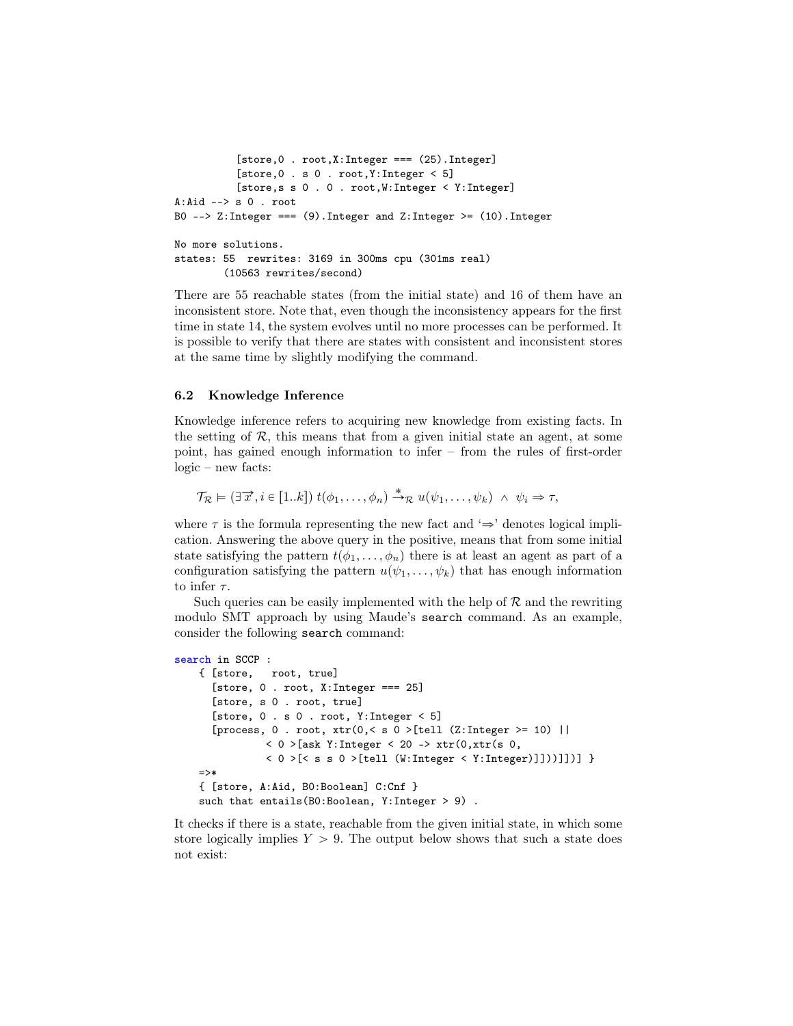```
[store,0 . root,X:Integer === (25).Integer]
          [store,0 . s 0 . root,Y:Integer < 5]
          [store,s s 0 . 0 . root,W:Integer < Y:Integer]
A:Aid --> S 0 . root
B0 --> Z:Integer === (9).Integer and Z:Integer >= (10).Integer
No more solutions.
states: 55 rewrites: 3169 in 300ms cpu (301ms real)
        (10563 rewrites/second)
```
There are 55 reachable states (from the initial state) and 16 of them have an inconsistent store. Note that, even though the inconsistency appears for the first time in state 14, the system evolves until no more processes can be performed. It is possible to verify that there are states with consistent and inconsistent stores at the same time by slightly modifying the command.

#### 6.2 Knowledge Inference

Knowledge inference refers to acquiring new knowledge from existing facts. In the setting of  $\mathcal{R}$ , this means that from a given initial state an agent, at some point, has gained enough information to infer – from the rules of first-order logic – new facts:

 $\mathcal{T}_{\mathcal{R}} \models (\exists \overrightarrow{x}, i \in [1..k]) t(\phi_1, \ldots, \phi_n) \stackrel{*}{\rightarrow}_{\mathcal{R}} u(\psi_1, \ldots, \psi_k) \land \psi_i \Rightarrow \tau,$ 

where  $\tau$  is the formula representing the new fact and ' $\Rightarrow$ ' denotes logical implication. Answering the above query in the positive, means that from some initial state satisfying the pattern  $t(\phi_1, \ldots, \phi_n)$  there is at least an agent as part of a configuration satisfying the pattern  $u(\psi_1, \ldots, \psi_k)$  that has enough information to infer  $\tau$ .

Such queries can be easily implemented with the help of  $\mathcal R$  and the rewriting modulo SMT approach by using Maude's search command. As an example, consider the following search command:

```
search in SCCP :
    { [store, root, true]
      [store, 0. root, X:Interger == 25]
      [store, s 0 . root, true]
      [store, 0 \t s 0. root, Y: Integer \lt 5]
      [process, 0 . root, xtr(0, < s 0) [tell (Z:Integer >= 10) ||
               < 0 >[ask Y:Integer < 20 -> xtr(0, xtr(s 0,
               < 0 >[< s s 0 >[tell (W:Integer < Y:Integer)]]))]])] }
    =>*
    { [store, A:Aid, B0:Boolean] C:Cnf }
    such that entails(B0:Boolean, Y:Integer > 9).
```
It checks if there is a state, reachable from the given initial state, in which some store logically implies  $Y > 9$ . The output below shows that such a state does not exist: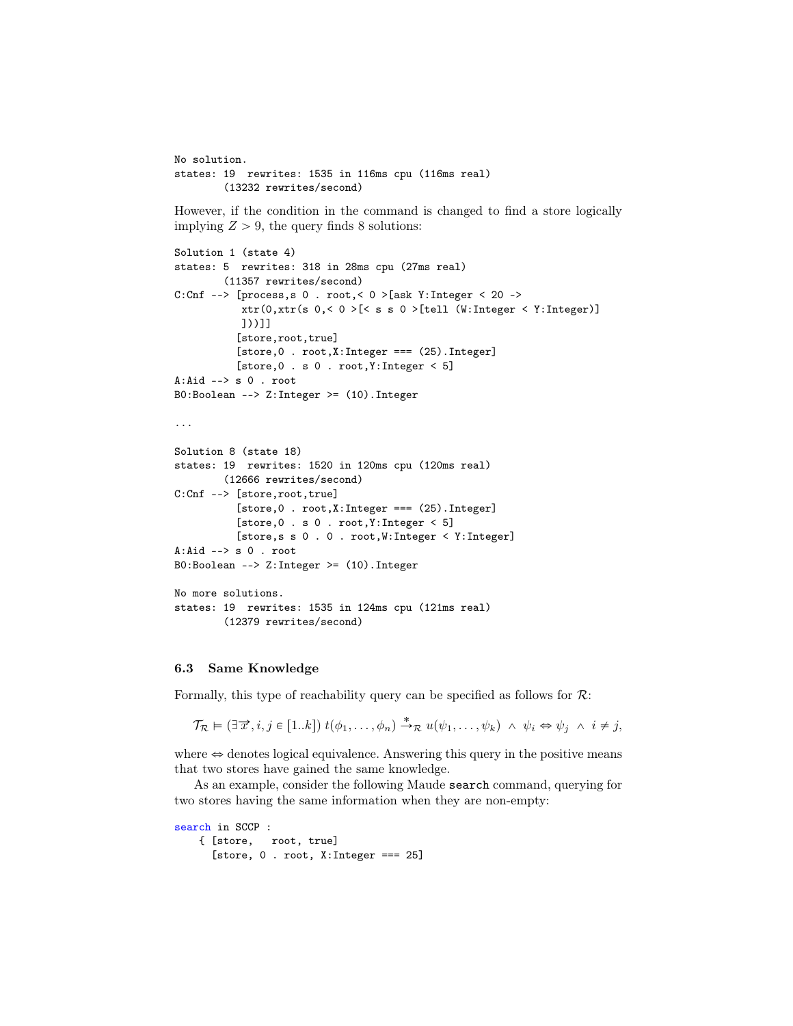```
No solution.
states: 19 rewrites: 1535 in 116ms cpu (116ms real)
        (13232 rewrites/second)
However, if the condition in the command is changed to find a store logically
implying Z > 9, the query finds 8 solutions:
Solution 1 (state 4)
states: 5 rewrites: 318 in 28ms cpu (27ms real)
        (11357 rewrites/second)
C:Cnf --> [process,s 0 . root,< 0 > [ask Y:Integer < 20 ->
           xtr(0,xtr(s 0,< 0 >[< s s 0 >[tell (W:Integer < Y:Integer)]
           ]))]]
          [store,root,true]
          [store, 0 . root, X: Integer == (25). Integer]
          [store,0 . s 0 . root,Y:Integer < 5]
A:Aid \leftarrow s 0 . root
B0:Boolean --> Z:Integer >= (10).Integer
...
Solution 8 (state 18)
states: 19 rewrites: 1520 in 120ms cpu (120ms real)
        (12666 rewrites/second)
C:Cnf --> [store,root,true]
          [store,0 . root,X:Integer === (25).Integer]
          [store, 0 . s 0 . root, Y: Integer < 5][store,s s 0 . 0 . root,W:Integer < Y:Integer]
A:Aid --> s 0 . root
B0:Boolean --> Z:Integer >= (10).Integer
No more solutions.
states: 19 rewrites: 1535 in 124ms cpu (121ms real)
        (12379 rewrites/second)
```
### 6.3 Same Knowledge

Formally, this type of reachability query can be specified as follows for  $\mathcal{R}$ :

 $\mathcal{T}_{\mathcal{R}} \models (\exists \overrightarrow{x}, i, j \in [1..k]) t(\phi_1, \ldots, \phi_n) \stackrel{*}{\rightarrow}_{\mathcal{R}} u(\psi_1, \ldots, \psi_k) \land \psi_i \Leftrightarrow \psi_j \land i \neq j,$ 

where  $\Leftrightarrow$  denotes logical equivalence. Answering this query in the positive means that two stores have gained the same knowledge.

As an example, consider the following Maude search command, querying for two stores having the same information when they are non-empty:

```
search in SCCP :
    { [store, root, true]
      [store, 0 . root, X:Interger == 25]
```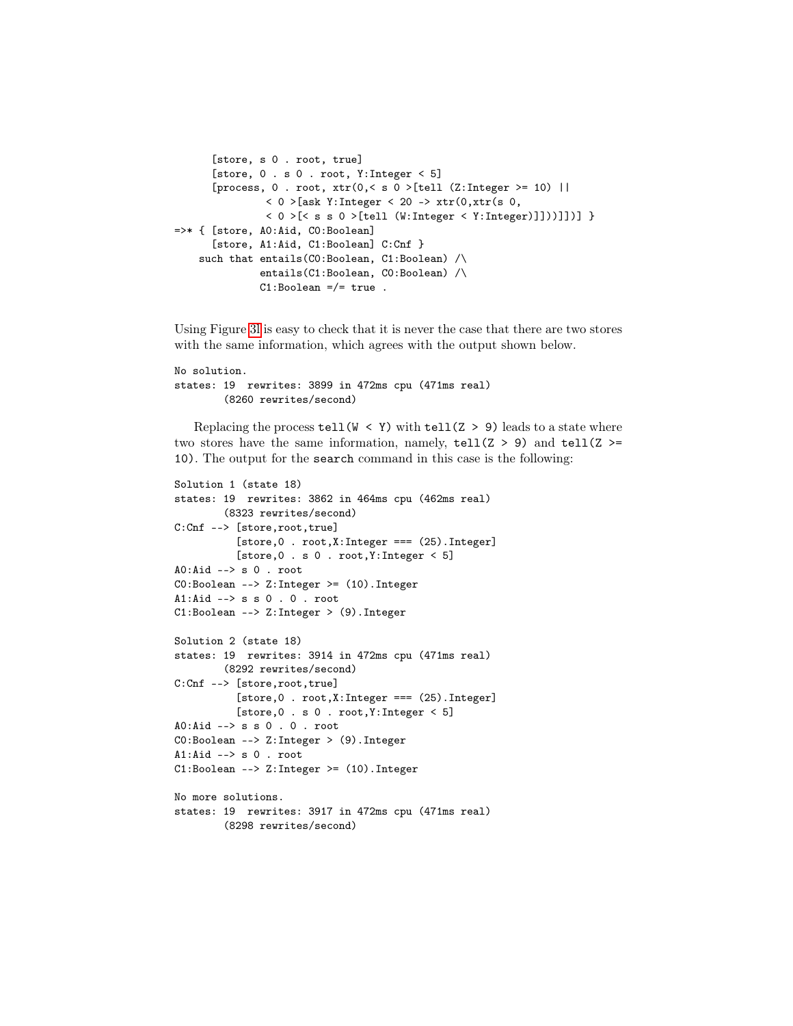```
[store, s 0 . root, true]
      [store, 0 . s 0 . root, Y:Integer < 5]
      [process, 0 . root, xtr(0, < s 0) [tell (Z:Integer >= 10) ||
               < 0 >[ask Y:Integer < 20 -> xtr(0, xtr(s 0,
               < 0 >[< s s 0 >[tell (W:Integer < Y:Integer)]]))]])] }
=>* { [store, A0:Aid, C0:Boolean]
      [store, A1:Aid, C1:Boolean] C:Cnf }
    such that entails(C0:Boolean, C1:Boolean) /\
              entails(C1:Boolean, C0:Boolean) /\
              C1:Boolean = /= true.
```
Using Figure [3l](#page-11-0) is easy to check that it is never the case that there are two stores with the same information, which agrees with the output shown below.

```
No solution.
states: 19 rewrites: 3899 in 472ms cpu (471ms real)
        (8260 rewrites/second)
```
Replacing the process tell (W < Y) with tell (Z > 9) leads to a state where two stores have the same information, namely,  $text{tell}(Z > 9)$  and  $text{tell}(Z >$ = 10). The output for the search command in this case is the following:

```
Solution 1 (state 18)
states: 19 rewrites: 3862 in 464ms cpu (462ms real)
        (8323 rewrites/second)
C:Cnf --> [store,root,true]
          [store,0 . root,X:Integer === (25).Integer]
          [store,0 . s 0 . root,Y:Integer < 5]
A0:Aid --> s 0 . root
C0:Boolean --> Z:Integer >= (10).Integer
A1:Aid --> s s 0 . 0 . root
C1:Boolean --> Z:Integer > (9).Integer
Solution 2 (state 18)
states: 19 rewrites: 3914 in 472ms cpu (471ms real)
        (8292 rewrites/second)
C:Cnf --> [store,root,true]
          [store,0 . root,X:Integer === (25).Integer]
          [store, 0 . s 0 . root, Y: Integer < 5]A0:Aid --> s s 0 . 0 . root
C0:Boolean --> Z:Integer > (9).Integer
A1:Aid --> s 0 . root
C1:Boolean --> Z:Integer >= (10).Integer
No more solutions.
states: 19 rewrites: 3917 in 472ms cpu (471ms real)
        (8298 rewrites/second)
```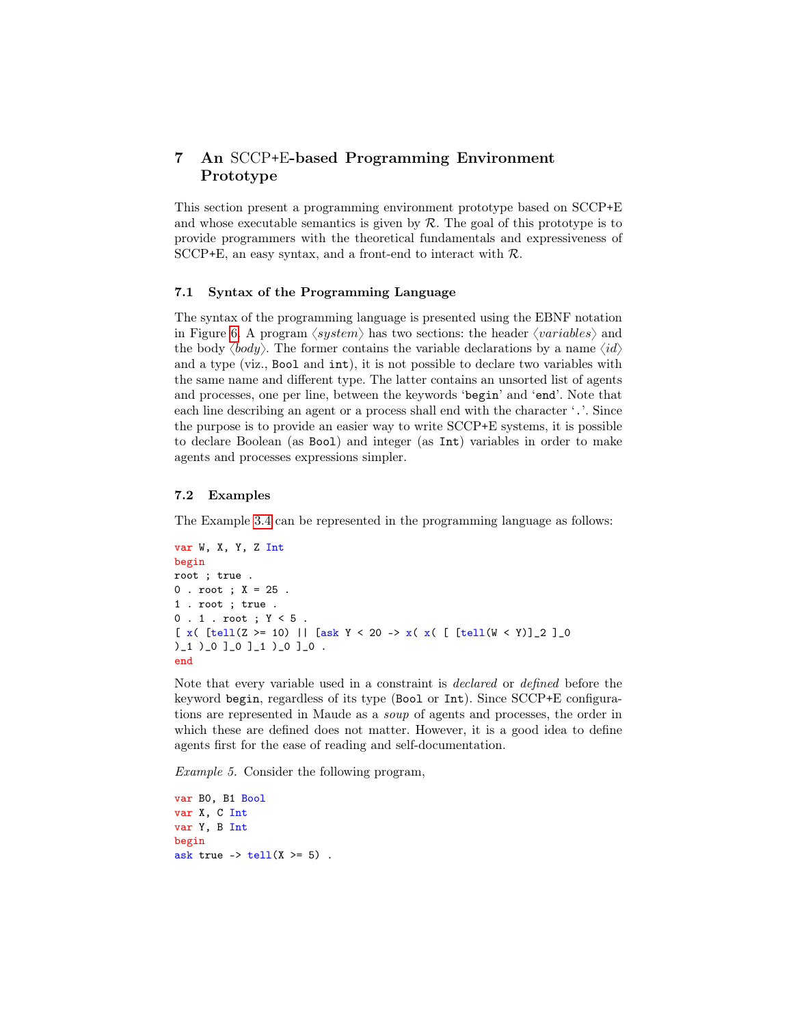## <span id="page-27-0"></span>7 An SCCP+E-based Programming Environment Prototype

This section present a programming environment prototype based on SCCP+E and whose executable semantics is given by  $R$ . The goal of this prototype is to provide programmers with the theoretical fundamentals and expressiveness of SCCP+E, an easy syntax, and a front-end to interact with  $\mathcal{R}$ .

## 7.1 Syntax of the Programming Language

The syntax of the programming language is presented using the EBNF notation in Figure [6.](#page-28-0) A program  $\langle system \rangle$  has two sections: the header  $\langle variables \rangle$  and the body  $\langle body \rangle$ . The former contains the variable declarations by a name  $\langle id \rangle$ and a type (viz., Bool and int), it is not possible to declare two variables with the same name and different type. The latter contains an unsorted list of agents and processes, one per line, between the keywords 'begin' and 'end'. Note that each line describing an agent or a process shall end with the character '.'. Since the purpose is to provide an easier way to write SCCP+E systems, it is possible to declare Boolean (as Bool) and integer (as Int) variables in order to make agents and processes expressions simpler.

#### 7.2 Examples

The Example [3.4](#page-10-1) can be represented in the programming language as follows:

```
var W, X, Y, Z Int
begin
root ; true .
0 . root ; X = 25 .
1 . root ; true .
0 . 1 . root ; Y < 5 .
[ x( [tell(Z >= 10) || [ask Y < 20 -> x(x) [ [tell(W < Y)]_2 ]_0
)_1 )_0 ]_0 ]_1 )_0 ]_0 .
end
```
Note that every variable used in a constraint is declared or defined before the keyword begin, regardless of its type (Bool or Int). Since SCCP+E configurations are represented in Maude as a soup of agents and processes, the order in which these are defined does not matter. However, it is a good idea to define agents first for the ease of reading and self-documentation.

Example 5. Consider the following program,

var B0, B1 Bool var X, C Int var Y, B Int begin ask true  $\rightarrow$  tell(X  $\geq$  5).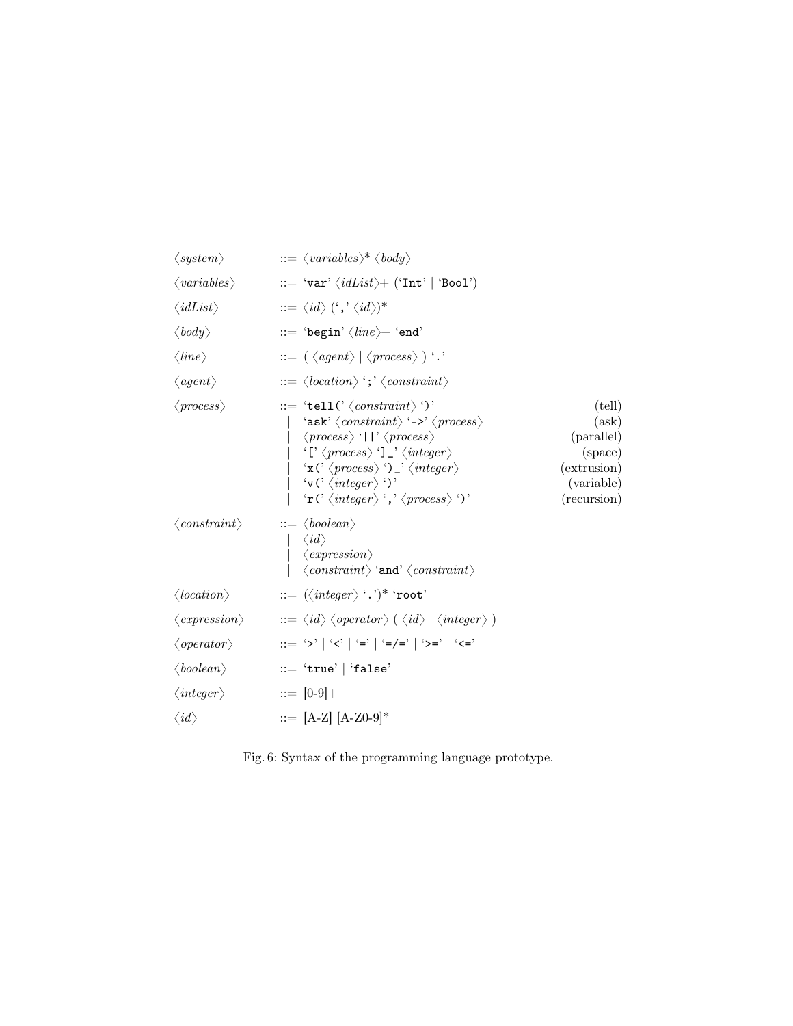<span id="page-28-0"></span>

| $\langle system \rangle$              | $ ::= \langle variables \rangle^* \langle body \rangle$                                                                                                                                                                                                                                                                                                                                                                                                                                                                                                |                                                                                      |
|---------------------------------------|--------------------------------------------------------------------------------------------------------------------------------------------------------------------------------------------------------------------------------------------------------------------------------------------------------------------------------------------------------------------------------------------------------------------------------------------------------------------------------------------------------------------------------------------------------|--------------------------------------------------------------------------------------|
| $\langle variables \rangle$           | $::= \ \ 'var'\ \langle idList\rangle + \ (\ 'Int\ ' \  \ \ 'Bool\ )$                                                                                                                                                                                                                                                                                                                                                                                                                                                                                  |                                                                                      |
| $\langle \textit{idList} \rangle$     | $\;\;::=\langle\emph{id}\rangle\,(\lq,^{\boldsymbol{*}}\langle\emph{id}\rangle)^*$                                                                                                                                                                                                                                                                                                                                                                                                                                                                     |                                                                                      |
| $\langle body \rangle$                |                                                                                                                                                                                                                                                                                                                                                                                                                                                                                                                                                        |                                                                                      |
| $\langle line \rangle$                | $\cdots = (\langle agent \rangle   \langle process \rangle )$ '.'                                                                                                                                                                                                                                                                                                                                                                                                                                                                                      |                                                                                      |
| $\langle agent \rangle$               | $\Rightarrow \langle location \rangle$ ; $\langle constant \rangle$                                                                                                                                                                                                                                                                                                                                                                                                                                                                                    |                                                                                      |
| $\langle process \rangle$             | $ ::= 'tell' \langle \textit{constraint} \rangle ')'$<br>'ask' $\langle constant \rangle$ '->' $\langle process \rangle$<br>$\langle process \rangle$ '  ' $\langle process \rangle$<br>$\langle \Gamma \langle process \rangle \cap \Gamma \rangle$ (integer)<br>$\langle x \, \langle \rangle \, \langle \, \text{process} \rangle \, \langle \rangle \, \rangle \, \langle \, \text{integer} \rangle$<br>$\forall v (\forall \langle integer \rangle \cdot)$<br>'r (' $\langle$ <i>integer</i> $\rangle$ ',' $\langle$ <i>process</i> $\rangle$ ')' | (tell)<br>(ask)<br>(parallel)<br>(space)<br>(extrusion)<br>(variable)<br>(recursion) |
| $\langle constant \rangle$            | $ ::= \langle boolean \rangle$<br>$ \langle id \rangle$<br>$\langle$ expression $\rangle$<br>$\langle \textit{constraint} \rangle$ 'and' $\langle \textit{constraint} \rangle$                                                                                                                                                                                                                                                                                                                                                                         |                                                                                      |
| $\langle location \rangle$            | $ ::= (\langle \text{integer} \rangle \cdot .) \cdot \text{root}$                                                                                                                                                                                                                                                                                                                                                                                                                                                                                      |                                                                                      |
| $\langle \textit{expression} \rangle$ | $\ket{m} \leq \bra{id} \bra{operator} \bra{id} \bra{integer}$                                                                                                                                                                                                                                                                                                                                                                                                                                                                                          |                                                                                      |
| $\langle operator \rangle$            | ::= '>'   '<'   '='   '=/='   '>='   '<='                                                                                                                                                                                                                                                                                                                                                                                                                                                                                                              |                                                                                      |
| $\langle boolean \rangle$             | $ ::= 'true'   'false'$                                                                                                                                                                                                                                                                                                                                                                                                                                                                                                                                |                                                                                      |
| $\langle integer \rangle$             | $ ::= [0-9]+$                                                                                                                                                                                                                                                                                                                                                                                                                                                                                                                                          |                                                                                      |
| $\langle id \rangle$                  | $ ::= [A-Z] [A-Z0-9]$ *                                                                                                                                                                                                                                                                                                                                                                                                                                                                                                                                |                                                                                      |

Fig. 6: Syntax of the programming language prototype.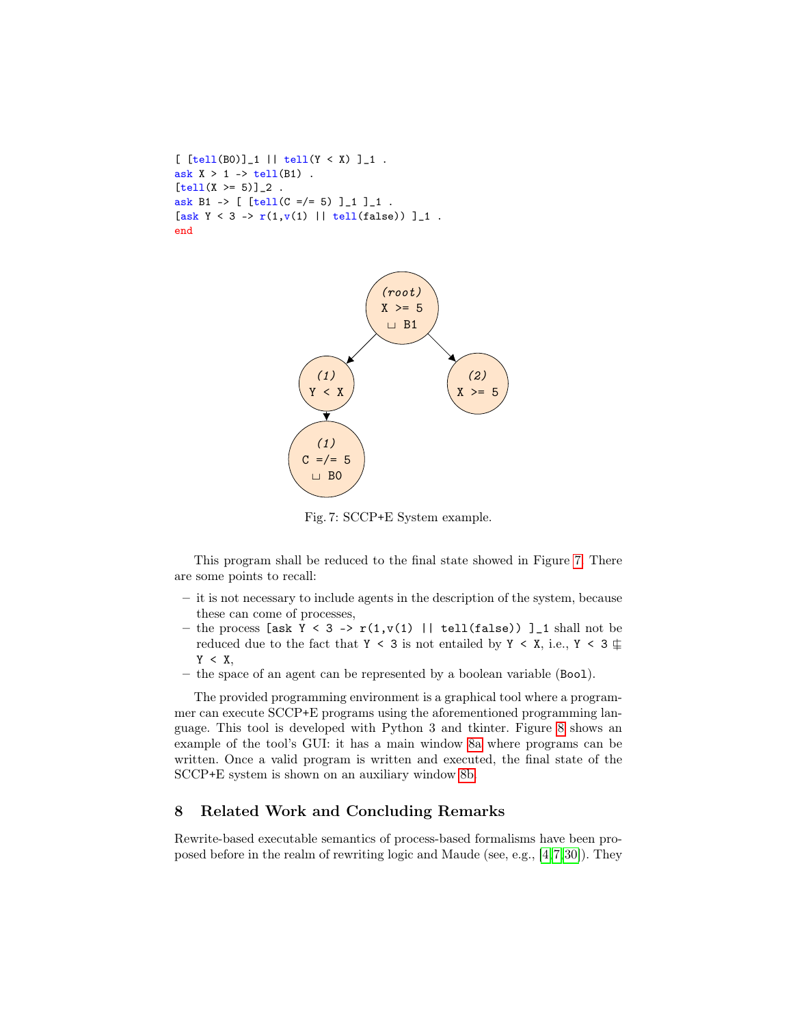```
[ [tell(B0)]_1 || tell(Y < X) ]_1 .
ask X > 1 -> tell(B1).
[tell(X >= 5)]_{2}.
ask B1 -> [ [tell(C = / = 5) ][][][][][][][][][][][][][][][][][][][][][][][][][][][][][][][][ask Y < 3 -> r(1, v(1) || tell(false)) ]_1.
end
```
<span id="page-29-1"></span>

Fig. 7: SCCP+E System example.

This program shall be reduced to the final state showed in Figure [7.](#page-29-1) There are some points to recall:

- it is not necessary to include agents in the description of the system, because these can come of processes,
- the process [ask Y < 3 ->  $r(1,v(1)$  || tell(false)) ] 1 shall not be reduced due to the fact that Y < 3 is not entailed by Y < X, i.e., Y < 3  $\updownarrow$  $Y < X$ ,
- the space of an agent can be represented by a boolean variable (Bool).

The provided programming environment is a graphical tool where a programmer can execute SCCP+E programs using the aforementioned programming language. This tool is developed with Python 3 and tkinter. Figure [8](#page-30-0) shows an example of the tool's GUI: it has a main window [8a](#page-30-0) where programs can be written. Once a valid program is written and executed, the final state of the SCCP+E system is shown on an auxiliary window [8b.](#page-30-0)

## <span id="page-29-0"></span>8 Related Work and Concluding Remarks

Rewrite-based executable semantics of process-based formalisms have been proposed before in the realm of rewriting logic and Maude (see, e.g., [\[4,](#page-31-2)[7,](#page-32-13)[30\]](#page-33-8)). They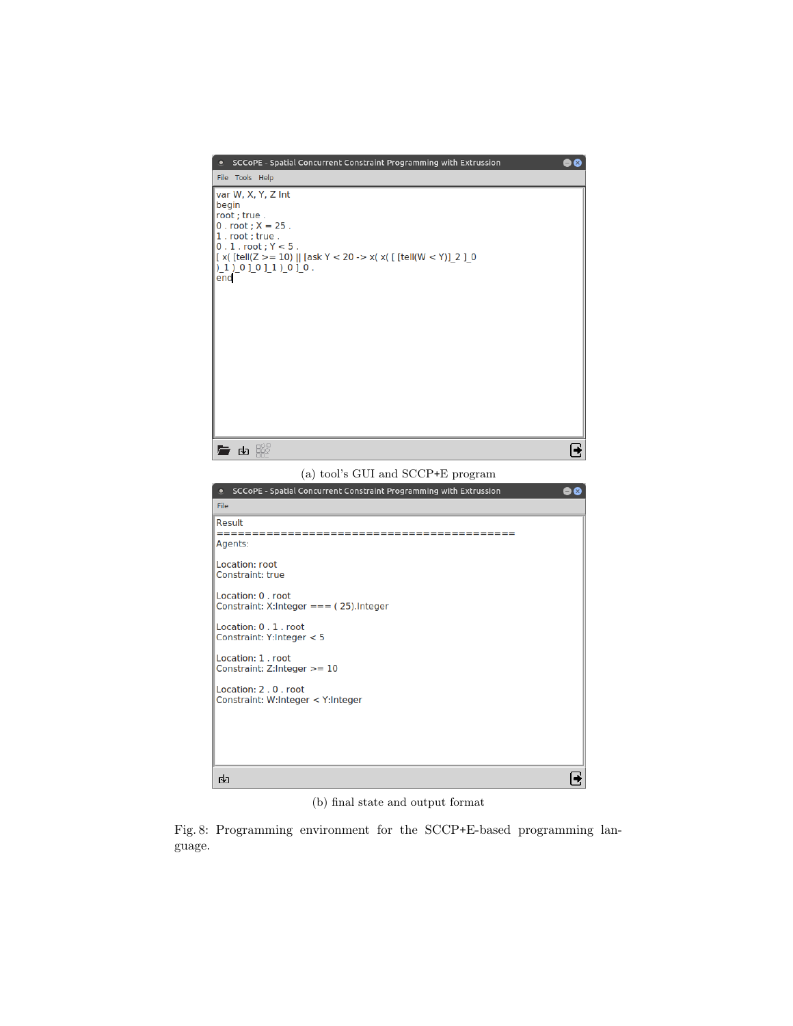<span id="page-30-0"></span>

(b) final state and output format

Fig. 8: Programming environment for the SCCP+E-based programming language.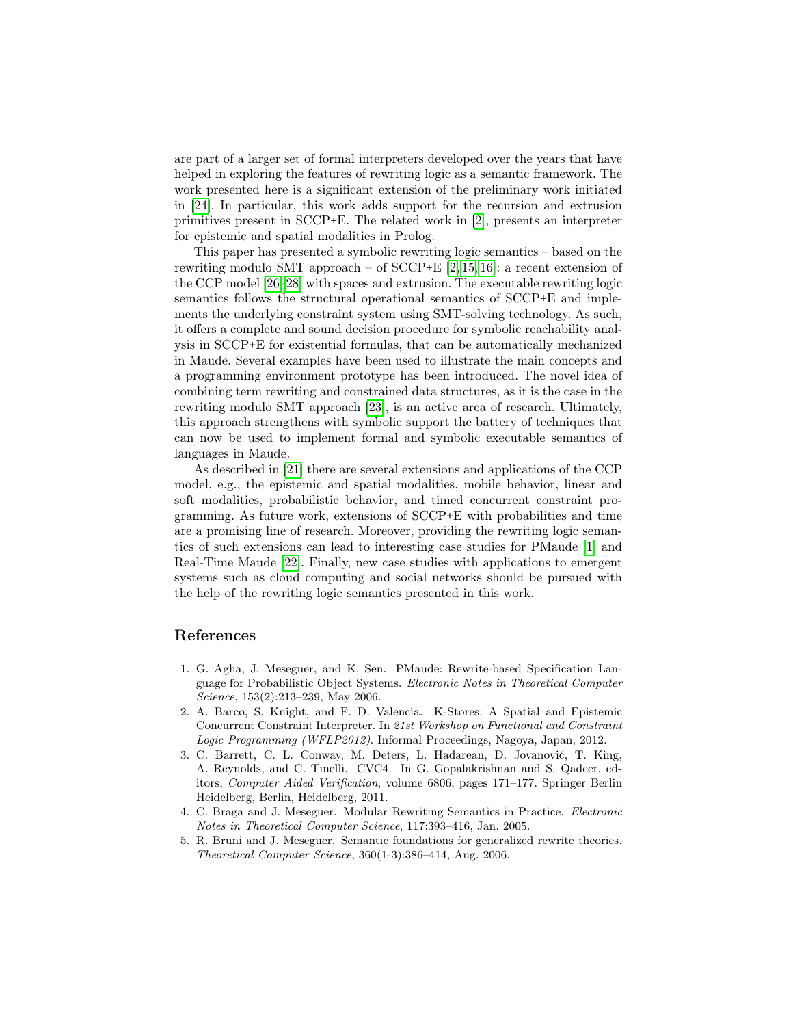are part of a larger set of formal interpreters developed over the years that have helped in exploring the features of rewriting logic as a semantic framework. The work presented here is a significant extension of the preliminary work initiated in [\[24\]](#page-33-9). In particular, this work adds support for the recursion and extrusion primitives present in SCCP+E. The related work in [\[2\]](#page-31-3), presents an interpreter for epistemic and spatial modalities in Prolog.

This paper has presented a symbolic rewriting logic semantics – based on the rewriting modulo SMT approach – of SCCP+E  $[2, 15, 16]$  $[2, 15, 16]$  $[2, 15, 16]$ : a recent extension of the CCP model [\[26–](#page-33-1)[28\]](#page-33-2) with spaces and extrusion. The executable rewriting logic semantics follows the structural operational semantics of SCCP+E and implements the underlying constraint system using SMT-solving technology. As such, it offers a complete and sound decision procedure for symbolic reachability analysis in SCCP+E for existential formulas, that can be automatically mechanized in Maude. Several examples have been used to illustrate the main concepts and a programming environment prototype has been introduced. The novel idea of combining term rewriting and constrained data structures, as it is the case in the rewriting modulo SMT approach [\[23\]](#page-33-0), is an active area of research. Ultimately, this approach strengthens with symbolic support the battery of techniques that can now be used to implement formal and symbolic executable semantics of languages in Maude.

As described in [\[21\]](#page-33-3) there are several extensions and applications of the CCP model, e.g., the epistemic and spatial modalities, mobile behavior, linear and soft modalities, probabilistic behavior, and timed concurrent constraint programming. As future work, extensions of SCCP+E with probabilities and time are a promising line of research. Moreover, providing the rewriting logic semantics of such extensions can lead to interesting case studies for PMaude [\[1\]](#page-31-4) and Real-Time Maude [\[22\]](#page-33-10). Finally, new case studies with applications to emergent systems such as cloud computing and social networks should be pursued with the help of the rewriting logic semantics presented in this work.

## References

- <span id="page-31-4"></span>1. G. Agha, J. Meseguer, and K. Sen. PMaude: Rewrite-based Specification Language for Probabilistic Object Systems. Electronic Notes in Theoretical Computer Science, 153(2):213–239, May 2006.
- <span id="page-31-3"></span>2. A. Barco, S. Knight, and F. D. Valencia. K-Stores: A Spatial and Epistemic Concurrent Constraint Interpreter. In 21st Workshop on Functional and Constraint Logic Programming (WFLP2012). Informal Proceedings, Nagoya, Japan, 2012.
- <span id="page-31-1"></span>3. C. Barrett, C. L. Conway, M. Deters, L. Hadarean, D. Jovanović, T. King, A. Reynolds, and C. Tinelli. CVC4. In G. Gopalakrishnan and S. Qadeer, editors, Computer Aided Verification, volume 6806, pages 171–177. Springer Berlin Heidelberg, Berlin, Heidelberg, 2011.
- <span id="page-31-2"></span>4. C. Braga and J. Meseguer. Modular Rewriting Semantics in Practice. Electronic Notes in Theoretical Computer Science, 117:393–416, Jan. 2005.
- <span id="page-31-0"></span>5. R. Bruni and J. Meseguer. Semantic foundations for generalized rewrite theories. Theoretical Computer Science, 360(1-3):386–414, Aug. 2006.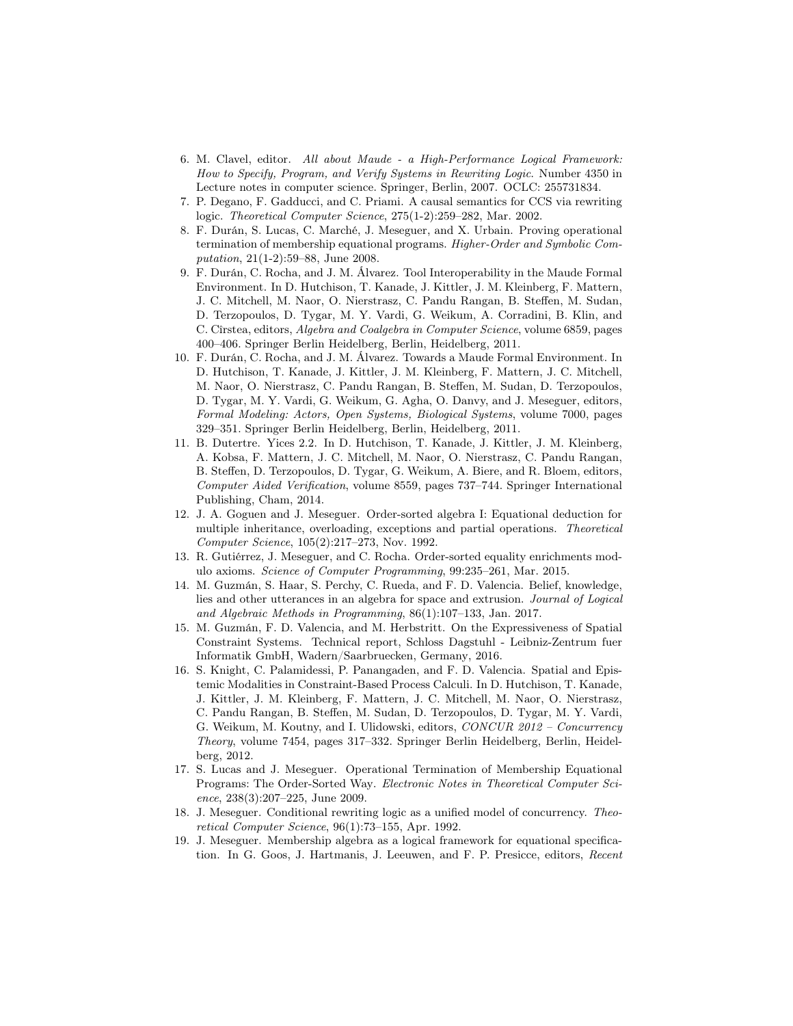- <span id="page-32-3"></span>6. M. Clavel, editor. All about Maude - a High-Performance Logical Framework: How to Specify, Program, and Verify Systems in Rewriting Logic. Number 4350 in Lecture notes in computer science. Springer, Berlin, 2007. OCLC: 255731834.
- <span id="page-32-13"></span>7. P. Degano, F. Gadducci, and C. Priami. A causal semantics for CCS via rewriting logic. Theoretical Computer Science, 275(1-2):259–282, Mar. 2002.
- <span id="page-32-6"></span>8. F. Durán, S. Lucas, C. Marché, J. Meseguer, and X. Urbain. Proving operational termination of membership equational programs. Higher-Order and Symbolic Computation, 21(1-2):59–88, June 2008.
- <span id="page-32-8"></span>9. F. Durán, C. Rocha, and J. M. Álvarez. Tool Interoperability in the Maude Formal Environment. In D. Hutchison, T. Kanade, J. Kittler, J. M. Kleinberg, F. Mattern, J. C. Mitchell, M. Naor, O. Nierstrasz, C. Pandu Rangan, B. Steffen, M. Sudan, D. Terzopoulos, D. Tygar, M. Y. Vardi, G. Weikum, A. Corradini, B. Klin, and C. Cîrstea, editors, Algebra and Coalgebra in Computer Science, volume 6859, pages 400–406. Springer Berlin Heidelberg, Berlin, Heidelberg, 2011.
- <span id="page-32-9"></span>10. F. Durán, C. Rocha, and J. M. Álvarez. Towards a Maude Formal Environment. In D. Hutchison, T. Kanade, J. Kittler, J. M. Kleinberg, F. Mattern, J. C. Mitchell, M. Naor, O. Nierstrasz, C. Pandu Rangan, B. Steffen, M. Sudan, D. Terzopoulos, D. Tygar, M. Y. Vardi, G. Weikum, G. Agha, O. Danvy, and J. Meseguer, editors, Formal Modeling: Actors, Open Systems, Biological Systems, volume 7000, pages 329–351. Springer Berlin Heidelberg, Berlin, Heidelberg, 2011.
- <span id="page-32-10"></span>11. B. Dutertre. Yices 2.2. In D. Hutchison, T. Kanade, J. Kittler, J. M. Kleinberg, A. Kobsa, F. Mattern, J. C. Mitchell, M. Naor, O. Nierstrasz, C. Pandu Rangan, B. Steffen, D. Terzopoulos, D. Tygar, G. Weikum, A. Biere, and R. Bloem, editors, Computer Aided Verification, volume 8559, pages 737–744. Springer International Publishing, Cham, 2014.
- <span id="page-32-4"></span>12. J. A. Goguen and J. Meseguer. Order-sorted algebra I: Equational deduction for multiple inheritance, overloading, exceptions and partial operations. Theoretical Computer Science, 105(2):217–273, Nov. 1992.
- <span id="page-32-12"></span>13. R. Gutiérrez, J. Meseguer, and C. Rocha. Order-sorted equality enrichments modulo axioms. Science of Computer Programming, 99:235–261, Mar. 2015.
- <span id="page-32-1"></span>14. M. Guzmán, S. Haar, S. Perchy, C. Rueda, and F. D. Valencia. Belief, knowledge, lies and other utterances in an algebra for space and extrusion. Journal of Logical and Algebraic Methods in Programming, 86(1):107–133, Jan. 2017.
- <span id="page-32-11"></span>15. M. Guzmán, F. D. Valencia, and M. Herbstritt. On the Expressiveness of Spatial Constraint Systems. Technical report, Schloss Dagstuhl - Leibniz-Zentrum fuer Informatik GmbH, Wadern/Saarbruecken, Germany, 2016.
- <span id="page-32-0"></span>16. S. Knight, C. Palamidessi, P. Panangaden, and F. D. Valencia. Spatial and Epistemic Modalities in Constraint-Based Process Calculi. In D. Hutchison, T. Kanade, J. Kittler, J. M. Kleinberg, F. Mattern, J. C. Mitchell, M. Naor, O. Nierstrasz, C. Pandu Rangan, B. Steffen, M. Sudan, D. Terzopoulos, D. Tygar, M. Y. Vardi, G. Weikum, M. Koutny, and I. Ulidowski, editors, CONCUR 2012 – Concurrency Theory, volume 7454, pages 317–332. Springer Berlin Heidelberg, Berlin, Heidelberg, 2012.
- <span id="page-32-7"></span>17. S. Lucas and J. Meseguer. Operational Termination of Membership Equational Programs: The Order-Sorted Way. Electronic Notes in Theoretical Computer Science, 238(3):207–225, June 2009.
- <span id="page-32-2"></span>18. J. Meseguer. Conditional rewriting logic as a unified model of concurrency. Theoretical Computer Science, 96(1):73–155, Apr. 1992.
- <span id="page-32-5"></span>19. J. Meseguer. Membership algebra as a logical framework for equational specification. In G. Goos, J. Hartmanis, J. Leeuwen, and F. P. Presicce, editors, Recent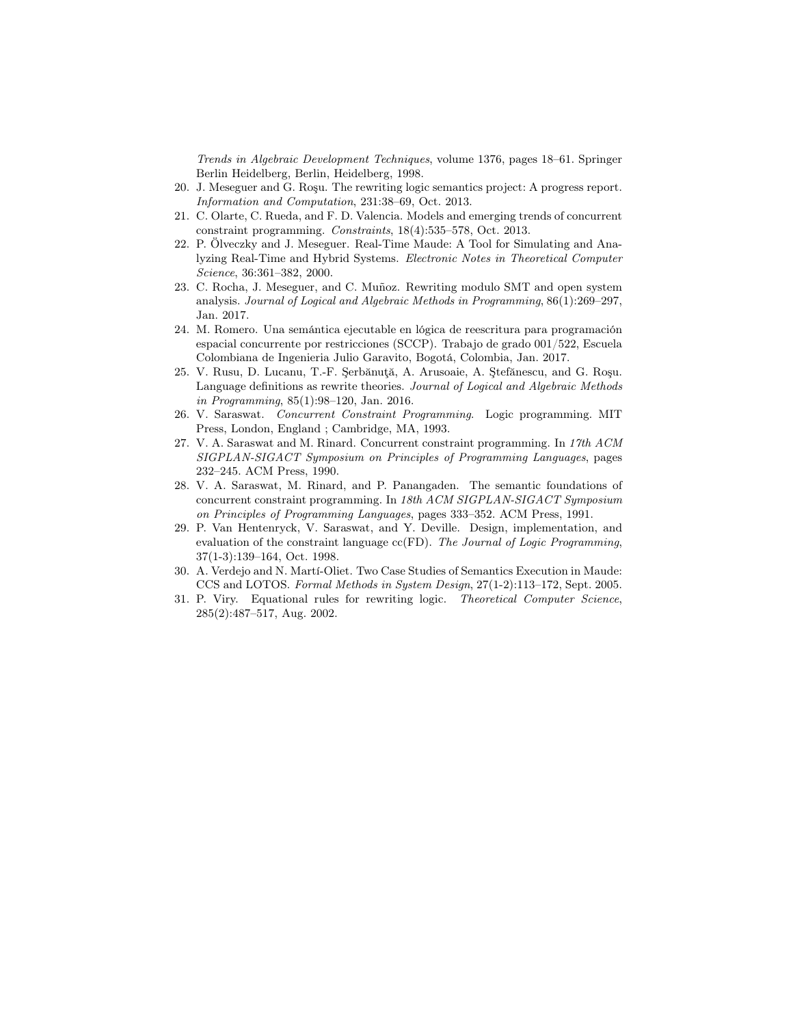Trends in Algebraic Development Techniques, volume 1376, pages 18–61. Springer Berlin Heidelberg, Berlin, Heidelberg, 1998.

- <span id="page-33-5"></span>20. J. Meseguer and G. Roşu. The rewriting logic semantics project: A progress report. Information and Computation, 231:38–69, Oct. 2013.
- <span id="page-33-3"></span>21. C. Olarte, C. Rueda, and F. D. Valencia. Models and emerging trends of concurrent constraint programming. Constraints, 18(4):535–578, Oct. 2013.
- <span id="page-33-10"></span>22. P. Ölveczky and J. Meseguer. Real-Time Maude: A Tool for Simulating and Analyzing Real-Time and Hybrid Systems. Electronic Notes in Theoretical Computer Science, 36:361–382, 2000.
- <span id="page-33-0"></span>23. C. Rocha, J. Meseguer, and C. Muñoz. Rewriting modulo SMT and open system analysis. Journal of Logical and Algebraic Methods in Programming, 86(1):269–297, Jan. 2017.
- <span id="page-33-9"></span>24. M. Romero. Una semántica ejecutable en lógica de reescritura para programación espacial concurrente por restricciones (SCCP). Trabajo de grado 001/522, Escuela Colombiana de Ingenieria Julio Garavito, Bogotá, Colombia, Jan. 2017.
- <span id="page-33-6"></span>25. V. Rusu, D. Lucanu, T.-F. Şerbănuţă, A. Arusoaie, A. Ştefănescu, and G. Roşu. Language definitions as rewrite theories. Journal of Logical and Algebraic Methods in Programming, 85(1):98–120, Jan. 2016.
- <span id="page-33-1"></span>26. V. Saraswat. Concurrent Constraint Programming. Logic programming. MIT Press, London, England ; Cambridge, MA, 1993.
- 27. V. A. Saraswat and M. Rinard. Concurrent constraint programming. In 17th ACM SIGPLAN-SIGACT Symposium on Principles of Programming Languages, pages 232–245. ACM Press, 1990.
- <span id="page-33-2"></span>28. V. A. Saraswat, M. Rinard, and P. Panangaden. The semantic foundations of concurrent constraint programming. In 18th ACM SIGPLAN-SIGACT Symposium on Principles of Programming Languages, pages 333–352. ACM Press, 1991.
- <span id="page-33-4"></span>29. P. Van Hentenryck, V. Saraswat, and Y. Deville. Design, implementation, and evaluation of the constraint language  $cc(FD)$ . The Journal of Logic Programming, 37(1-3):139–164, Oct. 1998.
- <span id="page-33-8"></span>30. A. Verdejo and N. Martí-Oliet. Two Case Studies of Semantics Execution in Maude: CCS and LOTOS. Formal Methods in System Design, 27(1-2):113–172, Sept. 2005.
- <span id="page-33-7"></span>31. P. Viry. Equational rules for rewriting logic. Theoretical Computer Science, 285(2):487–517, Aug. 2002.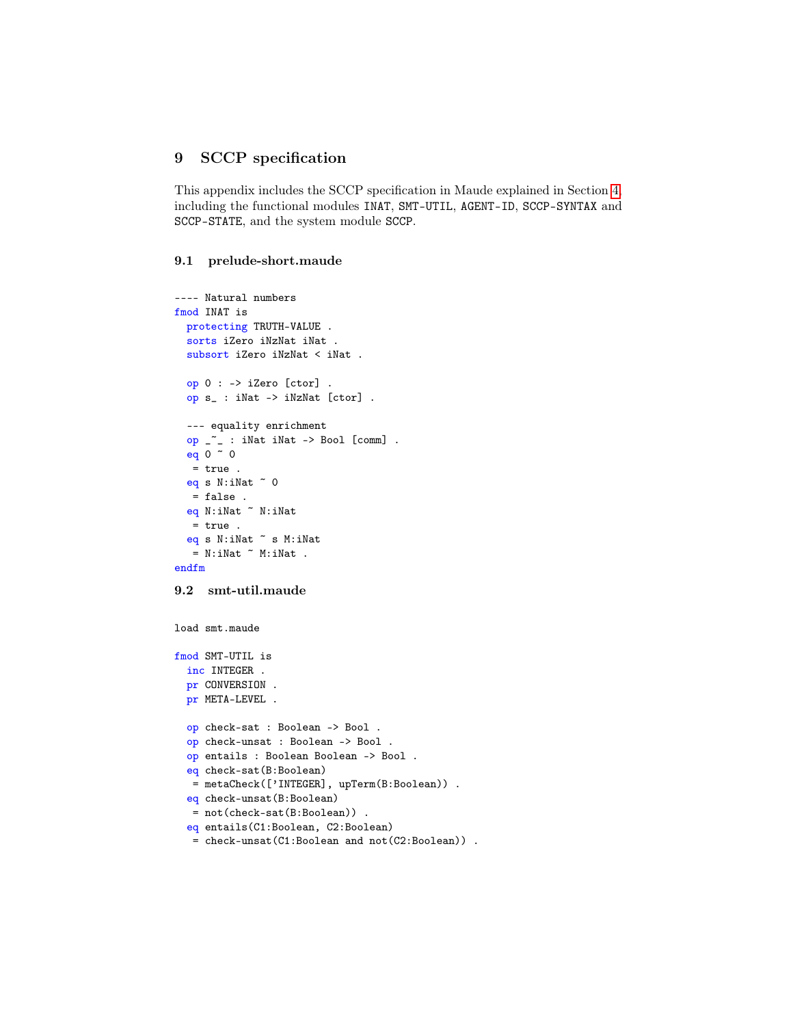## <span id="page-34-0"></span>9 SCCP specification

This appendix includes the SCCP specification in Maude explained in Section [4,](#page-10-0) including the functional modules INAT, SMT-UTIL, AGENT-ID, SCCP-SYNTAX and SCCP-STATE, and the system module SCCP.

### 9.1 prelude-short.maude

```
---- Natural numbers
fmod INAT is
 protecting TRUTH-VALUE .
 sorts iZero iNzNat iNat .
 subsort iZero iNzNat < iNat .
 op 0 : -> iZero [ctor] .
 op s_ : iNat -> iNzNat [ctor] .
 --- equality enrichment
 op _~_ : iNat iNat -> Bool [comm] .
 eq 0 ~ 0
  = true .
 eq s N: iNat \sim 0= false .
 eq N:iNat ~ N:iNat
  = true .
 eq s N:iNat ~ s M:iNat
  = N:iNat \tilde{C} M:iNat .
endfm
9.2 smt-util.maude
load smt.maude
fmod SMT-UTIL is
 inc INTEGER .
 pr CONVERSION .
 pr META-LEVEL .
 op check-sat : Boolean -> Bool .
 op check-unsat : Boolean -> Bool .
 op entails : Boolean Boolean -> Bool .
 eq check-sat(B:Boolean)
  = metaCheck(['INTEGER], upTerm(B:Boolean)) .
 eq check-unsat(B:Boolean)
  = not(check-sat(B:Boolean)) .
 eq entails(C1:Boolean, C2:Boolean)
  = check-unsat(C1:Boolean and not(C2:Boolean)) .
```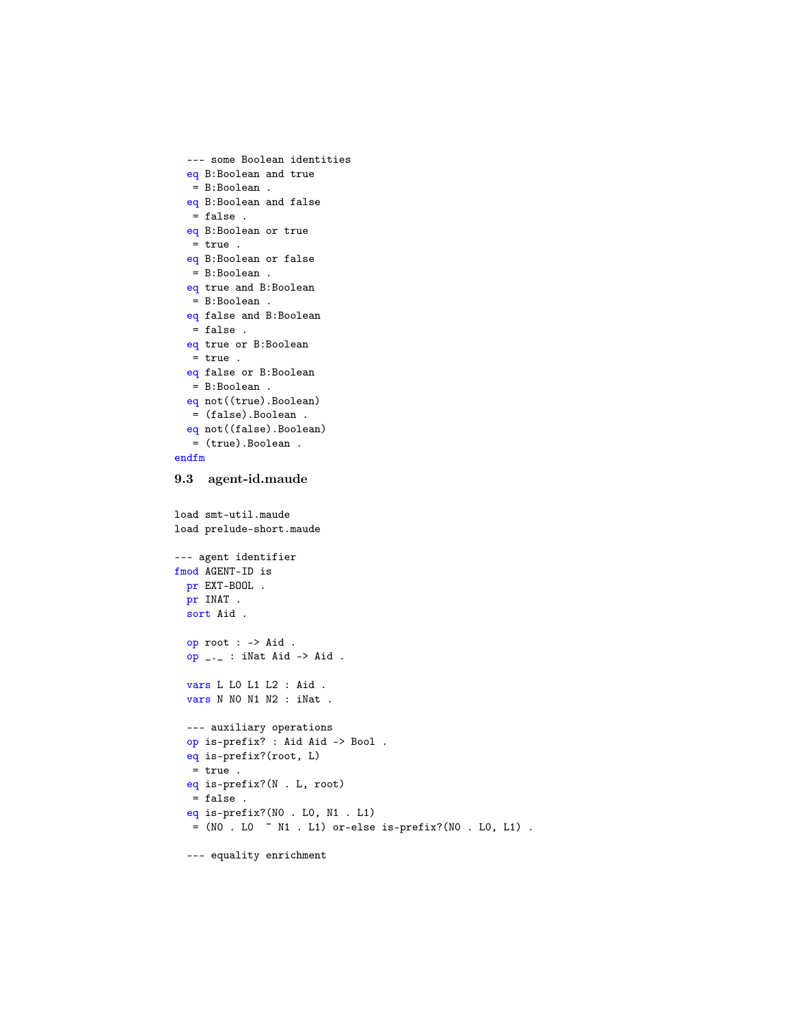```
--- some Boolean identities
 eq B:Boolean and true
  = B:Boolean .
 eq B:Boolean and false
  = false .
 eq B:Boolean or true
  = true.
 eq B:Boolean or false
   = B:Boolean .
 eq true and B:Boolean
  = B:Boolean .
 eq false and B:Boolean
  = false .
 eq true or B:Boolean
  = true .
 eq false or B:Boolean
  = B:Boolean .
 eq not((true).Boolean)
  = (false).Boolean .
 eq not((false).Boolean)
  = (true).Boolean .
endfm
9.3 agent-id.maude
load smt-util.maude
load prelude-short.maude
--- agent identifier
fmod AGENT-ID is
 pr EXT-BOOL .
 pr INAT .
 sort Aid .
 op root : -> Aid .
 op _._ : iNat Aid -> Aid .
 vars L L0 L1 L2 : Aid .
 vars N N0 N1 N2 : iNat .
 --- auxiliary operations
 op is-prefix? : Aid Aid -> Bool .
 eq is-prefix?(root, L)
  = true .
 eq is-prefix?(N . L, root)
  = false .
 eq is-prefix?(N0 . L0, N1 . L1)
  = (NO . LO \sim N1 . L1) or-else is-prefix?(NO . LO, L1) .
```

```
--- equality enrichment
```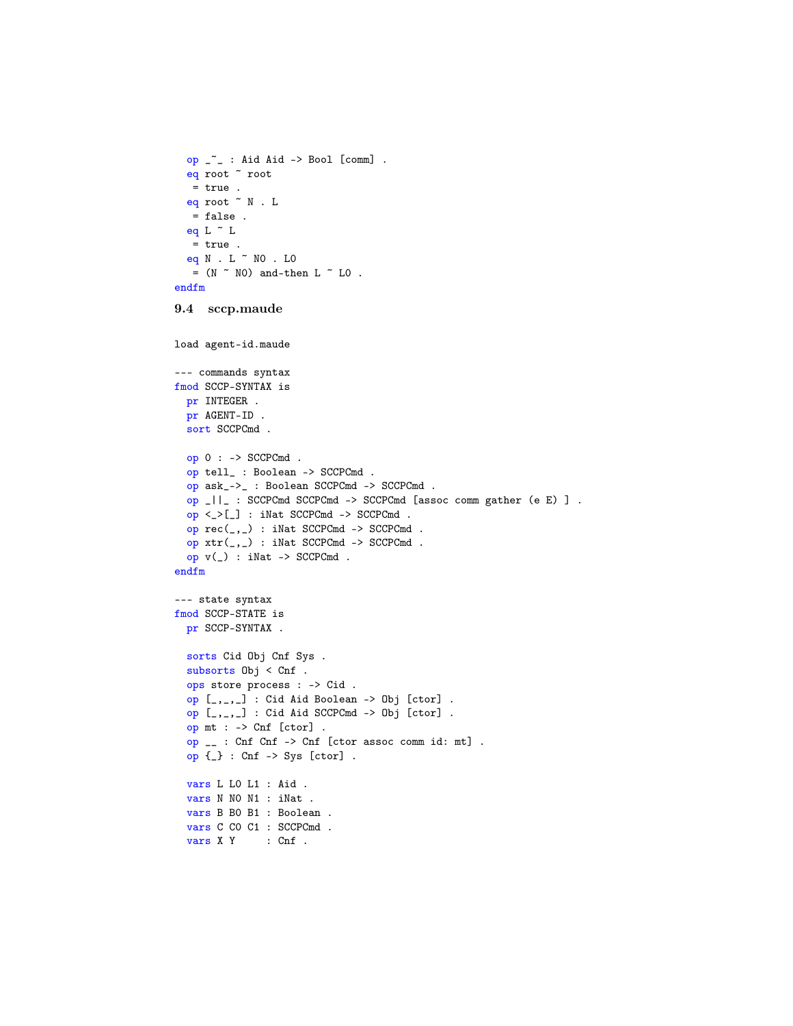```
op _~_ : Aid Aid -> Bool [comm] .
 eq root ~ root
  = true .
 eq root ~ N . L
  = false .
 eq L \tilde{L} L
  = true.
 eq N . L ~ N0 . L0
  = (N \sim NO) and-then L \sim LO.
endfm
9.4 sccp.maude
load agent-id.maude
```

```
--- commands syntax
fmod SCCP-SYNTAX is
 pr INTEGER .
 pr AGENT-ID .
 sort SCCPCmd .
 op 0 : -> SCCPCmd .
 op tell_ : Boolean -> SCCPCmd .
 op ask_->_ : Boolean SCCPCmd -> SCCPCmd .
 op _||_ : SCCPCmd SCCPCmd -> SCCPCmd [assoc comm gather (e E) ] .
 op <_>[_] : iNat SCCPCmd -> SCCPCmd .
 op rec(_,_) : iNat SCCPCmd -> SCCPCmd .
 op xtr(_,_) : iNat SCCPCmd -> SCCPCmd .
 op v(_) : iNat -> SCCPCmd .
endfm
--- state syntax
fmod SCCP-STATE is
 pr SCCP-SYNTAX .
 sorts Cid Obj Cnf Sys .
 subsorts Obj < Cnf .
 ops store process : -> Cid .
 op [_,_,_] : Cid Aid Boolean -> Obj [ctor] .
 op [_,_,_] : Cid Aid SCCPCmd -> Obj [ctor] .
 op mt : -> Cnf [ctor] .
 op __ : Cnf Cnf -> Cnf [ctor assoc comm id: mt] .
 op {_} : Cnf -> Sys [ctor] .
 vars L L0 L1 : Aid .
 vars N N0 N1 : iNat .
 vars B B0 B1 : Boolean .
 vars C C0 C1 : SCCPCmd .
 vars X Y : Cnf .
```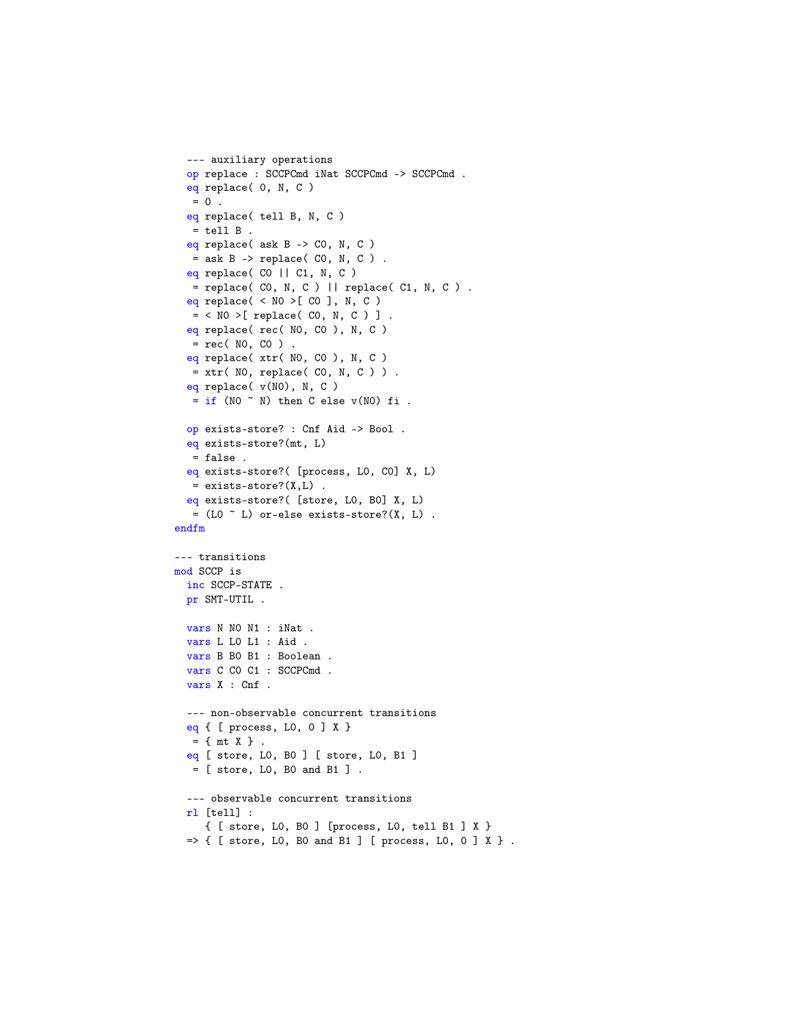```
--- auxiliary operations
 op replace : SCCPCmd iNat SCCPCmd -> SCCPCmd .
 eq replace( 0, N, C )
  = 0.
 eq replace( tell B, N, C )
  = tell B.
 eq replace( ask B -> C0, N, C )
  = ask B \rightarrow replace( CO, N, C).
 eq replace( CO || C1, N, C )
   = replace( CO, N, C ) || replace( C1, N, C ) .
 eq replace( < N0 >[ C0 ], N, C )
   = < NO >[ replace( CO, N, C ) ].
 eq replace( rec( NO, CO ), N, C )
  = rec( NO, CO ).
 eq replace( xtr( NO, CO ), N, C )
  = xtr( NO, replace( CO, N, C ) ).
 eq replace( v(N0), N, C )
  = if (NO \tilde{}} N) then C else v(NO) fi .
 op exists-store? : Cnf Aid -> Bool .
 eq exists-store?(mt, L)
  = false .
 eq exists-store?( [process, L0, C0] X, L)
  = exists-store?(X,L) .
 eq exists-store?( [store, L0, B0] X, L)
  = (L0 \tilde{C} L) or-else exists-store?(X, L).
endfm
--- transitions
mod SCCP is
 inc SCCP-STATE .
 pr SMT-UTIL .
 vars N N0 N1 : iNat .
 vars L L0 L1 : Aid .
 vars B B0 B1 : Boolean .
 vars C C0 C1 : SCCPCmd .
 vars X : Cnf .
 --- non-observable concurrent transitions
 eq { [ process, L0, 0 ] X }
  = \{ mt X \}.
 eq [ store, L0, B0 ] [ store, L0, B1 ]
  = [ store, L0, B0 and B1 ] .
 --- observable concurrent transitions
 rl [tell] :
     { [ store, L0, B0 ] [process, L0, tell B1 ] X }
 \Rightarrow { [ store, LO, BO and B1 ] [ process, LO, O ] X }.
```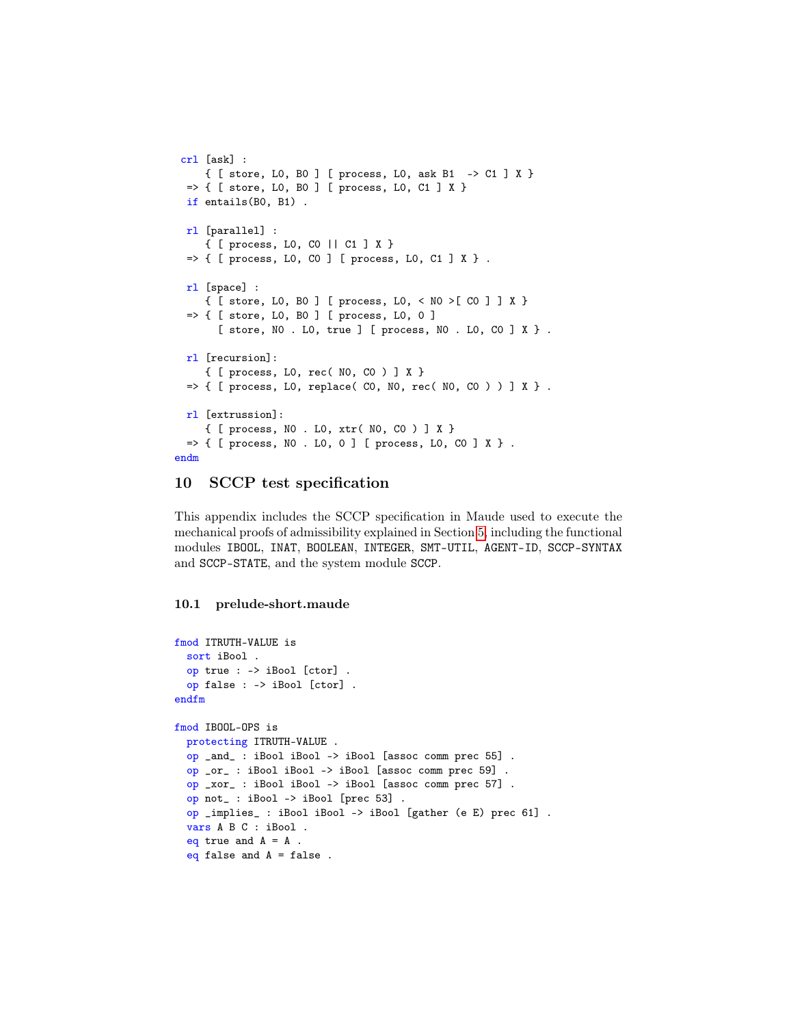```
crl [ask] :
     { [ store, L0, B0 ] [ process, L0, ask B1 -> C1 ] X }
 \Rightarrow { [ store, LO, BO ] [ process, LO, C1 ] X }
 if entails(B0, B1) .
 rl [parallel] :
     { [ process, L0, C0 || C1 ] X }
 \Rightarrow { [ process, LO, CO ] [ process, LO, C1 ] X }.
 rl [space] :
     { [ store, L0, B0 ] [ process, L0, < N0 >[ C0 ] ] X }
 \Rightarrow { [ store, LO, BO ] [ process, LO, O ]
       [ store, N0 . L0, true ] [ process, N0 . L0, C0 ] X } .
 rl [recursion]:
     { [ process, L0, rec( N0, C0 ) ] X }
 \Rightarrow { [ process, LO, replace( CO, NO, rec( NO, CO ) ) ] X }.
 rl [extrussion]:
     { [ process, N0 . L0, xtr( N0, C0 ) ] X }
 \Rightarrow { [ process, NO . LO, O ] [ process, LO, CO ] X } .
endm
```
## <span id="page-38-0"></span>10 SCCP test specification

This appendix includes the SCCP specification in Maude used to execute the mechanical proofs of admissibility explained in Section [5,](#page-19-1) including the functional modules IBOOL, INAT, BOOLEAN, INTEGER, SMT-UTIL, AGENT-ID, SCCP-SYNTAX and SCCP-STATE, and the system module SCCP.

### 10.1 prelude-short.maude

```
fmod ITRUTH-VALUE is
 sort iBool .
 op true : -> iBool [ctor] .
 op false : -> iBool [ctor] .
endfm
fmod IBOOL-OPS is
 protecting ITRUTH-VALUE .
 op _and_ : iBool iBool -> iBool [assoc comm prec 55] .
 op _or_ : iBool iBool -> iBool [assoc comm prec 59] .
 op _xor_ : iBool iBool -> iBool [assoc comm prec 57] .
 op not_ : iBool -> iBool [prec 53] .
 op _implies_ : iBool iBool -> iBool [gather (e E) prec 61] .
 vars A B C : iBool .
 eq true and A = A.
 eq false and A = false.
```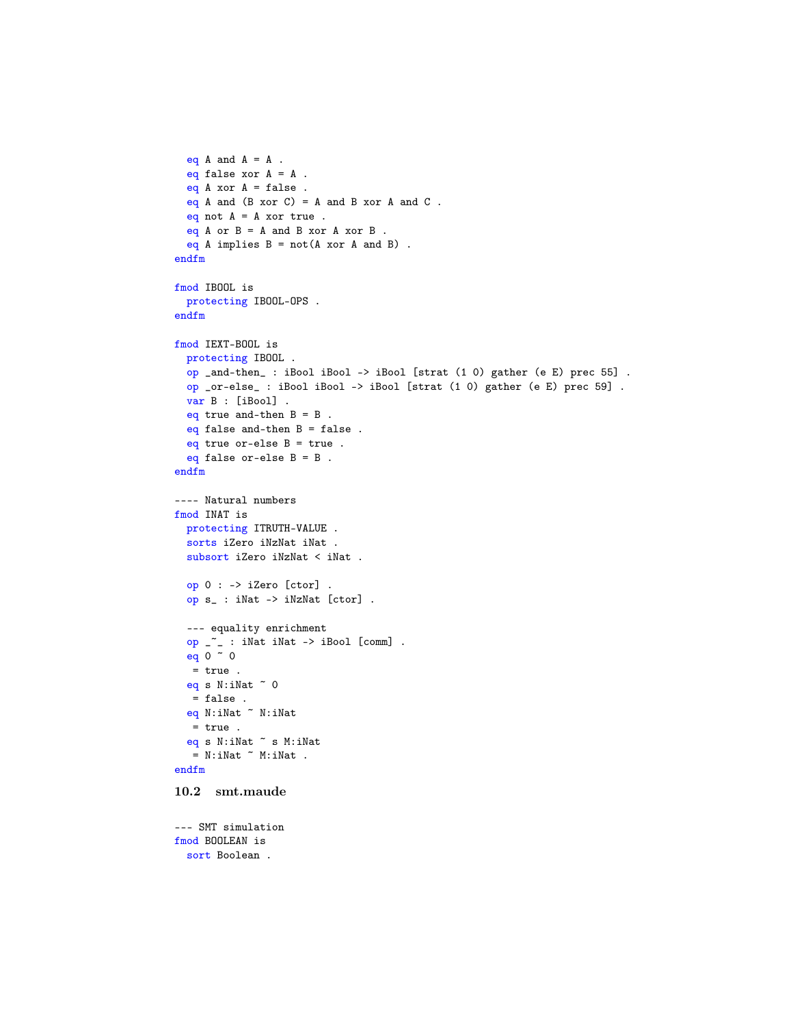```
eq A and A = A.
 eq false xor A = A.
 eq A xor A = false.
 eq A and (B \nvert x \nvert C) = A and B \nvert x \nvert C.
 eq not A = A xor true.
 eq A or B = A and B xor A xor B.
 eq A implies B = not(A x or A and B).
endfm
fmod IBOOL is
 protecting IBOOL-OPS .
endfm
fmod IEXT-BOOL is
 protecting IBOOL .
 op _and-then_ : iBool iBool -> iBool [strat (1 0) gather (e E) prec 55] .
 op _or-else_ : iBool iBool -> iBool [strat (1 0) gather (e E) prec 59] .
 var B : [iBool] .
 eq true and-then B = B.
 eq false and-then B = false.
 eq true or-else B = true.
 eq false or-else B = B.
endfm
---- Natural numbers
fmod INAT is
 protecting ITRUTH-VALUE .
 sorts iZero iNzNat iNat .
 subsort iZero iNzNat < iNat .
 op 0 : -> iZero [ctor] .
 op s_ : iNat -> iNzNat [ctor] .
 --- equality enrichment
  op _~_ : iNat iNat -> iBool [comm] .
  eq 0 ~ 0
  = true .
 eq s N: iNat ~ 0= false .
 eq N:iNat ~ N:iNat
  = true .
 eq s N:iNat ~ s M:iNat
  = N:iNat \tilde{C} M:iNat .
endfm
10.2 smt.maude
--- SMT simulation
fmod BOOLEAN is
 sort Boolean .
```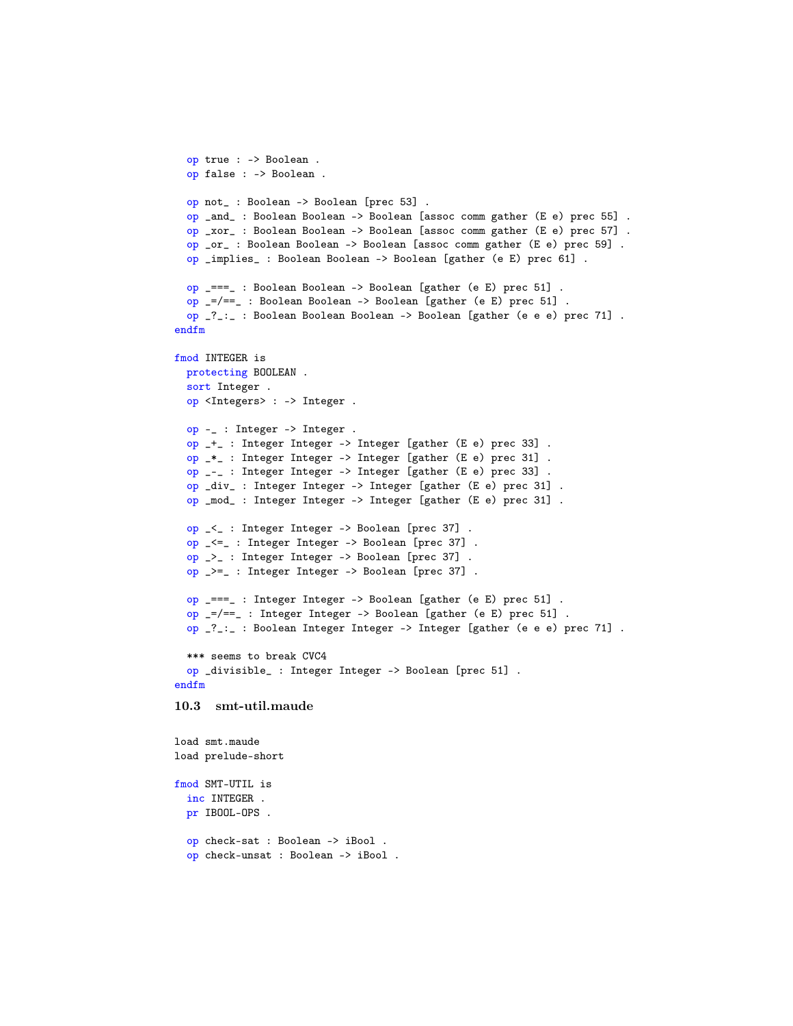```
op true : -> Boolean .
 op false : -> Boolean .
 op not_ : Boolean -> Boolean [prec 53] .
 op _and_ : Boolean Boolean -> Boolean [assoc comm gather (E e) prec 55] .
 op _xor_ : Boolean Boolean -> Boolean [assoc comm gather (E e) prec 57] .
 op _or_ : Boolean Boolean -> Boolean [assoc comm gather (E e) prec 59] .
 op _implies_ : Boolean Boolean -> Boolean [gather (e E) prec 61] .
 op _===_ : Boolean Boolean -> Boolean [gather (e E) prec 51] .
 op _=/==_ : Boolean Boolean -> Boolean [gather (e E) prec 51] .
 op _?_:_ : Boolean Boolean Boolean -> Boolean [gather (e e e) prec 71] .
endfm
fmod INTEGER is
 protecting BOOLEAN .
 sort Integer .
 op <Integers> : -> Integer .
 op -_ : Integer -> Integer .
 op _+_ : Integer Integer -> Integer [gather (E e) prec 33] .
 op _*_ : Integer Integer -> Integer [gather (E e) prec 31] .
 op _-_ : Integer Integer -> Integer [gather (E e) prec 33] .
 op _div_ : Integer Integer -> Integer [gather (E e) prec 31] .
 op _mod_ : Integer Integer -> Integer [gather (E e) prec 31] .
 op _<_ : Integer Integer -> Boolean [prec 37] .
 op _<=_ : Integer Integer -> Boolean [prec 37] .
 op _>_ : Integer Integer -> Boolean [prec 37] .
 op _>=_ : Integer Integer -> Boolean [prec 37] .
 op _===_ : Integer Integer -> Boolean [gather (e E) prec 51] .
 op _=/==_ : Integer Integer -> Boolean [gather (e E) prec 51] .
 op _?_:_ : Boolean Integer Integer -> Integer [gather (e e e) prec 71] .
 *** seems to break CVC4
 op _divisible_ : Integer Integer -> Boolean [prec 51] .
endfm
10.3 smt-util.maude
load smt.maude
load prelude-short
fmod SMT-UTIL is
 inc INTEGER .
 pr IBOOL-OPS .
 op check-sat : Boolean -> iBool .
 op check-unsat : Boolean -> iBool .
```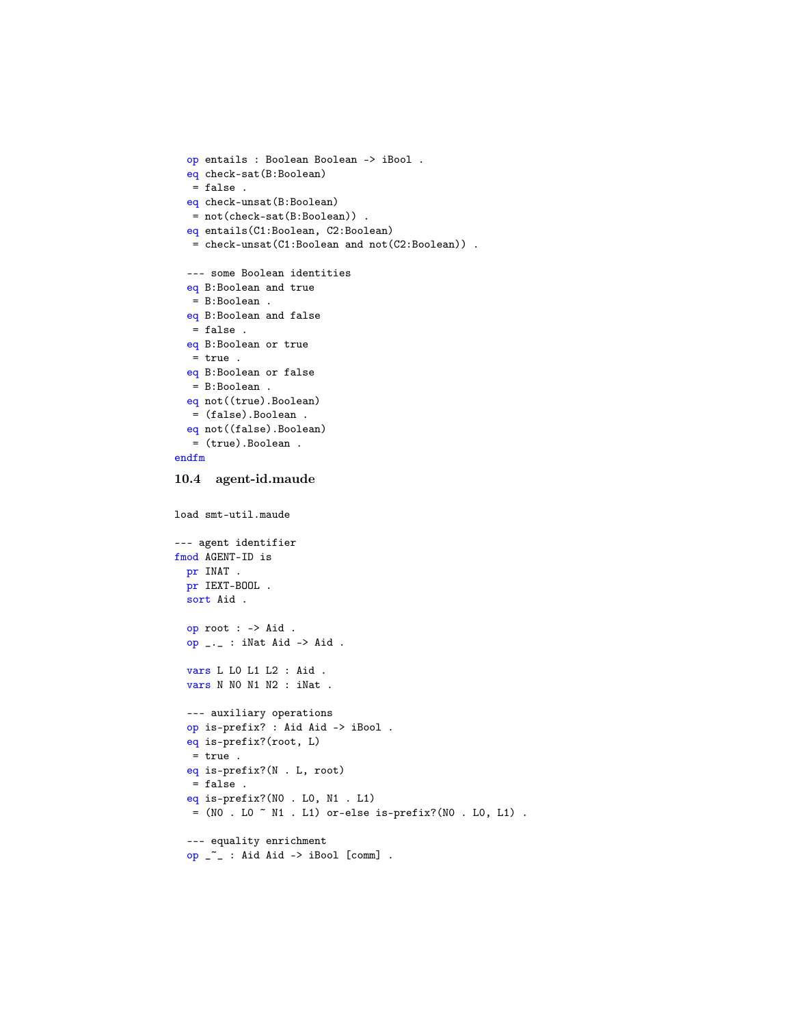```
op entails : Boolean Boolean -> iBool .
 eq check-sat(B:Boolean)
  = false .
 eq check-unsat(B:Boolean)
  = not(check-sat(B:Boolean)) .
 eq entails(C1:Boolean, C2:Boolean)
  = check-unsat(C1:Boolean and not(C2:Boolean)) .
 --- some Boolean identities
 eq B:Boolean and true
  = B:Boolean .
 eq B:Boolean and false
  = false .
 eq B:Boolean or true
  = true .
 eq B:Boolean or false
  = B:Boolean .
 eq not((true).Boolean)
  = (false).Boolean .
 eq not((false).Boolean)
  = (true).Boolean .
endfm
10.4 agent-id.maude
load smt-util.maude
```

```
--- agent identifier
fmod AGENT-ID is
 pr INAT .
 pr IEXT-BOOL .
 sort Aid .
 op root : -> Aid .
 op _._ : iNat Aid -> Aid .
 vars L L0 L1 L2 : Aid .
 vars N N0 N1 N2 : iNat .
 --- auxiliary operations
 op is-prefix? : Aid Aid -> iBool .
 eq is-prefix?(root, L)
  = true .
 eq is-prefix?(N . L, root)
  = false .
 eq is-prefix?(N0 . L0, N1 . L1)
  = (NO . LO \tilde{}} N1 . L1) or-else is-prefix?(NO . LO, L1) .
 --- equality enrichment
 op _~_ : Aid Aid -> iBool [comm] .
```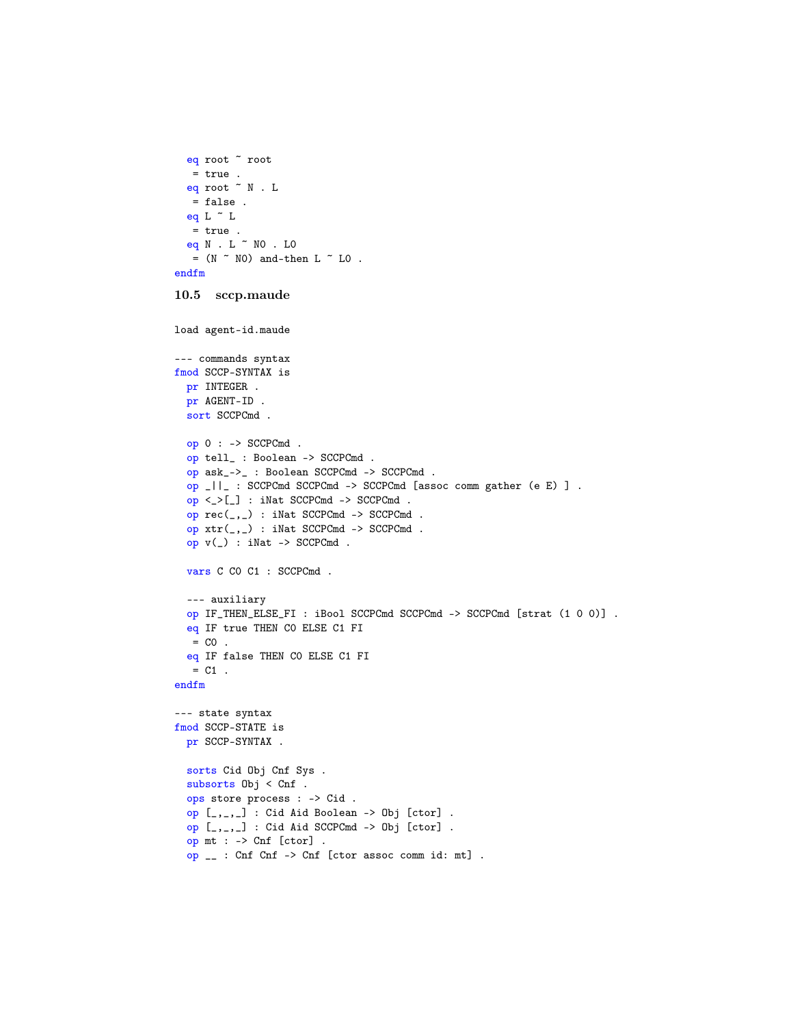```
eq root ~ root
  = true .
  eq root \tilde{N}. L
  = false .
  eq L \tilde{L} L
  = true.
  eq N . L ~ N0 . L0
  = (N \sim NO) and-then L \sim LO.
endfm
```

```
10.5 sccp.maude
```

```
load agent-id.maude
```

```
--- commands syntax
fmod SCCP-SYNTAX is
 pr INTEGER .
 pr AGENT-ID .
 sort SCCPCmd .
 op 0 : -> SCCPCmd .
 op tell_ : Boolean -> SCCPCmd .
 op ask_->_ : Boolean SCCPCmd -> SCCPCmd .
 op _||_ : SCCPCmd SCCPCmd -> SCCPCmd [assoc comm gather (e E) ] .
 op <_>[_] : iNat SCCPCmd -> SCCPCmd .
 op rec(_,_) : iNat SCCPCmd -> SCCPCmd .
 op xtr(_,_) : iNat SCCPCmd -> SCCPCmd .
 op v(_) : iNat -> SCCPCmd .
 vars C C0 C1 : SCCPCmd .
  --- auxiliary
 op IF_THEN_ELSE_FI : iBool SCCPCmd SCCPCmd -> SCCPCmd [strat (1 0 0)] .
 eq IF true THEN C0 ELSE C1 FI
  = CO.
 eq IF false THEN C0 ELSE C1 FI
  = C1.
endfm
--- state syntax
fmod SCCP-STATE is
 pr SCCP-SYNTAX .
 sorts Cid Obj Cnf Sys .
 subsorts Obj < Cnf .
 ops store process : -> Cid .
 op [_,_,_] : Cid Aid Boolean -> Obj [ctor] .
 op [_,_,_] : Cid Aid SCCPCmd -> Obj [ctor] .
 op mt : -> Cnf [ctor] .
 op __ : Cnf Cnf -> Cnf [ctor assoc comm id: mt] .
```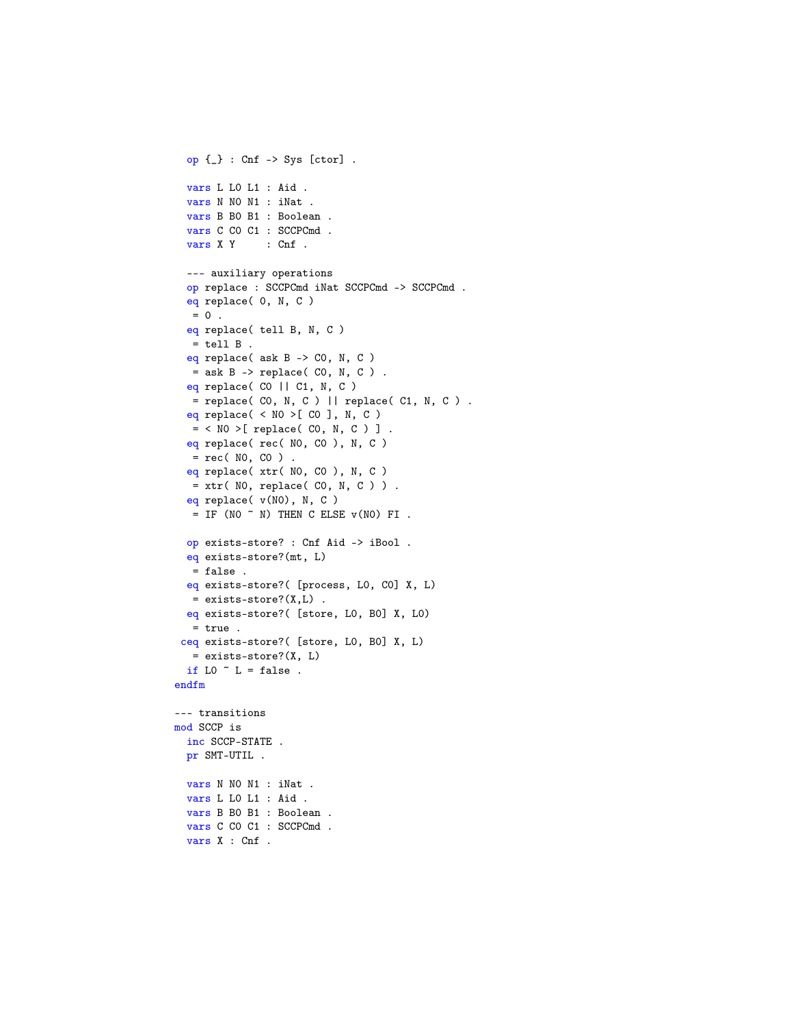```
op {_} : Cnf -> Sys [ctor] .
  vars L L0 L1 : Aid .
  vars N N0 N1 : iNat .
  vars B B0 B1 : Boolean .
  vars C C0 C1 : SCCPCmd .
  vars X Y : Cnf .
  --- auxiliary operations
  op replace : SCCPCmd iNat SCCPCmd -> SCCPCmd .
  eq replace( 0, N, C )
   = 0.
  eq replace( tell B, N, C )
   = tell B.
  eq replace( ask B -> C0, N, C )
   = ask B \rightarrow replace( CO, N, C ).
  eq replace( CO || C1, N, C )
  = replace( CO, N, C ) || replace( C1, N, C ) .
  eq replace( < NO >[ CO ], N, C )
  = < NO >[ replace( CO, N, C ) ].
  eq replace( rec( N0, C0 ), N, C )
   = rec( NO, CO ).
  eq replace( xtr( N0, C0 ), N, C )
  = xtr( NO, replace( CO, N, C ) ).
  eq replace( v(N0), N, C )
   = IF (NO \tilde{N} N) THEN C ELSE v(NO) FI.
  op exists-store? : Cnf Aid -> iBool .
  eq exists-store?(mt, L)
   = false .
  eq exists-store?( [process, L0, C0] X, L)
  = exists-store?(X,L) .
  eq exists-store?( [store, L0, B0] X, L0)
   = true .
 ceq exists-store?( [store, L0, B0] X, L)
   = exists-store?(X, L)
  if LO \tilde{L} L = false.
endfm
--- transitions
mod SCCP is
  inc SCCP-STATE .
  pr SMT-UTIL .
  vars N N0 N1 : iNat .
  vars L L0 L1 : Aid .
  vars B B0 B1 : Boolean .
  vars C CO C1 : SCCPCmd .
  vars X : Cnf .
```